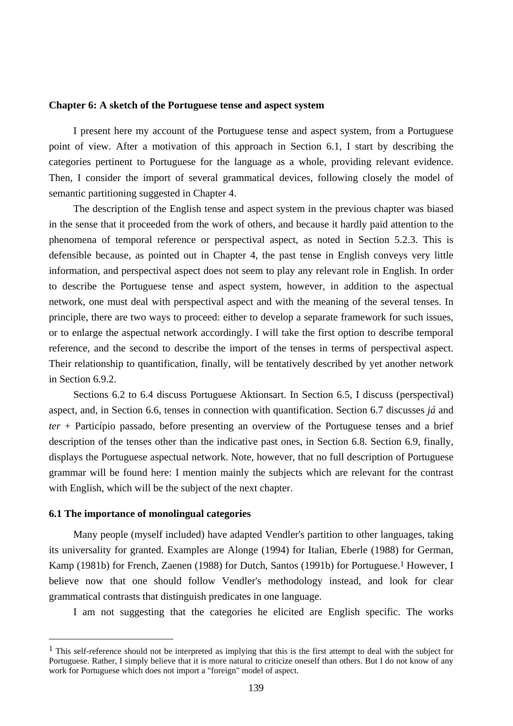#### **Chapter 6: A sketch of the Portuguese tense and aspect system**

I present here my account of the Portuguese tense and aspect system, from a Portuguese point of view. After a motivation of this approach in Section 6.1, I start by describing the categories pertinent to Portuguese for the language as a whole, providing relevant evidence. Then, I consider the import of several grammatical devices, following closely the model of semantic partitioning suggested in Chapter 4.

The description of the English tense and aspect system in the previous chapter was biased in the sense that it proceeded from the work of others, and because it hardly paid attention to the phenomena of temporal reference or perspectival aspect, as noted in Section 5.2.3. This is defensible because, as pointed out in Chapter 4, the past tense in English conveys very little information, and perspectival aspect does not seem to play any relevant role in English. In order to describe the Portuguese tense and aspect system, however, in addition to the aspectual network, one must deal with perspectival aspect and with the meaning of the several tenses. In principle, there are two ways to proceed: either to develop a separate framework for such issues, or to enlarge the aspectual network accordingly. I will take the first option to describe temporal reference, and the second to describe the import of the tenses in terms of perspectival aspect. Their relationship to quantification, finally, will be tentatively described by yet another network in Section 6.9.2.

Sections 6.2 to 6.4 discuss Portuguese Aktionsart. In Section 6.5, I discuss (perspectival) aspect, and, in Section 6.6, tenses in connection with quantification. Section 6.7 discusses *já* and *ter* + Particípio passado, before presenting an overview of the Portuguese tenses and a brief description of the tenses other than the indicative past ones, in Section 6.8. Section 6.9, finally, displays the Portuguese aspectual network. Note, however, that no full description of Portuguese grammar will be found here: I mention mainly the subjects which are relevant for the contrast with English, which will be the subject of the next chapter.

## **6.1 The importance of monolingual categories**

 $\overline{a}$ 

Many people (myself included) have adapted Vendler's partition to other languages, taking its universality for granted. Examples are Alonge (1994) for Italian, Eberle (1988) for German, Kamp (1981b) for French, Zaenen (1988) for Dutch, Santos (1991b) for Portuguese.<sup>1</sup> However, I believe now that one should follow Vendler's methodology instead, and look for clear grammatical contrasts that distinguish predicates in one language.

I am not suggesting that the categories he elicited are English specific. The works

 $<sup>1</sup>$  This self-reference should not be interpreted as implying that this is the first attempt to deal with the subject for</sup> Portuguese. Rather, I simply believe that it is more natural to criticize oneself than others. But I do not know of any work for Portuguese which does not import a "foreign" model of aspect.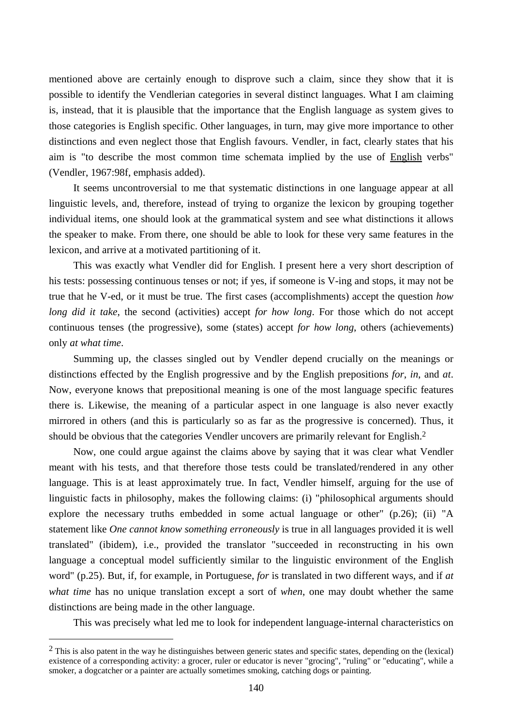mentioned above are certainly enough to disprove such a claim, since they show that it is possible to identify the Vendlerian categories in several distinct languages. What I am claiming is, instead, that it is plausible that the importance that the English language as system gives to those categories is English specific. Other languages, in turn, may give more importance to other distinctions and even neglect those that English favours. Vendler, in fact, clearly states that his aim is "to describe the most common time schemata implied by the use of English verbs" (Vendler, 1967:98f, emphasis added).

It seems uncontroversial to me that systematic distinctions in one language appear at all linguistic levels, and, therefore, instead of trying to organize the lexicon by grouping together individual items, one should look at the grammatical system and see what distinctions it allows the speaker to make. From there, one should be able to look for these very same features in the lexicon, and arrive at a motivated partitioning of it.

This was exactly what Vendler did for English. I present here a very short description of his tests: possessing continuous tenses or not; if yes, if someone is V-ing and stops, it may not be true that he V-ed, or it must be true. The first cases (accomplishments) accept the question *how long did it take*, the second (activities) accept *for how long*. For those which do not accept continuous tenses (the progressive), some (states) accept *for how long*, others (achievements) only *at what time*.

Summing up, the classes singled out by Vendler depend crucially on the meanings or distinctions effected by the English progressive and by the English prepositions *for*, *in*, and *at*. Now, everyone knows that prepositional meaning is one of the most language specific features there is. Likewise, the meaning of a particular aspect in one language is also never exactly mirrored in others (and this is particularly so as far as the progressive is concerned). Thus, it should be obvious that the categories Vendler uncovers are primarily relevant for English.2

Now, one could argue against the claims above by saying that it was clear what Vendler meant with his tests, and that therefore those tests could be translated/rendered in any other language. This is at least approximately true. In fact, Vendler himself, arguing for the use of linguistic facts in philosophy, makes the following claims: (i) "philosophical arguments should explore the necessary truths embedded in some actual language or other" (p.26); (ii) "A statement like *One cannot know something erroneously* is true in all languages provided it is well translated" (ibidem), i.e., provided the translator "succeeded in reconstructing in his own language a conceptual model sufficiently similar to the linguistic environment of the English word" (p.25). But, if, for example, in Portuguese, *for* is translated in two different ways, and if *at what time* has no unique translation except a sort of *when*, one may doubt whether the same distinctions are being made in the other language.

This was precisely what led me to look for independent language-internal characteristics on

 $\overline{a}$ 

 $2$  This is also patent in the way he distinguishes between generic states and specific states, depending on the (lexical) existence of a corresponding activity: a grocer, ruler or educator is never "grocing", "ruling" or "educating", while a smoker, a dogcatcher or a painter are actually sometimes smoking, catching dogs or painting.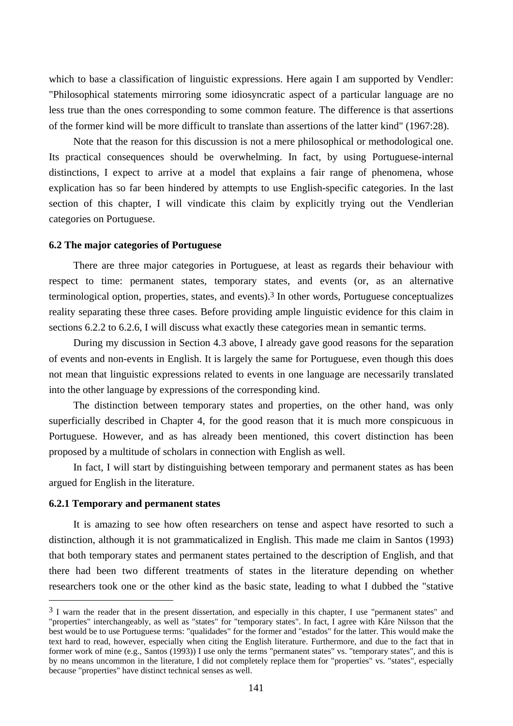which to base a classification of linguistic expressions. Here again I am supported by Vendler: "Philosophical statements mirroring some idiosyncratic aspect of a particular language are no less true than the ones corresponding to some common feature. The difference is that assertions of the former kind will be more difficult to translate than assertions of the latter kind" (1967:28).

Note that the reason for this discussion is not a mere philosophical or methodological one. Its practical consequences should be overwhelming. In fact, by using Portuguese-internal distinctions, I expect to arrive at a model that explains a fair range of phenomena, whose explication has so far been hindered by attempts to use English-specific categories. In the last section of this chapter, I will vindicate this claim by explicitly trying out the Vendlerian categories on Portuguese.

#### **6.2 The major categories of Portuguese**

There are three major categories in Portuguese, at least as regards their behaviour with respect to time: permanent states, temporary states, and events (or, as an alternative terminological option, properties, states, and events).3 In other words, Portuguese conceptualizes reality separating these three cases. Before providing ample linguistic evidence for this claim in sections 6.2.2 to 6.2.6, I will discuss what exactly these categories mean in semantic terms.

During my discussion in Section 4.3 above, I already gave good reasons for the separation of events and non-events in English. It is largely the same for Portuguese, even though this does not mean that linguistic expressions related to events in one language are necessarily translated into the other language by expressions of the corresponding kind.

The distinction between temporary states and properties, on the other hand, was only superficially described in Chapter 4, for the good reason that it is much more conspicuous in Portuguese. However, and as has already been mentioned, this covert distinction has been proposed by a multitude of scholars in connection with English as well.

In fact, I will start by distinguishing between temporary and permanent states as has been argued for English in the literature.

## **6.2.1 Temporary and permanent states**

 $\overline{a}$ 

It is amazing to see how often researchers on tense and aspect have resorted to such a distinction, although it is not grammaticalized in English. This made me claim in Santos (1993) that both temporary states and permanent states pertained to the description of English, and that there had been two different treatments of states in the literature depending on whether researchers took one or the other kind as the basic state, leading to what I dubbed the "stative

 $3$  I warn the reader that in the present dissertation, and especially in this chapter. I use "permanent states" and "properties" interchangeably, as well as "states" for "temporary states". In fact, I agree with Kåre Nilsson that the best would be to use Portuguese terms: "qualidades" for the former and "estados" for the latter. This would make the text hard to read, however, especially when citing the English literature. Furthermore, and due to the fact that in former work of mine (e.g., Santos (1993)) I use only the terms "permanent states" vs. "temporary states", and this is by no means uncommon in the literature, I did not completely replace them for "properties" vs. "states", especially because "properties" have distinct technical senses as well.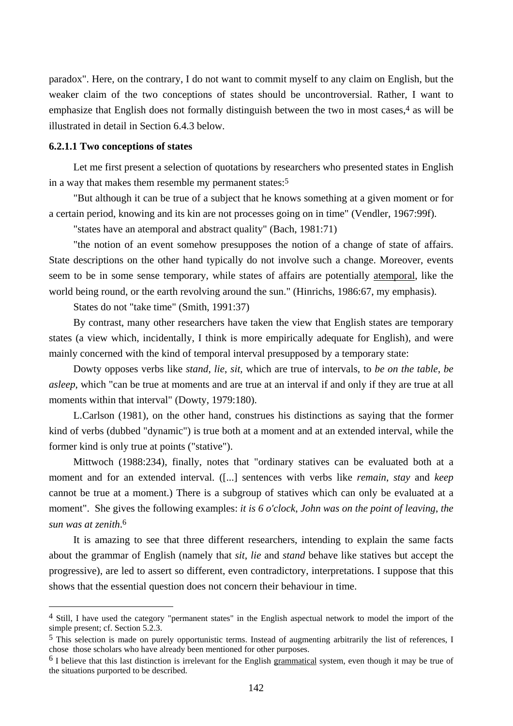paradox". Here, on the contrary, I do not want to commit myself to any claim on English, but the weaker claim of the two conceptions of states should be uncontroversial. Rather, I want to emphasize that English does not formally distinguish between the two in most cases, $4$  as will be illustrated in detail in Section 6.4.3 below.

# **6.2.1.1 Two conceptions of states**

 $\overline{a}$ 

Let me first present a selection of quotations by researchers who presented states in English in a way that makes them resemble my permanent states:5

"But although it can be true of a subject that he knows something at a given moment or for a certain period, knowing and its kin are not processes going on in time" (Vendler, 1967:99f).

"states have an atemporal and abstract quality" (Bach, 1981:71)

"the notion of an event somehow presupposes the notion of a change of state of affairs. State descriptions on the other hand typically do not involve such a change. Moreover, events seem to be in some sense temporary, while states of affairs are potentially atemporal, like the world being round, or the earth revolving around the sun." (Hinrichs, 1986:67, my emphasis).

States do not "take time" (Smith, 1991:37)

By contrast, many other researchers have taken the view that English states are temporary states (a view which, incidentally, I think is more empirically adequate for English), and were mainly concerned with the kind of temporal interval presupposed by a temporary state:

Dowty opposes verbs like *stand*, *lie*, *sit*, which are true of intervals, to *be on the table*, *be asleep*, which "can be true at moments and are true at an interval if and only if they are true at all moments within that interval" (Dowty, 1979:180).

L.Carlson (1981), on the other hand, construes his distinctions as saying that the former kind of verbs (dubbed "dynamic") is true both at a moment and at an extended interval, while the former kind is only true at points ("stative").

Mittwoch (1988:234), finally, notes that "ordinary statives can be evaluated both at a moment and for an extended interval. ([...] sentences with verbs like *remain*, *stay* and *keep* cannot be true at a moment.) There is a subgroup of statives which can only be evaluated at a moment". She gives the following examples: *it is 6 o'clock*, *John was on the point of leaving*, *the sun was at zenith*. 6

It is amazing to see that three different researchers, intending to explain the same facts about the grammar of English (namely that *sit*, *lie* and *stand* behave like statives but accept the progressive), are led to assert so different, even contradictory, interpretations. I suppose that this shows that the essential question does not concern their behaviour in time.

<sup>4</sup> Still, I have used the category "permanent states" in the English aspectual network to model the import of the simple present; cf. Section 5.2.3.

<sup>5</sup> This selection is made on purely opportunistic terms. Instead of augmenting arbitrarily the list of references, I chose those scholars who have already been mentioned for other purposes.

<sup>&</sup>lt;sup>6</sup> I believe that this last distinction is irrelevant for the English grammatical system, even though it may be true of the situations purported to be described.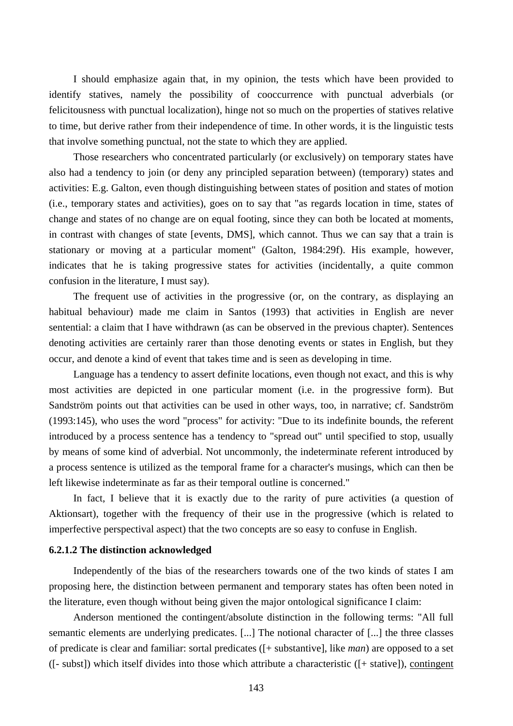I should emphasize again that, in my opinion, the tests which have been provided to identify statives, namely the possibility of cooccurrence with punctual adverbials (or felicitousness with punctual localization), hinge not so much on the properties of statives relative to time, but derive rather from their independence of time. In other words, it is the linguistic tests that involve something punctual, not the state to which they are applied.

Those researchers who concentrated particularly (or exclusively) on temporary states have also had a tendency to join (or deny any principled separation between) (temporary) states and activities: E.g. Galton, even though distinguishing between states of position and states of motion (i.e., temporary states and activities), goes on to say that "as regards location in time, states of change and states of no change are on equal footing, since they can both be located at moments, in contrast with changes of state [events, DMS], which cannot. Thus we can say that a train is stationary or moving at a particular moment" (Galton, 1984:29f). His example, however, indicates that he is taking progressive states for activities (incidentally, a quite common confusion in the literature, I must say).

The frequent use of activities in the progressive (or, on the contrary, as displaying an habitual behaviour) made me claim in Santos (1993) that activities in English are never sentential: a claim that I have withdrawn (as can be observed in the previous chapter). Sentences denoting activities are certainly rarer than those denoting events or states in English, but they occur, and denote a kind of event that takes time and is seen as developing in time.

Language has a tendency to assert definite locations, even though not exact, and this is why most activities are depicted in one particular moment (i.e. in the progressive form). But Sandström points out that activities can be used in other ways, too, in narrative; cf. Sandström (1993:145), who uses the word "process" for activity: "Due to its indefinite bounds, the referent introduced by a process sentence has a tendency to "spread out" until specified to stop, usually by means of some kind of adverbial. Not uncommonly, the indeterminate referent introduced by a process sentence is utilized as the temporal frame for a character's musings, which can then be left likewise indeterminate as far as their temporal outline is concerned."

In fact, I believe that it is exactly due to the rarity of pure activities (a question of Aktionsart), together with the frequency of their use in the progressive (which is related to imperfective perspectival aspect) that the two concepts are so easy to confuse in English.

### **6.2.1.2 The distinction acknowledged**

Independently of the bias of the researchers towards one of the two kinds of states I am proposing here, the distinction between permanent and temporary states has often been noted in the literature, even though without being given the major ontological significance I claim:

Anderson mentioned the contingent/absolute distinction in the following terms: "All full semantic elements are underlying predicates. [...] The notional character of [...] the three classes of predicate is clear and familiar: sortal predicates ([+ substantive], like *man*) are opposed to a set ([- subst]) which itself divides into those which attribute a characteristic ([+ stative]), contingent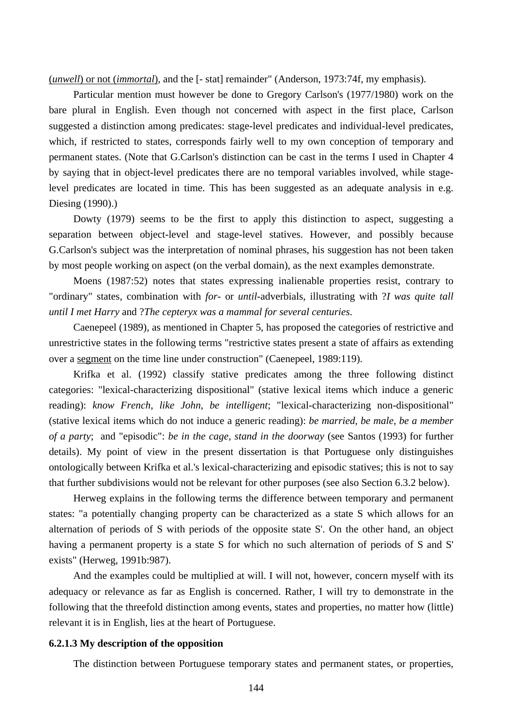(*unwell*) or not (*immortal*), and the [- stat] remainder" (Anderson, 1973:74f, my emphasis).

Particular mention must however be done to Gregory Carlson's (1977/1980) work on the bare plural in English. Even though not concerned with aspect in the first place, Carlson suggested a distinction among predicates: stage-level predicates and individual-level predicates, which, if restricted to states, corresponds fairly well to my own conception of temporary and permanent states. (Note that G.Carlson's distinction can be cast in the terms I used in Chapter 4 by saying that in object-level predicates there are no temporal variables involved, while stagelevel predicates are located in time. This has been suggested as an adequate analysis in e.g. Diesing (1990).)

Dowty (1979) seems to be the first to apply this distinction to aspect, suggesting a separation between object-level and stage-level statives. However, and possibly because G.Carlson's subject was the interpretation of nominal phrases, his suggestion has not been taken by most people working on aspect (on the verbal domain), as the next examples demonstrate.

Moens (1987:52) notes that states expressing inalienable properties resist, contrary to "ordinary" states, combination with *for-* or *until*-adverbials, illustrating with ?*I was quite tall until I met Harry* and ?*The cepteryx was a mammal for several centuries*.

Caenepeel (1989), as mentioned in Chapter 5, has proposed the categories of restrictive and unrestrictive states in the following terms "restrictive states present a state of affairs as extending over a segment on the time line under construction" (Caenepeel, 1989:119).

Krifka et al. (1992) classify stative predicates among the three following distinct categories: "lexical-characterizing dispositional" (stative lexical items which induce a generic reading): *know French, like John, be intelligent*; "lexical-characterizing non-dispositional" (stative lexical items which do not induce a generic reading): *be married, be male, be a member of a party*; and "episodic": *be in the cage, stand in the doorway* (see Santos (1993) for further details). My point of view in the present dissertation is that Portuguese only distinguishes ontologically between Krifka et al.'s lexical-characterizing and episodic statives; this is not to say that further subdivisions would not be relevant for other purposes (see also Section 6.3.2 below).

Herweg explains in the following terms the difference between temporary and permanent states: "a potentially changing property can be characterized as a state S which allows for an alternation of periods of S with periods of the opposite state S'. On the other hand, an object having a permanent property is a state S for which no such alternation of periods of S and S' exists" (Herweg, 1991b:987).

And the examples could be multiplied at will. I will not, however, concern myself with its adequacy or relevance as far as English is concerned. Rather, I will try to demonstrate in the following that the threefold distinction among events, states and properties, no matter how (little) relevant it is in English, lies at the heart of Portuguese.

#### **6.2.1.3 My description of the opposition**

The distinction between Portuguese temporary states and permanent states, or properties,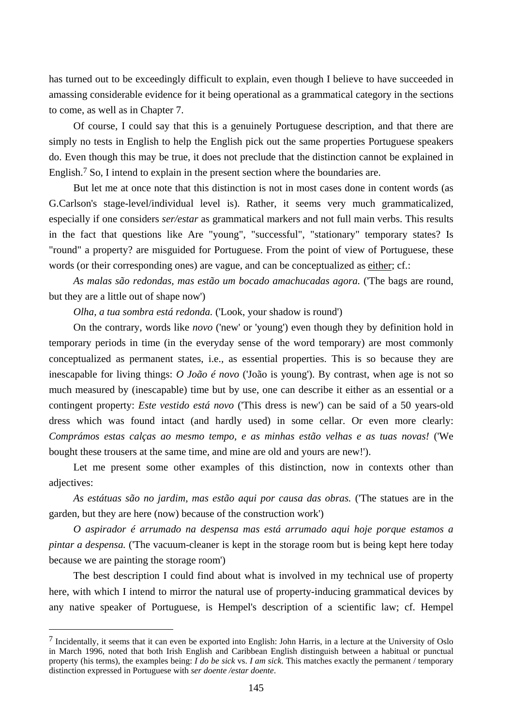has turned out to be exceedingly difficult to explain, even though I believe to have succeeded in amassing considerable evidence for it being operational as a grammatical category in the sections to come, as well as in Chapter 7.

Of course, I could say that this is a genuinely Portuguese description, and that there are simply no tests in English to help the English pick out the same properties Portuguese speakers do. Even though this may be true, it does not preclude that the distinction cannot be explained in English.7 So, I intend to explain in the present section where the boundaries are.

But let me at once note that this distinction is not in most cases done in content words (as G.Carlson's stage-level/individual level is). Rather, it seems very much grammaticalized, especially if one considers *ser/estar* as grammatical markers and not full main verbs. This results in the fact that questions like Are "young", "successful", "stationary" temporary states? Is "round" a property? are misguided for Portuguese. From the point of view of Portuguese, these words (or their corresponding ones) are vague, and can be conceptualized as either; cf.:

*As malas são redondas, mas estão um bocado amachucadas agora.* ('The bags are round, but they are a little out of shape now')

*Olha, a tua sombra está redonda.* ('Look, your shadow is round')

On the contrary, words like *novo* ('new' or 'young') even though they by definition hold in temporary periods in time (in the everyday sense of the word temporary) are most commonly conceptualized as permanent states, i.e., as essential properties. This is so because they are inescapable for living things: *O João é novo* ('João is young'). By contrast, when age is not so much measured by (inescapable) time but by use, one can describe it either as an essential or a contingent property: *Este vestido está novo* ('This dress is new') can be said of a 50 years-old dress which was found intact (and hardly used) in some cellar. Or even more clearly: *Comprámos estas calças ao mesmo tempo, e as minhas estão velhas e as tuas novas!* ('We bought these trousers at the same time, and mine are old and yours are new!').

Let me present some other examples of this distinction, now in contexts other than adjectives:

*As estátuas são no jardim, mas estão aqui por causa das obras.* ('The statues are in the garden, but they are here (now) because of the construction work')

*O aspirador é arrumado na despensa mas está arrumado aqui hoje porque estamos a pintar a despensa.* ('The vacuum-cleaner is kept in the storage room but is being kept here today because we are painting the storage room')

The best description I could find about what is involved in my technical use of property here, with which I intend to mirror the natural use of property-inducing grammatical devices by any native speaker of Portuguese, is Hempel's description of a scientific law; cf. Hempel

 $\overline{a}$ 

<sup>7</sup> Incidentally, it seems that it can even be exported into English: John Harris, in a lecture at the University of Oslo in March 1996, noted that both Irish English and Caribbean English distinguish between a habitual or punctual property (his terms), the examples being: *I do be sick* vs. *I am sick*. This matches exactly the permanent / temporary distinction expressed in Portuguese with *ser doente /estar doente*.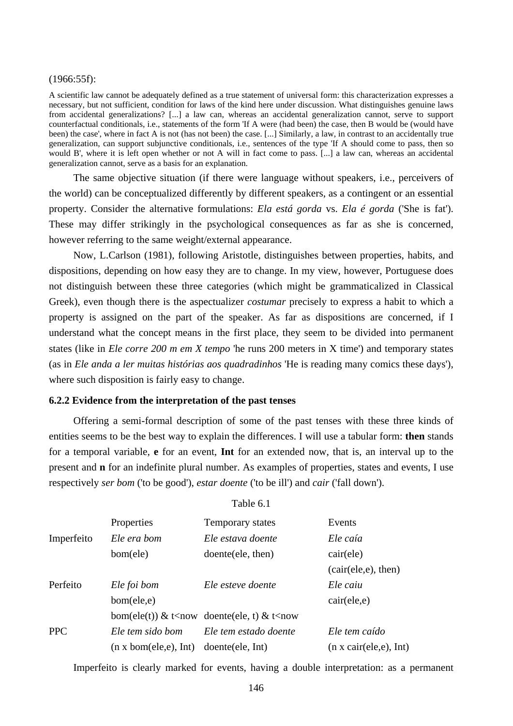#### (1966:55f):

A scientific law cannot be adequately defined as a true statement of universal form: this characterization expresses a necessary, but not sufficient, condition for laws of the kind here under discussion. What distinguishes genuine laws from accidental generalizations? [...] a law can, whereas an accidental generalization cannot, serve to support counterfactual conditionals, i.e., statements of the form 'If A were (had been) the case, then B would be (would have been) the case', where in fact A is not (has not been) the case. [...] Similarly, a law, in contrast to an accidentally true generalization, can support subjunctive conditionals, i.e., sentences of the type 'If A should come to pass, then so would B', where it is left open whether or not A will in fact come to pass. [...] a law can, whereas an accidental generalization cannot, serve as a basis for an explanation.

The same objective situation (if there were language without speakers, i.e., perceivers of the world) can be conceptualized differently by different speakers, as a contingent or an essential property. Consider the alternative formulations: *Ela está gorda* vs. *Ela é gorda* ('She is fat'). These may differ strikingly in the psychological consequences as far as she is concerned, however referring to the same weight/external appearance.

Now, L.Carlson (1981), following Aristotle, distinguishes between properties, habits, and dispositions, depending on how easy they are to change. In my view, however, Portuguese does not distinguish between these three categories (which might be grammaticalized in Classical Greek), even though there is the aspectualizer *costumar* precisely to express a habit to which a property is assigned on the part of the speaker. As far as dispositions are concerned, if I understand what the concept means in the first place, they seem to be divided into permanent states (like in *Ele corre 200 m em X tempo* 'he runs 200 meters in X time') and temporary states (as in *Ele anda a ler muitas histórias aos quadradinhos* 'He is reading many comics these days'), where such disposition is fairly easy to change.

## **6.2.2 Evidence from the interpretation of the past tenses**

Offering a semi-formal description of some of the past tenses with these three kinds of entities seems to be the best way to explain the differences. I will use a tabular form: **then** stands for a temporal variable, **e** for an event, **Int** for an extended now, that is, an interval up to the present and **n** for an indefinite plural number. As examples of properties, states and events, I use respectively *ser bom* ('to be good'), *estar doente* ('to be ill') and *cair* ('fall down').

Table 6.1

|            | Properties                                  | Temporary states                                                               | Events                         |
|------------|---------------------------------------------|--------------------------------------------------------------------------------|--------------------------------|
| Imperfeito | Ele era bom                                 | Ele estava doente                                                              | Ele caía                       |
|            | bom(ele)                                    | doente (ele, then)                                                             | cair(ele)                      |
| Perfeito   |                                             |                                                                                | (cair(ele, e), then)           |
|            | Ele foi bom                                 | Ele esteve doente                                                              | Ele caiu                       |
|            | bom(ele,e)                                  |                                                                                | cair(ele, e)                   |
| <b>PPC</b> |                                             | bom(ele(t)) & t <now &="" doente(ele,="" t)="" t<now<="" td=""><td></td></now> |                                |
|            | Ele tem sido bom                            | Ele tem estado doente                                                          | Ele tem caído                  |
|            | $(n \times \text{bom}(ele, e), \text{Int})$ | doente (ele, Int)                                                              | $(n \times cair(ele, e), Int)$ |

Imperfeito is clearly marked for events, having a double interpretation: as a permanent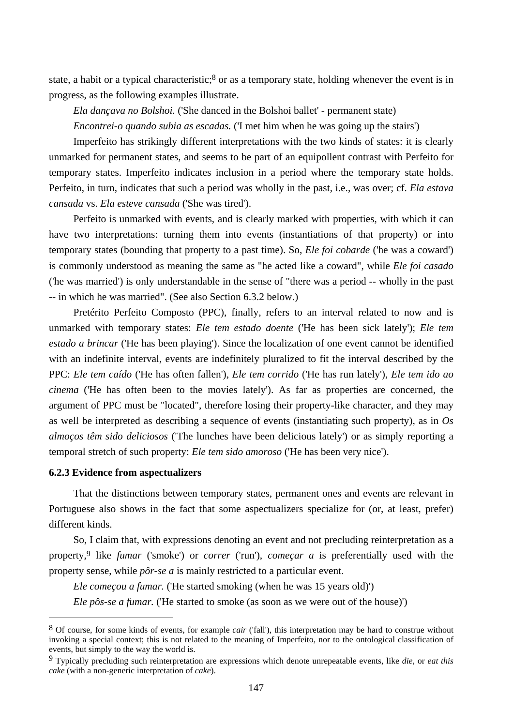state, a habit or a typical characteristic;<sup>8</sup> or as a temporary state, holding whenever the event is in progress, as the following examples illustrate.

*Ela dançava no Bolshoi.* ('She danced in the Bolshoi ballet' - permanent state)

*Encontrei-o quando subia as escadas.* ('I met him when he was going up the stairs')

Imperfeito has strikingly different interpretations with the two kinds of states: it is clearly unmarked for permanent states, and seems to be part of an equipollent contrast with Perfeito for temporary states. Imperfeito indicates inclusion in a period where the temporary state holds. Perfeito, in turn, indicates that such a period was wholly in the past, i.e., was over; cf. *Ela estava cansada* vs. *Ela esteve cansada* ('She was tired').

Perfeito is unmarked with events, and is clearly marked with properties, with which it can have two interpretations: turning them into events (instantiations of that property) or into temporary states (bounding that property to a past time). So, *Ele foi cobarde* ('he was a coward') is commonly understood as meaning the same as "he acted like a coward", while *Ele foi casado* ('he was married') is only understandable in the sense of "there was a period -- wholly in the past -- in which he was married". (See also Section 6.3.2 below.)

Pretérito Perfeito Composto (PPC), finally, refers to an interval related to now and is unmarked with temporary states: *Ele tem estado doente* ('He has been sick lately'); *Ele tem estado a brincar* ('He has been playing'). Since the localization of one event cannot be identified with an indefinite interval, events are indefinitely pluralized to fit the interval described by the PPC: *Ele tem caído* ('He has often fallen'), *Ele tem corrido* ('He has run lately'), *Ele tem ido ao cinema* ('He has often been to the movies lately'). As far as properties are concerned, the argument of PPC must be "located", therefore losing their property-like character, and they may as well be interpreted as describing a sequence of events (instantiating such property), as in *Os almoços têm sido deliciosos* ('The lunches have been delicious lately') or as simply reporting a temporal stretch of such property: *Ele tem sido amoroso* ('He has been very nice').

## **6.2.3 Evidence from aspectualizers**

 $\overline{a}$ 

That the distinctions between temporary states, permanent ones and events are relevant in Portuguese also shows in the fact that some aspectualizers specialize for (or, at least, prefer) different kinds.

So, I claim that, with expressions denoting an event and not precluding reinterpretation as a property,9 like *fumar* ('smoke') or *correr* ('run'), *começar a* is preferentially used with the property sense, while *pôr-se a* is mainly restricted to a particular event.

*Ele começou a fumar.* ('He started smoking (when he was 15 years old)')

*Ele pôs-se a fumar.* ('He started to smoke (as soon as we were out of the house)')

<sup>8</sup> Of course, for some kinds of events, for example *cair* ('fall'), this interpretation may be hard to construe without invoking a special context; this is not related to the meaning of Imperfeito, nor to the ontological classification of events, but simply to the way the world is.

<sup>9</sup> Typically precluding such reinterpretation are expressions which denote unrepeatable events, like *die*, or *eat this cake* (with a non-generic interpretation of *cake*).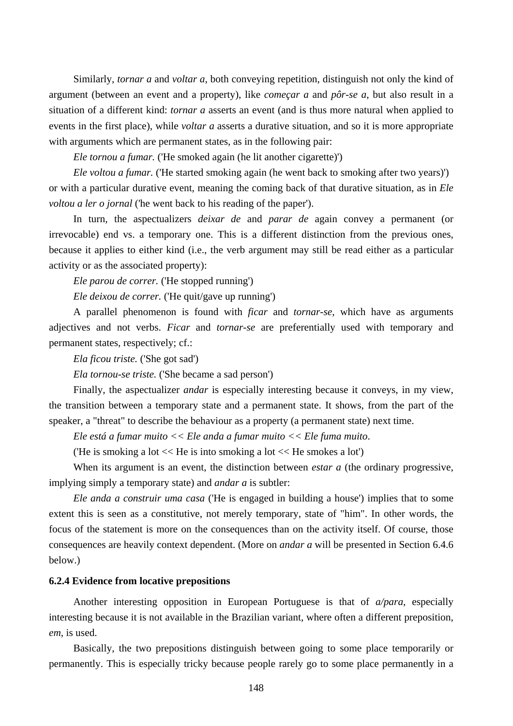Similarly, *tornar a* and *voltar a*, both conveying repetition, distinguish not only the kind of argument (between an event and a property), like *começar a* and *pôr-se a*, but also result in a situation of a different kind: *tornar a* asserts an event (and is thus more natural when applied to events in the first place), while *voltar a* asserts a durative situation, and so it is more appropriate with arguments which are permanent states, as in the following pair:

*Ele tornou a fumar.* ('He smoked again (he lit another cigarette)')

*Ele voltou a fumar.* ('He started smoking again (he went back to smoking after two years)') or with a particular durative event, meaning the coming back of that durative situation, as in *Ele voltou a ler o jornal* ('he went back to his reading of the paper').

In turn, the aspectualizers *deixar de* and *parar de* again convey a permanent (or irrevocable) end vs. a temporary one. This is a different distinction from the previous ones, because it applies to either kind (i.e., the verb argument may still be read either as a particular activity or as the associated property):

*Ele parou de correr.* ('He stopped running')

*Ele deixou de correr.* ('He quit/gave up running')

A parallel phenomenon is found with *ficar* and *tornar-se*, which have as arguments adjectives and not verbs. *Ficar* and *tornar-se* are preferentially used with temporary and permanent states, respectively; cf.:

*Ela ficou triste.* ('She got sad')

*Ela tornou-se triste.* ('She became a sad person')

Finally, the aspectualizer *andar* is especially interesting because it conveys, in my view, the transition between a temporary state and a permanent state. It shows, from the part of the speaker, a "threat" to describe the behaviour as a property (a permanent state) next time.

*Ele está a fumar muito << Ele anda a fumar muito << Ele fuma muito*.

('He is smoking a lot << He is into smoking a lot << He smokes a lot')

When its argument is an event, the distinction between *estar a* (the ordinary progressive, implying simply a temporary state) and *andar a* is subtler:

*Ele anda a construir uma casa* ('He is engaged in building a house') implies that to some extent this is seen as a constitutive, not merely temporary, state of "him". In other words, the focus of the statement is more on the consequences than on the activity itself. Of course, those consequences are heavily context dependent. (More on *andar a* will be presented in Section 6.4.6 below.)

## **6.2.4 Evidence from locative prepositions**

Another interesting opposition in European Portuguese is that of *a/para*, especially interesting because it is not available in the Brazilian variant, where often a different preposition, *em*, is used.

Basically, the two prepositions distinguish between going to some place temporarily or permanently. This is especially tricky because people rarely go to some place permanently in a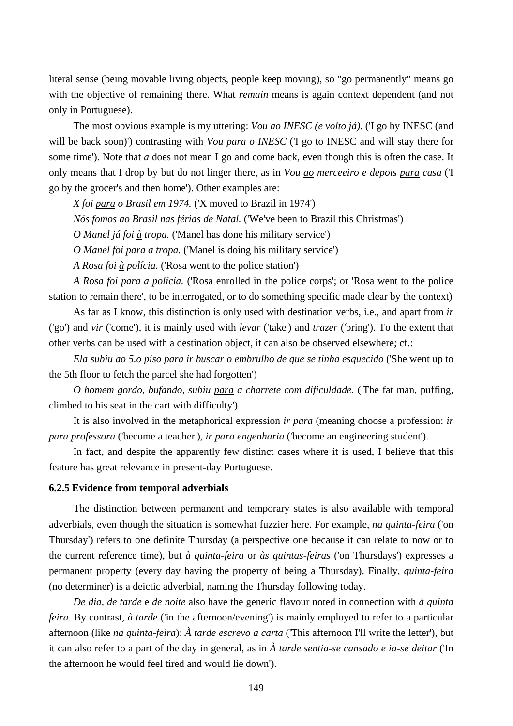literal sense (being movable living objects, people keep moving), so "go permanently" means go with the objective of remaining there. What *remain* means is again context dependent (and not only in Portuguese).

The most obvious example is my uttering: *Vou ao INESC (e volto já)*. ('I go by INESC (and will be back soon)') contrasting with *Vou para o INESC* ('I go to INESC and will stay there for some time'). Note that *a* does not mean I go and come back, even though this is often the case. It only means that I drop by but do not linger there, as in *Vou ao merceeiro e depois para casa* ('I go by the grocer's and then home'). Other examples are:

*X foi para o Brasil em 1974.* ('X moved to Brazil in 1974')

*Nós fomos ao Brasil nas férias de Natal.* ('We've been to Brazil this Christmas')

*O Manel já foi à tropa.* ('Manel has done his military service')

*O Manel foi para a tropa.* ('Manel is doing his military service')

*A Rosa foi à polícia.* ('Rosa went to the police station')

*A Rosa foi para a polícia.* ('Rosa enrolled in the police corps'; or 'Rosa went to the police station to remain there', to be interrogated, or to do something specific made clear by the context)

As far as I know, this distinction is only used with destination verbs, i.e., and apart from *ir* ('go') and *vir* ('come'), it is mainly used with *levar* ('take') and *trazer* ('bring'). To the extent that other verbs can be used with a destination object, it can also be observed elsewhere; cf.:

*Ela subiu ao 5.o piso para ir buscar o embrulho de que se tinha esquecido* ('She went up to the 5th floor to fetch the parcel she had forgotten')

*O homem gordo, bufando, subiu para a charrete com dificuldade.* ('The fat man, puffing, climbed to his seat in the cart with difficulty')

It is also involved in the metaphorical expression *ir para* (meaning choose a profession: *ir para professora* ('become a teacher'), *ir para engenharia* ('become an engineering student').

In fact, and despite the apparently few distinct cases where it is used, I believe that this feature has great relevance in present-day Portuguese.

### **6.2.5 Evidence from temporal adverbials**

The distinction between permanent and temporary states is also available with temporal adverbials, even though the situation is somewhat fuzzier here. For example, *na quinta-feira* ('on Thursday') refers to one definite Thursday (a perspective one because it can relate to now or to the current reference time), but *à quinta-feira* or *às quintas-feiras* ('on Thursdays') expresses a permanent property (every day having the property of being a Thursday). Finally, *quinta-feira* (no determiner) is a deictic adverbial, naming the Thursday following today.

*De dia*, *de tarde* e *de noite* also have the generic flavour noted in connection with *à quinta feira*. By contrast, *à tarde* ('in the afternoon/evening') is mainly employed to refer to a particular afternoon (like *na quinta-feira*): *À tarde escrevo a carta* ('This afternoon I'll write the letter'), but it can also refer to a part of the day in general, as in *À tarde sentia-se cansado e ia-se deitar* ('In the afternoon he would feel tired and would lie down').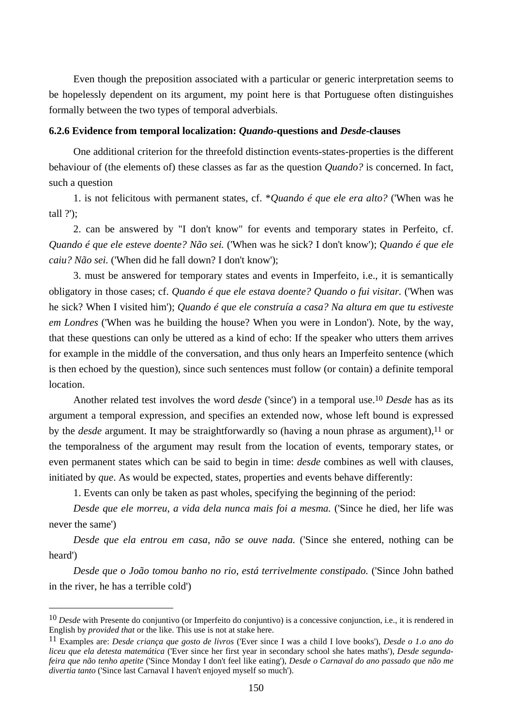Even though the preposition associated with a particular or generic interpretation seems to be hopelessly dependent on its argument, my point here is that Portuguese often distinguishes formally between the two types of temporal adverbials.

## **6.2.6 Evidence from temporal localization:** *Quando***-questions and** *Desde***-clauses**

One additional criterion for the threefold distinction events-states-properties is the different behaviour of (the elements of) these classes as far as the question *Quando?* is concerned. In fact, such a question

1. is not felicitous with permanent states, cf. \**Quando é que ele era alto?* ('When was he tall ?');

2. can be answered by "I don't know" for events and temporary states in Perfeito, cf. *Quando é que ele esteve doente? Não sei.* ('When was he sick? I don't know'); *Quando é que ele caiu? Não sei.* ('When did he fall down? I don't know');

3. must be answered for temporary states and events in Imperfeito, i.e., it is semantically obligatory in those cases; cf. *Quando é que ele estava doente? Quando o fui visitar.* ('When was he sick? When I visited him'); *Quando é que ele construía a casa? Na altura em que tu estiveste em Londres* ('When was he building the house? When you were in London'). Note, by the way, that these questions can only be uttered as a kind of echo: If the speaker who utters them arrives for example in the middle of the conversation, and thus only hears an Imperfeito sentence (which is then echoed by the question), since such sentences must follow (or contain) a definite temporal location.

Another related test involves the word *desde* ('since') in a temporal use.10 *Desde* has as its argument a temporal expression, and specifies an extended now, whose left bound is expressed by the *desde* argument. It may be straightforwardly so (having a noun phrase as argument),<sup>11</sup> or the temporalness of the argument may result from the location of events, temporary states, or even permanent states which can be said to begin in time: *desde* combines as well with clauses, initiated by *que*. As would be expected, states, properties and events behave differently:

1. Events can only be taken as past wholes, specifying the beginning of the period:

*Desde que ele morreu, a vida dela nunca mais foi a mesma.* ('Since he died, her life was never the same')

*Desde que ela entrou em casa, não se ouve nada.* ('Since she entered, nothing can be heard')

*Desde que o João tomou banho no rio, está terrivelmente constipado.* ('Since John bathed in the river, he has a terrible cold')

 $\overline{a}$ 

<sup>10</sup> *Desde* with Presente do conjuntivo (or Imperfeito do conjuntivo) is a concessive conjunction, i.e., it is rendered in English by *provided that* or the like. This use is not at stake here.

<sup>11</sup> Examples are: *Desde criança que gosto de livros* ('Ever since I was a child I love books'), *Desde o 1.o ano do liceu que ela detesta matemática* ('Ever since her first year in secondary school she hates maths'), *Desde segundafeira que não tenho apetite* ('Since Monday I don't feel like eating'), *Desde o Carnaval do ano passado que não me divertia tanto* ('Since last Carnaval I haven't enjoyed myself so much').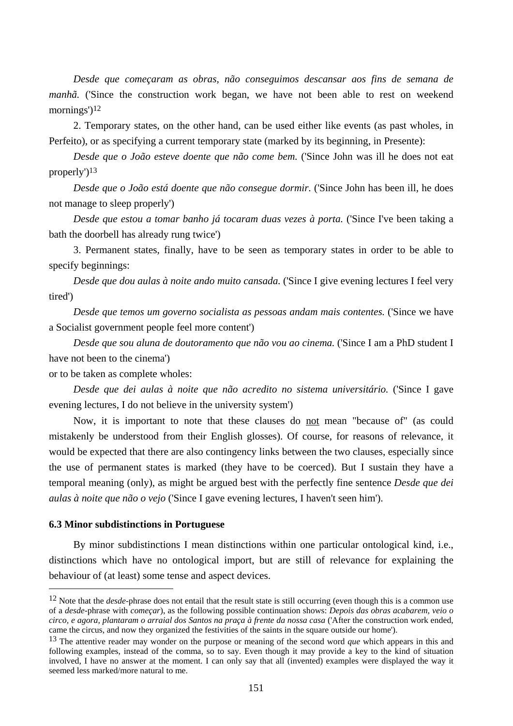*Desde que começaram as obras, não conseguimos descansar aos fins de semana de manhã.* ('Since the construction work began, we have not been able to rest on weekend mornings')<sup>12</sup>

2. Temporary states, on the other hand, can be used either like events (as past wholes, in Perfeito), or as specifying a current temporary state (marked by its beginning, in Presente):

*Desde que o João esteve doente que não come bem.* ('Since John was ill he does not eat properly')13

*Desde que o João está doente que não consegue dormir.* ('Since John has been ill, he does not manage to sleep properly')

*Desde que estou a tomar banho já tocaram duas vezes à porta.* ('Since I've been taking a bath the doorbell has already rung twice')

3. Permanent states, finally, have to be seen as temporary states in order to be able to specify beginnings:

*Desde que dou aulas à noite ando muito cansada.* ('Since I give evening lectures I feel very tired')

*Desde que temos um governo socialista as pessoas andam mais contentes.* ('Since we have a Socialist government people feel more content')

*Desde que sou aluna de doutoramento que não vou ao cinema.* ('Since I am a PhD student I have not been to the cinema')

or to be taken as complete wholes:

*Desde que dei aulas à noite que não acredito no sistema universitário.* ('Since I gave evening lectures, I do not believe in the university system')

Now, it is important to note that these clauses do not mean "because of" (as could mistakenly be understood from their English glosses). Of course, for reasons of relevance, it would be expected that there are also contingency links between the two clauses, especially since the use of permanent states is marked (they have to be coerced). But I sustain they have a temporal meaning (only), as might be argued best with the perfectly fine sentence *Desde que dei aulas à noite que não o vejo* ('Since I gave evening lectures, I haven't seen him').

### **6.3 Minor subdistinctions in Portuguese**

 $\overline{a}$ 

By minor subdistinctions I mean distinctions within one particular ontological kind, i.e., distinctions which have no ontological import, but are still of relevance for explaining the behaviour of (at least) some tense and aspect devices.

<sup>&</sup>lt;sup>12</sup> Note that the *desde*-phrase does not entail that the result state is still occurring (even though this is a common use of a *desde*-phrase with *começar*), as the following possible continuation shows: *Depois das obras acabarem, veio o circo, e agora, plantaram o arraial dos Santos na praça à frente da nossa casa* ('After the construction work ended, came the circus, and now they organized the festivities of the saints in the square outside our home').

<sup>13</sup> The attentive reader may wonder on the purpose or meaning of the second word *que* which appears in this and following examples, instead of the comma, so to say. Even though it may provide a key to the kind of situation involved, I have no answer at the moment. I can only say that all (invented) examples were displayed the way it seemed less marked/more natural to me.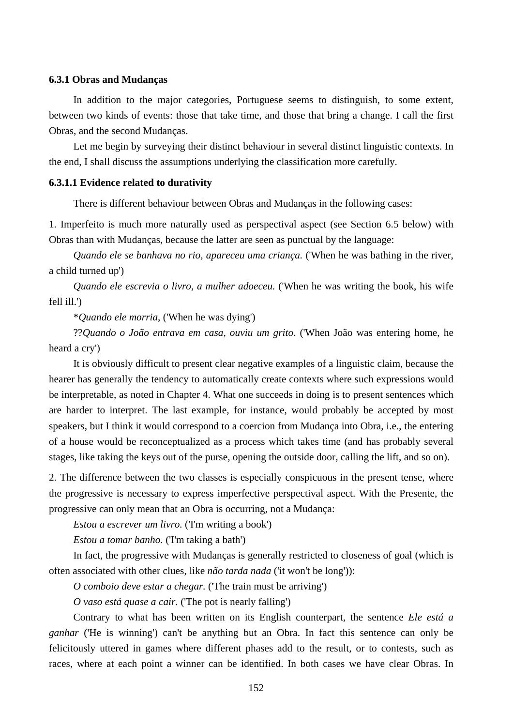## **6.3.1 Obras and Mudanças**

In addition to the major categories, Portuguese seems to distinguish, to some extent, between two kinds of events: those that take time, and those that bring a change. I call the first Obras, and the second Mudanças.

Let me begin by surveying their distinct behaviour in several distinct linguistic contexts. In the end, I shall discuss the assumptions underlying the classification more carefully.

### **6.3.1.1 Evidence related to durativity**

There is different behaviour between Obras and Mudanças in the following cases:

1. Imperfeito is much more naturally used as perspectival aspect (see Section 6.5 below) with Obras than with Mudanças, because the latter are seen as punctual by the language:

*Quando ele se banhava no rio, apareceu uma criança.* ('When he was bathing in the river, a child turned up')

*Quando ele escrevia o livro, a mulher adoeceu.* ('When he was writing the book, his wife fell ill.')

\**Quando ele morria,* ('When he was dying')

??*Quando o João entrava em casa, ouviu um grito.* ('When João was entering home, he heard a cry')

It is obviously difficult to present clear negative examples of a linguistic claim, because the hearer has generally the tendency to automatically create contexts where such expressions would be interpretable, as noted in Chapter 4. What one succeeds in doing is to present sentences which are harder to interpret. The last example, for instance, would probably be accepted by most speakers, but I think it would correspond to a coercion from Mudança into Obra, i.e., the entering of a house would be reconceptualized as a process which takes time (and has probably several stages, like taking the keys out of the purse, opening the outside door, calling the lift, and so on).

2. The difference between the two classes is especially conspicuous in the present tense, where the progressive is necessary to express imperfective perspectival aspect. With the Presente, the progressive can only mean that an Obra is occurring, not a Mudança:

*Estou a escrever um livro.* ('I'm writing a book')

*Estou a tomar banho.* ('I'm taking a bath')

In fact, the progressive with Mudanças is generally restricted to closeness of goal (which is often associated with other clues, like *não tarda nada* ('it won't be long')):

*O comboio deve estar a chegar.* ('The train must be arriving')

*O vaso está quase a cair.* ('The pot is nearly falling')

Contrary to what has been written on its English counterpart, the sentence *Ele está a ganhar* ('He is winning') can't be anything but an Obra. In fact this sentence can only be felicitously uttered in games where different phases add to the result, or to contests, such as races, where at each point a winner can be identified. In both cases we have clear Obras. In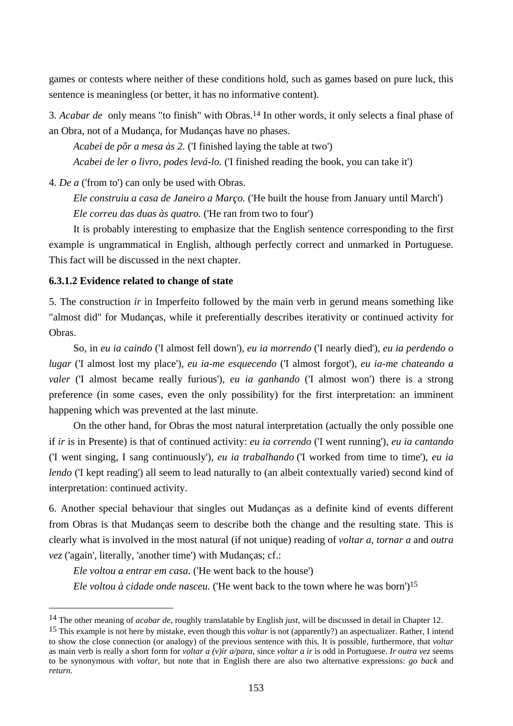games or contests where neither of these conditions hold, such as games based on pure luck, this sentence is meaningless (or better, it has no informative content).

3. *Acabar de* only means "to finish" with Obras.14 In other words, it only selects a final phase of an Obra, not of a Mudança, for Mudanças have no phases.

*Acabei de pôr a mesa às 2.* ('I finished laying the table at two') *Acabei de ler o livro, podes levá-lo.* ('I finished reading the book, you can take it')

4. *De a* ('from to') can only be used with Obras.

*Ele construiu a casa de Janeiro a Março.* ('He built the house from January until March') *Ele correu das duas às quatro.* ('He ran from two to four')

It is probably interesting to emphasize that the English sentence corresponding to the first example is ungrammatical in English, although perfectly correct and unmarked in Portuguese. This fact will be discussed in the next chapter.

# **6.3.1.2 Evidence related to change of state**

 $\overline{a}$ 

5. The construction *ir* in Imperfeito followed by the main verb in gerund means something like "almost did" for Mudanças, while it preferentially describes iterativity or continued activity for Obras.

So, in *eu ia caindo* ('I almost fell down'), *eu ia morrendo* ('I nearly died'), *eu ia perdendo o lugar* ('I almost lost my place'), *eu ia-me esquecendo* ('I almost forgot'), *eu ia-me chateando a valer* ('I almost became really furious'), *eu ia ganhando* ('I almost won') there is a strong preference (in some cases, even the only possibility) for the first interpretation: an imminent happening which was prevented at the last minute.

On the other hand, for Obras the most natural interpretation (actually the only possible one if *ir* is in Presente) is that of continued activity: *eu ia correndo* ('I went running'), *eu ia cantando*  ('I went singing, I sang continuously'), *eu ia trabalhando* ('I worked from time to time'), *eu ia lendo* ('I kept reading') all seem to lead naturally to (an albeit contextually varied) second kind of interpretation: continued activity.

6. Another special behaviour that singles out Mudanças as a definite kind of events different from Obras is that Mudanças seem to describe both the change and the resulting state. This is clearly what is involved in the most natural (if not unique) reading of *voltar a*, *tornar a* and *outra vez* ('again', literally, 'another time') with Mudanças; cf.:

*Ele voltou a entrar em casa.* ('He went back to the house') *Ele voltou à cidade onde nasceu.* ('He went back to the town where he was born')15

<sup>14</sup> The other meaning of *acabar de*, roughly translatable by English *just*, will be discussed in detail in Chapter 12.

<sup>15</sup> This example is not here by mistake, even though this *voltar* is not (apparently?) an aspectualizer. Rather, I intend to show the close connection (or analogy) of the previous sentence with this. It is possible, furthermore, that *voltar* as main verb is really a short form for *voltar a (v)ir a/para*, since *voltar a ir* is odd in Portuguese. *Ir outra vez* seems to be synonymous with *voltar*, but note that in English there are also two alternative expressions: *go back* and *return*.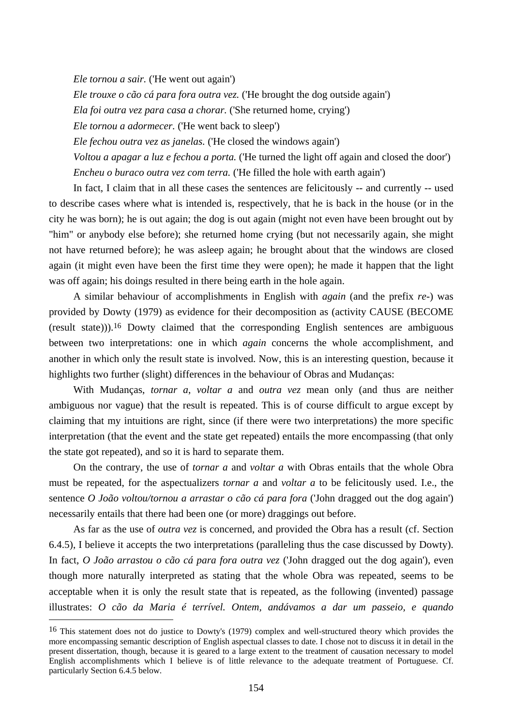*Ele tornou a sair.* ('He went out again')

*Ele trouxe o cão cá para fora outra vez.* ('He brought the dog outside again')

*Ela foi outra vez para casa a chorar.* ('She returned home, crying')

*Ele tornou a adormecer.* ('He went back to sleep')

*Ele fechou outra vez as janelas.* ('He closed the windows again')

*Voltou a apagar a luz e fechou a porta.* ('He turned the light off again and closed the door') *Encheu o buraco outra vez com terra.* ('He filled the hole with earth again')

In fact, I claim that in all these cases the sentences are felicitously -- and currently -- used to describe cases where what is intended is, respectively, that he is back in the house (or in the city he was born); he is out again; the dog is out again (might not even have been brought out by "him" or anybody else before); she returned home crying (but not necessarily again, she might not have returned before); he was asleep again; he brought about that the windows are closed again (it might even have been the first time they were open); he made it happen that the light was off again; his doings resulted in there being earth in the hole again.

A similar behaviour of accomplishments in English with *again* (and the prefix *re-*) was provided by Dowty (1979) as evidence for their decomposition as (activity CAUSE (BECOME (result state))).16 Dowty claimed that the corresponding English sentences are ambiguous between two interpretations: one in which *again* concerns the whole accomplishment, and another in which only the result state is involved. Now, this is an interesting question, because it highlights two further (slight) differences in the behaviour of Obras and Mudanças:

With Mudanças, *tornar a*, *voltar a* and *outra vez* mean only (and thus are neither ambiguous nor vague) that the result is repeated. This is of course difficult to argue except by claiming that my intuitions are right, since (if there were two interpretations) the more specific interpretation (that the event and the state get repeated) entails the more encompassing (that only the state got repeated), and so it is hard to separate them.

On the contrary, the use of *tornar a* and *voltar a* with Obras entails that the whole Obra must be repeated, for the aspectualizers *tornar a* and *voltar a* to be felicitously used. I.e., the sentence *O João voltou/tornou a arrastar o cão cá para fora* ('John dragged out the dog again') necessarily entails that there had been one (or more) draggings out before.

As far as the use of *outra vez* is concerned, and provided the Obra has a result (cf. Section 6.4.5), I believe it accepts the two interpretations (paralleling thus the case discussed by Dowty). In fact, *O João arrastou o cão cá para fora outra vez* ('John dragged out the dog again'), even though more naturally interpreted as stating that the whole Obra was repeated, seems to be acceptable when it is only the result state that is repeated, as the following (invented) passage illustrates: *O cão da Maria é terrível. Ontem, andávamos a dar um passeio, e quando* 

 $\overline{a}$ 

<sup>16</sup> This statement does not do justice to Dowty's (1979) complex and well-structured theory which provides the more encompassing semantic description of English aspectual classes to date. I chose not to discuss it in detail in the present dissertation, though, because it is geared to a large extent to the treatment of causation necessary to model English accomplishments which I believe is of little relevance to the adequate treatment of Portuguese. Cf. particularly Section 6.4.5 below.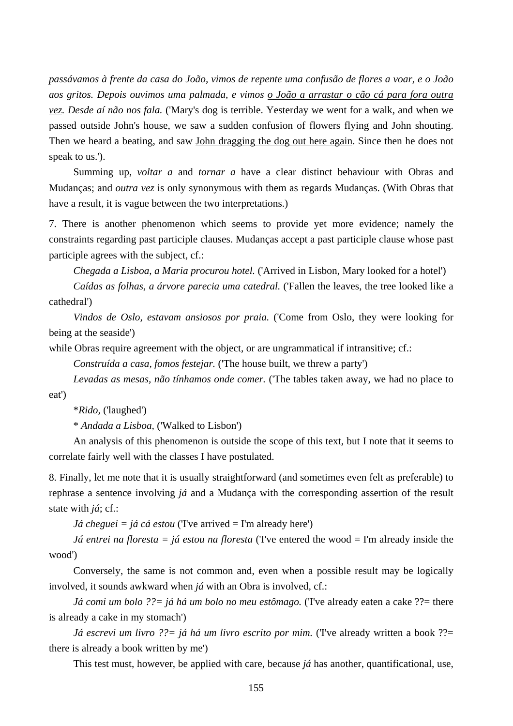*passávamos à frente da casa do João, vimos de repente uma confusão de flores a voar, e o João aos gritos. Depois ouvimos uma palmada, e vimos o João a arrastar o cão cá para fora outra vez. Desde aí não nos fala.* ('Mary's dog is terrible. Yesterday we went for a walk, and when we passed outside John's house, we saw a sudden confusion of flowers flying and John shouting. Then we heard a beating, and saw John dragging the dog out here again. Since then he does not speak to us.').

Summing up, *voltar a* and *tornar a* have a clear distinct behaviour with Obras and Mudanças; and *outra vez* is only synonymous with them as regards Mudanças. (With Obras that have a result, it is vague between the two interpretations.)

7. There is another phenomenon which seems to provide yet more evidence; namely the constraints regarding past participle clauses. Mudanças accept a past participle clause whose past participle agrees with the subject, cf.:

*Chegada a Lisboa, a Maria procurou hotel.* ('Arrived in Lisbon, Mary looked for a hotel')

*Caídas as folhas, a árvore parecia uma catedral.* ('Fallen the leaves, the tree looked like a cathedral')

*Vindos de Oslo, estavam ansiosos por praia.* ('Come from Oslo, they were looking for being at the seaside')

while Obras require agreement with the object, or are ungrammatical if intransitive; cf.:

*Construída a casa, fomos festejar.* ('The house built, we threw a party')

*Levadas as mesas, não tínhamos onde comer.* ('The tables taken away, we had no place to eat')

\**Rido,* ('laughed')

\* *Andada a Lisboa,* ('Walked to Lisbon')

An analysis of this phenomenon is outside the scope of this text, but I note that it seems to correlate fairly well with the classes I have postulated.

8. Finally, let me note that it is usually straightforward (and sometimes even felt as preferable) to rephrase a sentence involving *já* and a Mudança with the corresponding assertion of the result state with *já*; cf.:

*Já cheguei = já cá estou* (Tve arrived = I'm already here')

*Já entrei na floresta = já estou na floresta* (Tve entered the wood = I'm already inside the wood')

Conversely, the same is not common and, even when a possible result may be logically involved, it sounds awkward when *já* with an Obra is involved, cf.:

*Já comi um bolo ??= já há um bolo no meu estômago.* ('I've already eaten a cake ??= there is already a cake in my stomach')

*Já escrevi um livro ??*= *já há um livro escrito por mim.* (Tve already written a book ??= there is already a book written by me')

This test must, however, be applied with care, because *já* has another, quantificational, use,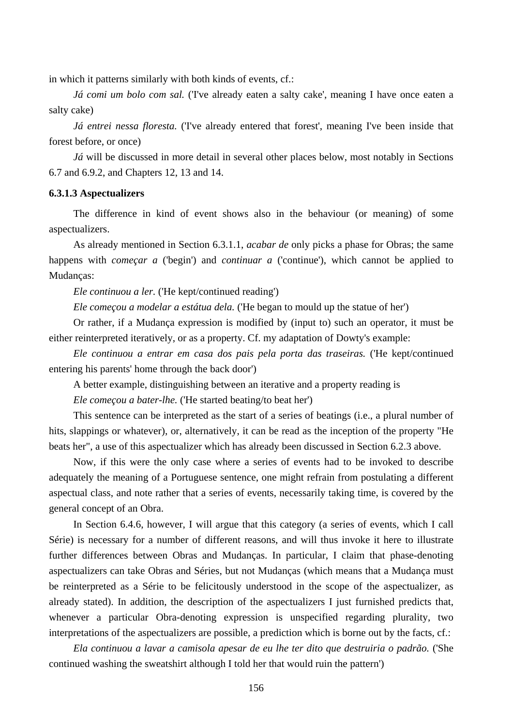in which it patterns similarly with both kinds of events, cf.:

*Já comi um bolo com sal.* (Tve already eaten a salty cake', meaning I have once eaten a salty cake)

*Já entrei nessa floresta.* ('I've already entered that forest', meaning I've been inside that forest before, or once)

*Já* will be discussed in more detail in several other places below, most notably in Sections 6.7 and 6.9.2, and Chapters 12, 13 and 14.

## **6.3.1.3 Aspectualizers**

The difference in kind of event shows also in the behaviour (or meaning) of some aspectualizers.

As already mentioned in Section 6.3.1.1, *acabar de* only picks a phase for Obras; the same happens with *começar a* ('begin') and *continuar a* ('continue'), which cannot be applied to Mudanças:

*Ele continuou a ler.* ('He kept/continued reading')

*Ele começou a modelar a estátua dela.* ('He began to mould up the statue of her')

Or rather, if a Mudança expression is modified by (input to) such an operator, it must be either reinterpreted iteratively, or as a property. Cf. my adaptation of Dowty's example:

*Ele continuou a entrar em casa dos pais pela porta das traseiras.* ('He kept/continued entering his parents' home through the back door')

A better example, distinguishing between an iterative and a property reading is

*Ele começou a bater-lhe.* ('He started beating/to beat her')

This sentence can be interpreted as the start of a series of beatings (i.e., a plural number of hits, slappings or whatever), or, alternatively, it can be read as the inception of the property "He beats her", a use of this aspectualizer which has already been discussed in Section 6.2.3 above.

Now, if this were the only case where a series of events had to be invoked to describe adequately the meaning of a Portuguese sentence, one might refrain from postulating a different aspectual class, and note rather that a series of events, necessarily taking time, is covered by the general concept of an Obra.

In Section 6.4.6, however, I will argue that this category (a series of events, which I call Série) is necessary for a number of different reasons, and will thus invoke it here to illustrate further differences between Obras and Mudanças. In particular, I claim that phase-denoting aspectualizers can take Obras and Séries, but not Mudanças (which means that a Mudança must be reinterpreted as a Série to be felicitously understood in the scope of the aspectualizer, as already stated). In addition, the description of the aspectualizers I just furnished predicts that, whenever a particular Obra-denoting expression is unspecified regarding plurality, two interpretations of the aspectualizers are possible, a prediction which is borne out by the facts, cf.:

*Ela continuou a lavar a camisola apesar de eu lhe ter dito que destruiria o padrão.* ('She continued washing the sweatshirt although I told her that would ruin the pattern')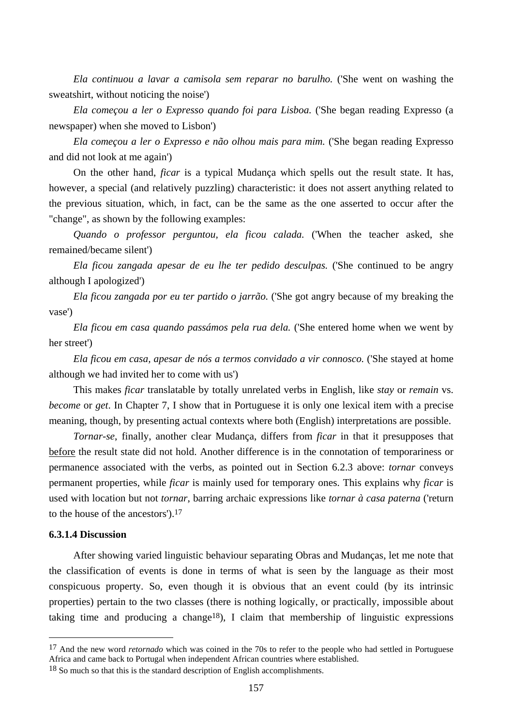*Ela continuou a lavar a camisola sem reparar no barulho.* ('She went on washing the sweatshirt, without noticing the noise')

*Ela começou a ler o Expresso quando foi para Lisboa.* ('She began reading Expresso (a newspaper) when she moved to Lisbon')

*Ela começou a ler o Expresso e não olhou mais para mim.* ('She began reading Expresso and did not look at me again')

On the other hand, *ficar* is a typical Mudança which spells out the result state. It has, however, a special (and relatively puzzling) characteristic: it does not assert anything related to the previous situation, which, in fact, can be the same as the one asserted to occur after the "change", as shown by the following examples:

*Quando o professor perguntou, ela ficou calada.* ('When the teacher asked, she remained/became silent')

*Ela ficou zangada apesar de eu lhe ter pedido desculpas.* ('She continued to be angry although I apologized')

*Ela ficou zangada por eu ter partido o jarrão.* ('She got angry because of my breaking the vase')

*Ela ficou em casa quando passámos pela rua dela.* ('She entered home when we went by her street')

*Ela ficou em casa, apesar de nós a termos convidado a vir connosco.* ('She stayed at home although we had invited her to come with us')

This makes *ficar* translatable by totally unrelated verbs in English, like *stay* or *remain* vs. *become* or *get*. In Chapter 7, I show that in Portuguese it is only one lexical item with a precise meaning, though, by presenting actual contexts where both (English) interpretations are possible.

*Tornar-se*, finally, another clear Mudança, differs from *ficar* in that it presupposes that before the result state did not hold. Another difference is in the connotation of temporariness or permanence associated with the verbs, as pointed out in Section 6.2.3 above: *tornar* conveys permanent properties, while *ficar* is mainly used for temporary ones. This explains why *ficar* is used with location but not *tornar*, barring archaic expressions like *tornar à casa paterna* ('return to the house of the ancestors').17

# **6.3.1.4 Discussion**

 $\overline{a}$ 

After showing varied linguistic behaviour separating Obras and Mudanças, let me note that the classification of events is done in terms of what is seen by the language as their most conspicuous property. So, even though it is obvious that an event could (by its intrinsic properties) pertain to the two classes (there is nothing logically, or practically, impossible about taking time and producing a change<sup>18</sup>), I claim that membership of linguistic expressions

<sup>&</sup>lt;sup>17</sup> And the new word *retornado* which was coined in the 70s to refer to the people who had settled in Portuguese Africa and came back to Portugal when independent African countries where established.

<sup>&</sup>lt;sup>18</sup> So much so that this is the standard description of English accomplishments.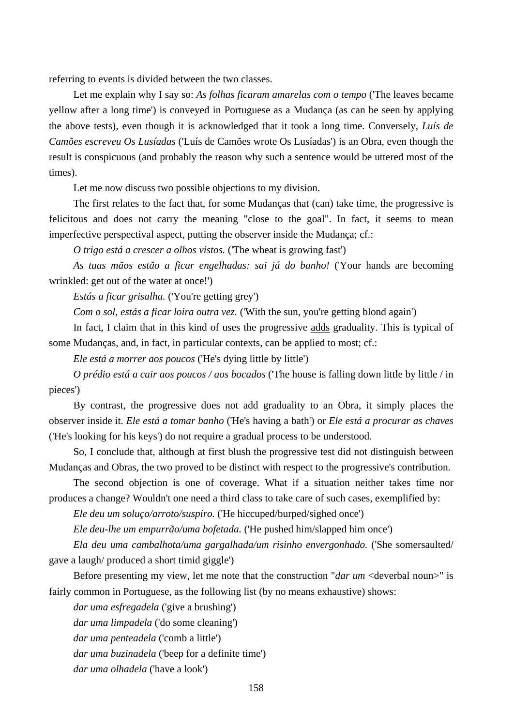referring to events is divided between the two classes.

Let me explain why I say so: *As folhas ficaram amarelas com o tempo* ('The leaves became yellow after a long time') is conveyed in Portuguese as a Mudança (as can be seen by applying the above tests), even though it is acknowledged that it took a long time. Conversely, *Luís de Camões escreveu Os Lusíadas* ('Luís de Camões wrote Os Lusíadas') is an Obra, even though the result is conspicuous (and probably the reason why such a sentence would be uttered most of the times).

Let me now discuss two possible objections to my division.

The first relates to the fact that, for some Mudanças that (can) take time, the progressive is felicitous and does not carry the meaning "close to the goal". In fact, it seems to mean imperfective perspectival aspect, putting the observer inside the Mudança; cf.:

*O trigo está a crescer a olhos vistos.* ('The wheat is growing fast')

*As tuas mãos estão a ficar engelhadas: sai já do banho!* ('Your hands are becoming wrinkled: get out of the water at once!')

*Estás a ficar grisalha.* ('You're getting grey')

*Com o sol, estás a ficar loira outra vez.* ('With the sun, you're getting blond again')

In fact, I claim that in this kind of uses the progressive adds graduality. This is typical of some Mudanças, and, in fact, in particular contexts, can be applied to most; cf.:

*Ele está a morrer aos poucos* ('He's dying little by little')

*O prédio está a cair aos poucos / aos bocados* ('The house is falling down little by little / in pieces')

By contrast, the progressive does not add graduality to an Obra, it simply places the observer inside it. *Ele está a tomar banho* ('He's having a bath') or *Ele está a procurar as chaves* ('He's looking for his keys') do not require a gradual process to be understood.

So, I conclude that, although at first blush the progressive test did not distinguish between Mudanças and Obras, the two proved to be distinct with respect to the progressive's contribution.

The second objection is one of coverage. What if a situation neither takes time nor produces a change? Wouldn't one need a third class to take care of such cases, exemplified by:

*Ele deu um soluço/arroto/suspiro.* ('He hiccuped/burped/sighed once')

*Ele deu-lhe um empurrão/uma bofetada.* ('He pushed him/slapped him once')

*Ela deu uma cambalhota/uma gargalhada/um risinho envergonhado.* ('She somersaulted/ gave a laugh/ produced a short timid giggle')

Before presenting my view, let me note that the construction "*dar um* <deverbal noun>" is fairly common in Portuguese, as the following list (by no means exhaustive) shows:

*dar uma esfregadela* ('give a brushing')

*dar uma limpadela* ('do some cleaning')

*dar uma penteadela* ('comb a little')

*dar uma buzinadela* ('beep for a definite time')

*dar uma olhadela* ('have a look')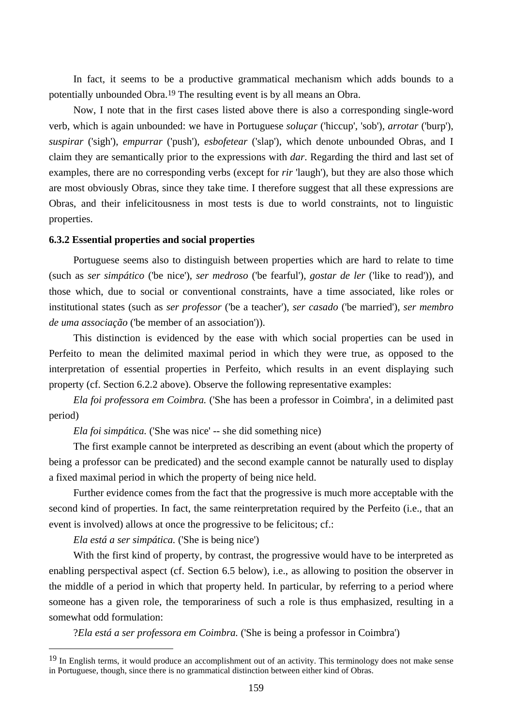In fact, it seems to be a productive grammatical mechanism which adds bounds to a potentially unbounded Obra.19 The resulting event is by all means an Obra.

Now, I note that in the first cases listed above there is also a corresponding single-word verb, which is again unbounded: we have in Portuguese *soluçar* ('hiccup', 'sob'), *arrotar* ('burp'), *suspirar* ('sigh'), *empurrar* ('push'), *esbofetear* ('slap'), which denote unbounded Obras, and I claim they are semantically prior to the expressions with *dar*. Regarding the third and last set of examples, there are no corresponding verbs (except for *rir* 'laugh'), but they are also those which are most obviously Obras, since they take time. I therefore suggest that all these expressions are Obras, and their infelicitousness in most tests is due to world constraints, not to linguistic properties.

### **6.3.2 Essential properties and social properties**

Portuguese seems also to distinguish between properties which are hard to relate to time (such as *ser simpático* ('be nice'), *ser medroso* ('be fearful'), *gostar de ler* ('like to read')), and those which, due to social or conventional constraints, have a time associated, like roles or institutional states (such as *ser professor* ('be a teacher'), *ser casado* ('be married'), *ser membro de uma associação* ('be member of an association')).

This distinction is evidenced by the ease with which social properties can be used in Perfeito to mean the delimited maximal period in which they were true, as opposed to the interpretation of essential properties in Perfeito, which results in an event displaying such property (cf. Section 6.2.2 above). Observe the following representative examples:

*Ela foi professora em Coimbra.* ('She has been a professor in Coimbra', in a delimited past period)

*Ela foi simpática.* ('She was nice' -- she did something nice)

The first example cannot be interpreted as describing an event (about which the property of being a professor can be predicated) and the second example cannot be naturally used to display a fixed maximal period in which the property of being nice held.

Further evidence comes from the fact that the progressive is much more acceptable with the second kind of properties. In fact, the same reinterpretation required by the Perfeito (i.e., that an event is involved) allows at once the progressive to be felicitous; cf.:

*Ela está a ser simpática.* ('She is being nice')

 $\overline{a}$ 

With the first kind of property, by contrast, the progressive would have to be interpreted as enabling perspectival aspect (cf. Section 6.5 below), i.e., as allowing to position the observer in the middle of a period in which that property held. In particular, by referring to a period where someone has a given role, the temporariness of such a role is thus emphasized, resulting in a somewhat odd formulation:

?*Ela está a ser professora em Coimbra.* ('She is being a professor in Coimbra')

<sup>&</sup>lt;sup>19</sup> In English terms, it would produce an accomplishment out of an activity. This terminology does not make sense in Portuguese, though, since there is no grammatical distinction between either kind of Obras.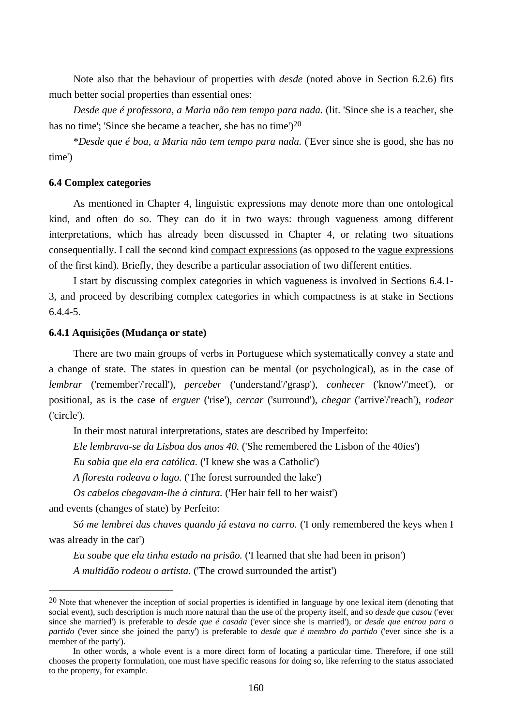Note also that the behaviour of properties with *desde* (noted above in Section 6.2.6) fits much better social properties than essential ones:

*Desde que é professora, a Maria não tem tempo para nada.* (lit. 'Since she is a teacher, she has no time'; 'Since she became a teacher, she has no time')<sup>20</sup>

\**Desde que é boa, a Maria não tem tempo para nada.* ('Ever since she is good, she has no time')

## **6.4 Complex categories**

As mentioned in Chapter 4, linguistic expressions may denote more than one ontological kind, and often do so. They can do it in two ways: through vagueness among different interpretations, which has already been discussed in Chapter 4, or relating two situations consequentially. I call the second kind compact expressions (as opposed to the vague expressions of the first kind). Briefly, they describe a particular association of two different entities.

I start by discussing complex categories in which vagueness is involved in Sections 6.4.1- 3, and proceed by describing complex categories in which compactness is at stake in Sections 6.4.4-5.

## **6.4.1 Aquisições (Mudança or state)**

There are two main groups of verbs in Portuguese which systematically convey a state and a change of state. The states in question can be mental (or psychological), as in the case of *lembrar* ('remember'/'recall'), *perceber* ('understand'/'grasp'), *conhecer* ('know'/'meet'), or positional, as is the case of *erguer* ('rise'), *cercar* ('surround'), *chegar* ('arrive'/'reach'), *rodear* ('circle').

In their most natural interpretations, states are described by Imperfeito:

*Ele lembrava-se da Lisboa dos anos 40.* ('She remembered the Lisbon of the 40ies')

*Eu sabia que ela era católica.* ('I knew she was a Catholic')

*A floresta rodeava o lago.* ('The forest surrounded the lake')

*Os cabelos chegavam-lhe à cintura.* ('Her hair fell to her waist')

and events (changes of state) by Perfeito:

 $\overline{a}$ 

*Só me lembrei das chaves quando já estava no carro.* ('I only remembered the keys when I was already in the car')

*Eu soube que ela tinha estado na prisão.* ('I learned that she had been in prison') *A multidão rodeou o artista.* ('The crowd surrounded the artist')

 $20$  Note that whenever the inception of social properties is identified in language by one lexical item (denoting that social event), such description is much more natural than the use of the property itself, and so *desde que casou* ('ever since she married') is preferable to *desde que é casada* ('ever since she is married'), or *desde que entrou para o partido* ('ever since she joined the party') is preferable to *desde que é membro do partido* ('ever since she is a member of the party').

In other words, a whole event is a more direct form of locating a particular time. Therefore, if one still chooses the property formulation, one must have specific reasons for doing so, like referring to the status associated to the property, for example.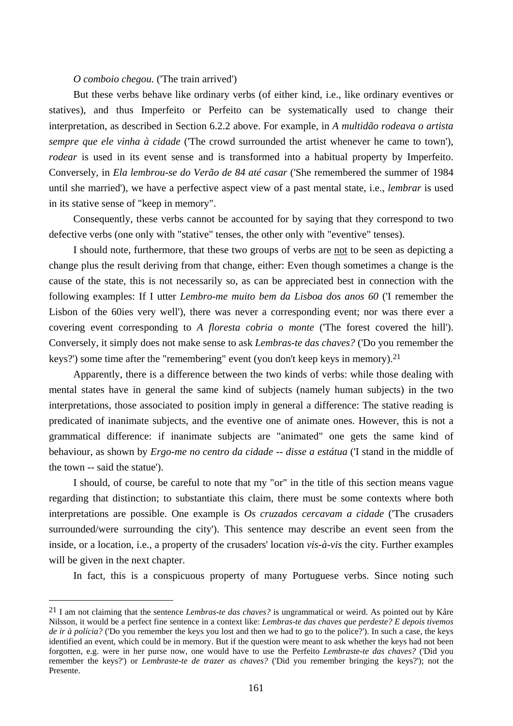# *O comboio chegou.* ('The train arrived')

But these verbs behave like ordinary verbs (of either kind, i.e., like ordinary eventives or statives), and thus Imperfeito or Perfeito can be systematically used to change their interpretation, as described in Section 6.2.2 above. For example, in *A multidão rodeava o artista sempre que ele vinha à cidade* ('The crowd surrounded the artist whenever he came to town'), *rodear* is used in its event sense and is transformed into a habitual property by Imperfeito. Conversely, in *Ela lembrou-se do Verão de 84 até casar* ('She remembered the summer of 1984 until she married'), we have a perfective aspect view of a past mental state, i.e., *lembrar* is used in its stative sense of "keep in memory".

Consequently, these verbs cannot be accounted for by saying that they correspond to two defective verbs (one only with "stative" tenses, the other only with "eventive" tenses).

I should note, furthermore, that these two groups of verbs are not to be seen as depicting a change plus the result deriving from that change, either: Even though sometimes a change is the cause of the state, this is not necessarily so, as can be appreciated best in connection with the following examples: If I utter *Lembro-me muito bem da Lisboa dos anos 60* ('I remember the Lisbon of the 60ies very well'), there was never a corresponding event; nor was there ever a covering event corresponding to *A floresta cobria o monte* ('The forest covered the hill'). Conversely, it simply does not make sense to ask *Lembras-te das chaves?* ('Do you remember the keys?') some time after the "remembering" event (you don't keep keys in memory).21

Apparently, there is a difference between the two kinds of verbs: while those dealing with mental states have in general the same kind of subjects (namely human subjects) in the two interpretations, those associated to position imply in general a difference: The stative reading is predicated of inanimate subjects, and the eventive one of animate ones. However, this is not a grammatical difference: if inanimate subjects are "animated" one gets the same kind of behaviour, as shown by *Ergo-me no centro da cidade -- disse a estátua* ('I stand in the middle of the town -- said the statue').

I should, of course, be careful to note that my "or" in the title of this section means vague regarding that distinction; to substantiate this claim, there must be some contexts where both interpretations are possible. One example is *Os cruzados cercavam a cidade* ('The crusaders surrounded/were surrounding the city'). This sentence may describe an event seen from the inside, or a location, i.e., a property of the crusaders' location *vis-à-vis* the city. Further examples will be given in the next chapter.

In fact, this is a conspicuous property of many Portuguese verbs. Since noting such

 $\overline{a}$ 

<sup>21</sup> I am not claiming that the sentence *Lembras-te das chaves?* is ungrammatical or weird. As pointed out by Kåre Nilsson, it would be a perfect fine sentence in a context like: *Lembras-te das chaves que perdeste? E depois tivemos de ir à polícia?* ('Do you remember the keys you lost and then we had to go to the police?'). In such a case, the keys identified an event, which could be in memory. But if the question were meant to ask whether the keys had not been forgotten, e.g. were in her purse now, one would have to use the Perfeito *Lembraste-te das chaves?* ('Did you remember the keys?') or *Lembraste-te de trazer as chaves?* ('Did you remember bringing the keys?'); not the Presente.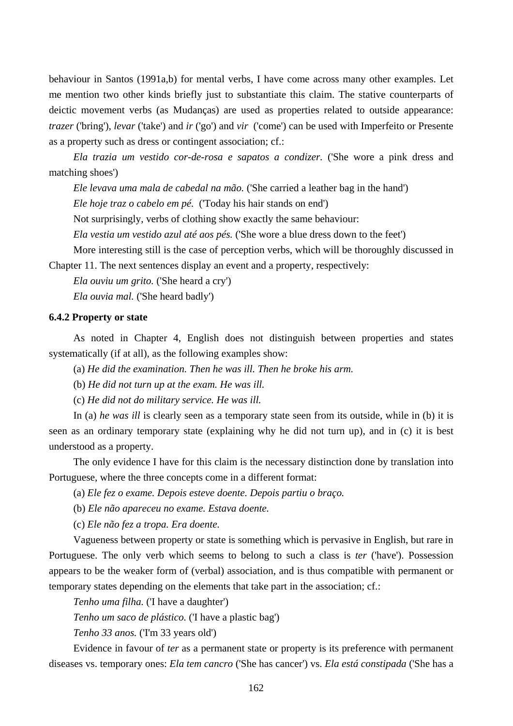behaviour in Santos (1991a,b) for mental verbs, I have come across many other examples. Let me mention two other kinds briefly just to substantiate this claim. The stative counterparts of deictic movement verbs (as Mudanças) are used as properties related to outside appearance: *trazer* ('bring'), *levar* ('take') and *ir* ('go') and *vir* ('come') can be used with Imperfeito or Presente as a property such as dress or contingent association; cf.:

*Ela trazia um vestido cor-de-rosa e sapatos a condizer.* ('She wore a pink dress and matching shoes')

*Ele levava uma mala de cabedal na mão.* ('She carried a leather bag in the hand')

*Ele hoje traz o cabelo em pé.* ('Today his hair stands on end')

Not surprisingly, verbs of clothing show exactly the same behaviour:

*Ela vestia um vestido azul até aos pés.* ('She wore a blue dress down to the feet')

More interesting still is the case of perception verbs, which will be thoroughly discussed in Chapter 11. The next sentences display an event and a property, respectively:

*Ela ouviu um grito.* ('She heard a cry')

*Ela ouvia mal.* ('She heard badly')

## **6.4.2 Property or state**

As noted in Chapter 4, English does not distinguish between properties and states systematically (if at all), as the following examples show:

(a) *He did the examination. Then he was ill. Then he broke his arm.*

(b) *He did not turn up at the exam. He was ill.* 

(c) *He did not do military service. He was ill.*

In (a) *he was ill* is clearly seen as a temporary state seen from its outside, while in (b) it is seen as an ordinary temporary state (explaining why he did not turn up), and in (c) it is best understood as a property.

The only evidence I have for this claim is the necessary distinction done by translation into Portuguese, where the three concepts come in a different format:

(a) *Ele fez o exame. Depois esteve doente. Depois partiu o braço.*

(b) *Ele não apareceu no exame. Estava doente.*

(c) *Ele não fez a tropa. Era doente.*

Vagueness between property or state is something which is pervasive in English, but rare in Portuguese. The only verb which seems to belong to such a class is *ter* ('have'). Possession appears to be the weaker form of (verbal) association, and is thus compatible with permanent or temporary states depending on the elements that take part in the association; cf.:

*Tenho uma filha.* ('I have a daughter')

*Tenho um saco de plástico.* ('I have a plastic bag')

*Tenho 33 anos.* ('I'm 33 years old')

Evidence in favour of *ter* as a permanent state or property is its preference with permanent diseases vs. temporary ones: *Ela tem cancro* ('She has cancer') vs. *Ela está constipada* ('She has a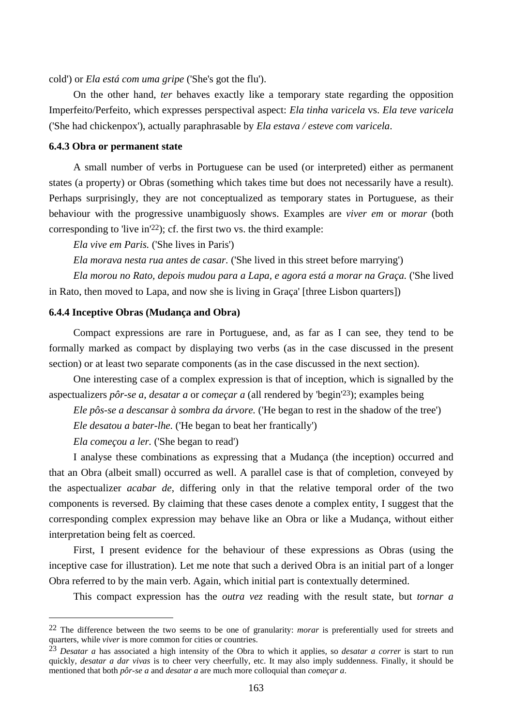cold') or *Ela está com uma gripe* ('She's got the flu').

On the other hand, *ter* behaves exactly like a temporary state regarding the opposition Imperfeito/Perfeito, which expresses perspectival aspect: *Ela tinha varicela* vs. *Ela teve varicela* ('She had chickenpox'), actually paraphrasable by *Ela estava / esteve com varicela*.

# **6.4.3 Obra or permanent state**

A small number of verbs in Portuguese can be used (or interpreted) either as permanent states (a property) or Obras (something which takes time but does not necessarily have a result). Perhaps surprisingly, they are not conceptualized as temporary states in Portuguese, as their behaviour with the progressive unambiguosly shows. Examples are *viver em* or *morar* (both corresponding to 'live in'<sup>22</sup>); cf. the first two vs. the third example:

*Ela vive em Paris.* ('She lives in Paris')

*Ela morava nesta rua antes de casar.* ('She lived in this street before marrying')

*Ela morou no Rato, depois mudou para a Lapa, e agora está a morar na Graça.* ('She lived in Rato, then moved to Lapa, and now she is living in Graça' [three Lisbon quarters])

#### **6.4.4 Inceptive Obras (Mudança and Obra)**

Compact expressions are rare in Portuguese, and, as far as I can see, they tend to be formally marked as compact by displaying two verbs (as in the case discussed in the present section) or at least two separate components (as in the case discussed in the next section).

One interesting case of a complex expression is that of inception, which is signalled by the aspectualizers *pôr-se a*, *desatar a* or *começar a* (all rendered by 'begin'23); examples being

*Ele pôs-se a descansar à sombra da árvore.* ('He began to rest in the shadow of the tree')

*Ele desatou a bater-lhe.* ('He began to beat her frantically')

*Ela começou a ler.* ('She began to read')

 $\overline{a}$ 

I analyse these combinations as expressing that a Mudança (the inception) occurred and that an Obra (albeit small) occurred as well. A parallel case is that of completion, conveyed by the aspectualizer *acabar de*, differing only in that the relative temporal order of the two components is reversed. By claiming that these cases denote a complex entity, I suggest that the corresponding complex expression may behave like an Obra or like a Mudança, without either interpretation being felt as coerced.

First, I present evidence for the behaviour of these expressions as Obras (using the inceptive case for illustration). Let me note that such a derived Obra is an initial part of a longer Obra referred to by the main verb. Again, which initial part is contextually determined.

This compact expression has the *outra vez* reading with the result state, but *tornar a*

<sup>22</sup> The difference between the two seems to be one of granularity: *morar* is preferentially used for streets and quarters, while *viver* is more common for cities or countries.

<sup>23</sup> *Desatar a* has associated a high intensity of the Obra to which it applies, so *desatar a correr* is start to run quickly, *desatar a dar vivas* is to cheer very cheerfully, etc. It may also imply suddenness. Finally, it should be mentioned that both *pôr-se a* and *desatar a* are much more colloquial than *começar a*.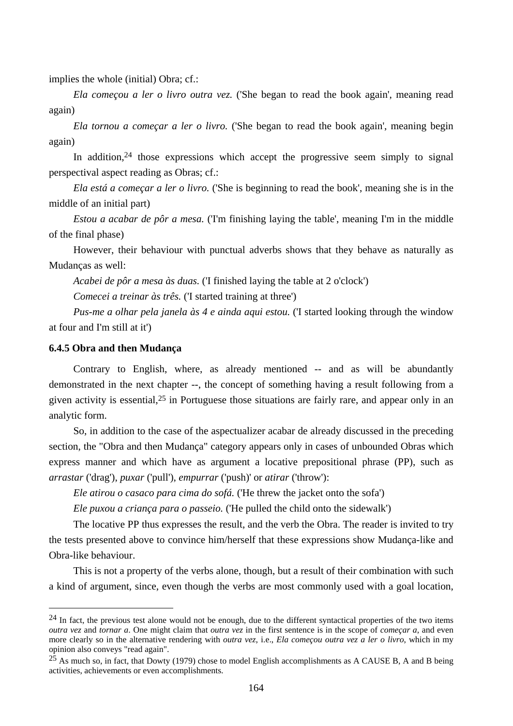implies the whole (initial) Obra; cf.:

*Ela começou a ler o livro outra vez.* ('She began to read the book again', meaning read again)

*Ela tornou a começar a ler o livro.* ('She began to read the book again', meaning begin again)

In addition,  $24$  those expressions which accept the progressive seem simply to signal perspectival aspect reading as Obras; cf.:

*Ela está a começar a ler o livro.* ('She is beginning to read the book', meaning she is in the middle of an initial part)

*Estou a acabar de pôr a mesa.* (Tm finishing laying the table', meaning I'm in the middle of the final phase)

However, their behaviour with punctual adverbs shows that they behave as naturally as Mudanças as well:

*Acabei de pôr a mesa às duas.* ('I finished laying the table at 2 o'clock')

*Comecei a treinar às três.* ('I started training at three')

*Pus-me a olhar pela janela às 4 e ainda aqui estou.* ('I started looking through the window at four and I'm still at it')

## **6.4.5 Obra and then Mudança**

 $\overline{a}$ 

Contrary to English, where, as already mentioned -- and as will be abundantly demonstrated in the next chapter --, the concept of something having a result following from a given activity is essential,25 in Portuguese those situations are fairly rare, and appear only in an analytic form.

So, in addition to the case of the aspectualizer acabar de already discussed in the preceding section, the "Obra and then Mudança" category appears only in cases of unbounded Obras which express manner and which have as argument a locative prepositional phrase (PP), such as *arrastar* ('drag'), *puxar* ('pull'), *empurrar* ('push)' or *atirar* ('throw'):

*Ele atirou o casaco para cima do sofá.* ('He threw the jacket onto the sofa')

*Ele puxou a criança para o passeio.* ('He pulled the child onto the sidewalk')

The locative PP thus expresses the result, and the verb the Obra. The reader is invited to try the tests presented above to convince him/herself that these expressions show Mudança-like and Obra-like behaviour.

This is not a property of the verbs alone, though, but a result of their combination with such a kind of argument, since, even though the verbs are most commonly used with a goal location,

 $^{24}$  In fact, the previous test alone would not be enough, due to the different syntactical properties of the two items *outra vez* and *tornar a*. One might claim that *outra vez* in the first sentence is in the scope of *começar a*, and even more clearly so in the alternative rendering with *outra vez*, i.e., *Ela começou outra vez a ler o livro*, which in my opinion also conveys "read again".

 $25$  As much so, in fact, that Dowty (1979) chose to model English accomplishments as A CAUSE B, A and B being activities, achievements or even accomplishments.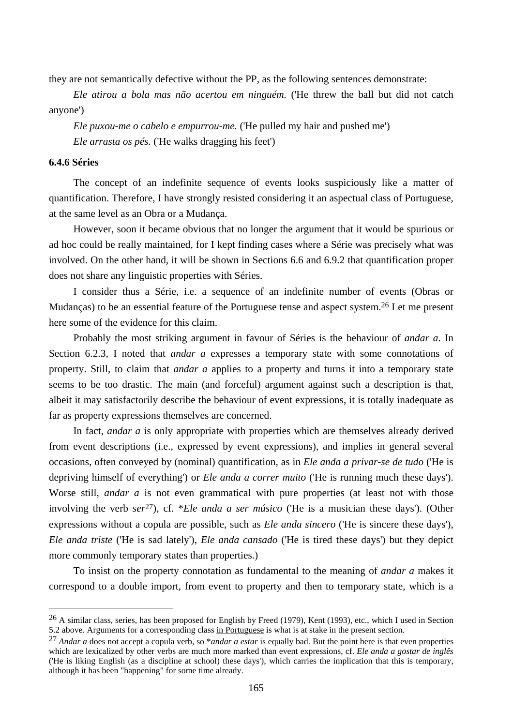they are not semantically defective without the PP, as the following sentences demonstrate:

*Ele atirou a bola mas não acertou em ninguém.* ('He threw the ball but did not catch anyone')

*Ele puxou-me o cabelo e empurrou-me.* ('He pulled my hair and pushed me') *Ele arrasta os pés.* ('He walks dragging his feet')

### **6.4.6 Séries**

 $\overline{a}$ 

The concept of an indefinite sequence of events looks suspiciously like a matter of quantification. Therefore, I have strongly resisted considering it an aspectual class of Portuguese, at the same level as an Obra or a Mudança.

However, soon it became obvious that no longer the argument that it would be spurious or ad hoc could be really maintained, for I kept finding cases where a Série was precisely what was involved. On the other hand, it will be shown in Sections 6.6 and 6.9.2 that quantification proper does not share any linguistic properties with Séries.

I consider thus a Série, i.e. a sequence of an indefinite number of events (Obras or Mudanças) to be an essential feature of the Portuguese tense and aspect system.26 Let me present here some of the evidence for this claim.

Probably the most striking argument in favour of Séries is the behaviour of *andar a*. In Section 6.2.3, I noted that *andar a* expresses a temporary state with some connotations of property. Still, to claim that *andar a* applies to a property and turns it into a temporary state seems to be too drastic. The main (and forceful) argument against such a description is that, albeit it may satisfactorily describe the behaviour of event expressions, it is totally inadequate as far as property expressions themselves are concerned.

In fact, *andar a* is only appropriate with properties which are themselves already derived from event descriptions (i.e., expressed by event expressions), and implies in general several occasions, often conveyed by (nominal) quantification, as in *Ele anda a privar-se de tudo* ('He is depriving himself of everything') or *Ele anda a correr muito* ('He is running much these days'). Worse still, *andar a* is not even grammatical with pure properties (at least not with those involving the verb *ser*27), cf. \**Ele anda a ser músico* ('He is a musician these days'). (Other expressions without a copula are possible, such as *Ele anda sincero* ('He is sincere these days'), *Ele anda triste* ('He is sad lately'), *Ele anda cansado* ('He is tired these days') but they depict more commonly temporary states than properties.)

To insist on the property connotation as fundamental to the meaning of *andar a* makes it correspond to a double import, from event to property and then to temporary state, which is a

 $^{26}$  A similar class, series, has been proposed for English by Freed (1979), Kent (1993), etc., which I used in Section 5.2 above. Arguments for a corresponding class in Portuguese is what is at stake in the present section.

<sup>27</sup> *Andar a* does not accept a copula verb, so \**andar a estar* is equally bad. But the point here is that even properties which are lexicalized by other verbs are much more marked than event expressions, cf. *Ele anda a gostar de inglês* ('He is liking English (as a discipline at school) these days'), which carries the implication that this is temporary, although it has been "happening" for some time already.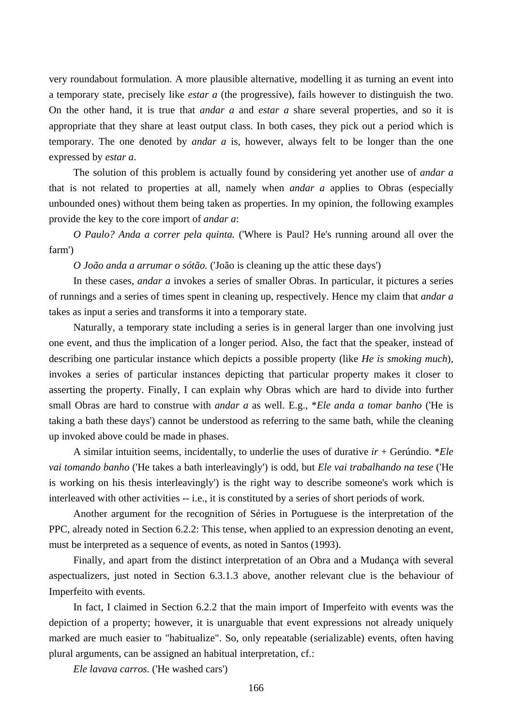very roundabout formulation. A more plausible alternative, modelling it as turning an event into a temporary state, precisely like *estar a* (the progressive), fails however to distinguish the two. On the other hand, it is true that *andar a* and *estar a* share several properties, and so it is appropriate that they share at least output class. In both cases, they pick out a period which is temporary. The one denoted by *andar a* is, however, always felt to be longer than the one expressed by *estar a*.

The solution of this problem is actually found by considering yet another use of *andar a* that is not related to properties at all, namely when *andar a* applies to Obras (especially unbounded ones) without them being taken as properties. In my opinion, the following examples provide the key to the core import of *andar a*:

*O Paulo? Anda a correr pela quinta.* ('Where is Paul? He's running around all over the farm')

*O João anda a arrumar o sótão.* ('João is cleaning up the attic these days')

In these cases, *andar a* invokes a series of smaller Obras. In particular, it pictures a series of runnings and a series of times spent in cleaning up, respectively. Hence my claim that *andar a* takes as input a series and transforms it into a temporary state.

Naturally, a temporary state including a series is in general larger than one involving just one event, and thus the implication of a longer period. Also, the fact that the speaker, instead of describing one particular instance which depicts a possible property (like *He is smoking much*), invokes a series of particular instances depicting that particular property makes it closer to asserting the property. Finally, I can explain why Obras which are hard to divide into further small Obras are hard to construe with *andar a* as well. E.g., \**Ele anda a tomar banho* ('He is taking a bath these days') cannot be understood as referring to the same bath, while the cleaning up invoked above could be made in phases.

A similar intuition seems, incidentally, to underlie the uses of durative *ir* + Gerúndio. \**Ele vai tomando banho* ('He takes a bath interleavingly') is odd, but *Ele vai trabalhando na tese* ('He is working on his thesis interleavingly') is the right way to describe someone's work which is interleaved with other activities -- i.e., it is constituted by a series of short periods of work.

Another argument for the recognition of Séries in Portuguese is the interpretation of the PPC, already noted in Section 6.2.2: This tense, when applied to an expression denoting an event, must be interpreted as a sequence of events, as noted in Santos (1993).

Finally, and apart from the distinct interpretation of an Obra and a Mudança with several aspectualizers, just noted in Section 6.3.1.3 above, another relevant clue is the behaviour of Imperfeito with events.

In fact, I claimed in Section 6.2.2 that the main import of Imperfeito with events was the depiction of a property; however, it is unarguable that event expressions not already uniquely marked are much easier to "habitualize". So, only repeatable (serializable) events, often having plural arguments, can be assigned an habitual interpretation, cf.:

*Ele lavava carros.* ('He washed cars')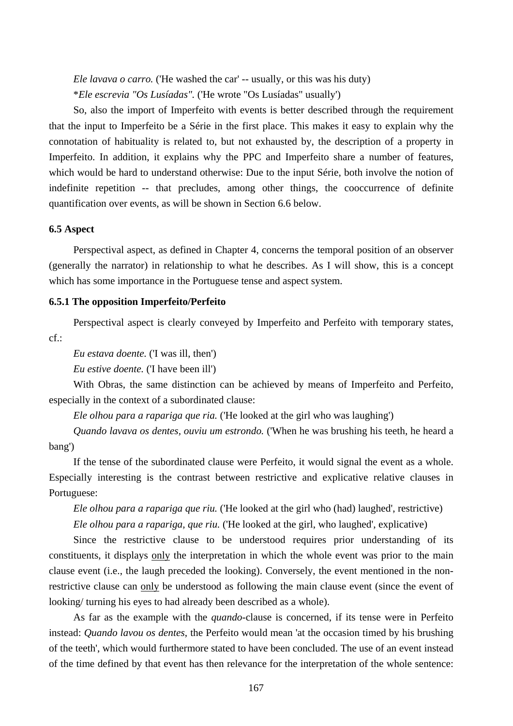*Ele lavava o carro.* ('He washed the car' -- usually, or this was his duty) \**Ele escrevia "Os Lusíadas".* ('He wrote "Os Lusíadas" usually')

So, also the import of Imperfeito with events is better described through the requirement that the input to Imperfeito be a Série in the first place. This makes it easy to explain why the connotation of habituality is related to, but not exhausted by, the description of a property in Imperfeito. In addition, it explains why the PPC and Imperfeito share a number of features, which would be hard to understand otherwise: Due to the input Série, both involve the notion of indefinite repetition -- that precludes, among other things, the cooccurrence of definite quantification over events, as will be shown in Section 6.6 below.

# **6.5 Aspect**

Perspectival aspect, as defined in Chapter 4, concerns the temporal position of an observer (generally the narrator) in relationship to what he describes. As I will show, this is a concept which has some importance in the Portuguese tense and aspect system.

# **6.5.1 The opposition Imperfeito/Perfeito**

Perspectival aspect is clearly conveyed by Imperfeito and Perfeito with temporary states, cf.:

*Eu estava doente.* ('I was ill, then')

*Eu estive doente.* ('I have been ill')

With Obras, the same distinction can be achieved by means of Imperfeito and Perfeito, especially in the context of a subordinated clause:

*Ele olhou para a rapariga que ria.* ('He looked at the girl who was laughing')

*Quando lavava os dentes, ouviu um estrondo.* ('When he was brushing his teeth, he heard a bang')

If the tense of the subordinated clause were Perfeito, it would signal the event as a whole. Especially interesting is the contrast between restrictive and explicative relative clauses in Portuguese:

*Ele olhou para a rapariga que riu.* ('He looked at the girl who (had) laughed', restrictive) *Ele olhou para a rapariga, que riu.* ('He looked at the girl, who laughed', explicative)

Since the restrictive clause to be understood requires prior understanding of its constituents, it displays only the interpretation in which the whole event was prior to the main clause event (i.e., the laugh preceded the looking). Conversely, the event mentioned in the nonrestrictive clause can only be understood as following the main clause event (since the event of looking/ turning his eyes to had already been described as a whole).

As far as the example with the *quando*-clause is concerned, if its tense were in Perfeito instead: *Quando lavou os dentes*, the Perfeito would mean 'at the occasion timed by his brushing of the teeth', which would furthermore stated to have been concluded. The use of an event instead of the time defined by that event has then relevance for the interpretation of the whole sentence: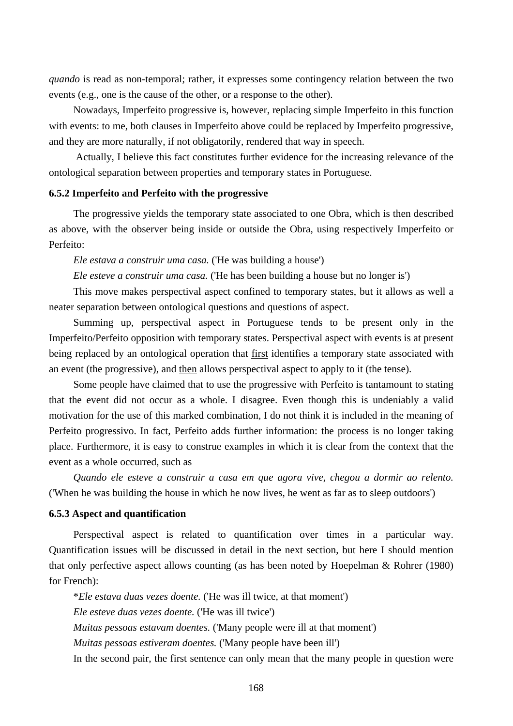*quando* is read as non-temporal; rather, it expresses some contingency relation between the two events (e.g., one is the cause of the other, or a response to the other).

Nowadays, Imperfeito progressive is, however, replacing simple Imperfeito in this function with events: to me, both clauses in Imperfeito above could be replaced by Imperfeito progressive, and they are more naturally, if not obligatorily, rendered that way in speech.

 Actually, I believe this fact constitutes further evidence for the increasing relevance of the ontological separation between properties and temporary states in Portuguese.

## **6.5.2 Imperfeito and Perfeito with the progressive**

The progressive yields the temporary state associated to one Obra, which is then described as above, with the observer being inside or outside the Obra, using respectively Imperfeito or Perfeito:

*Ele estava a construir uma casa.* ('He was building a house')

*Ele esteve a construir uma casa.* ('He has been building a house but no longer is')

This move makes perspectival aspect confined to temporary states, but it allows as well a neater separation between ontological questions and questions of aspect.

Summing up, perspectival aspect in Portuguese tends to be present only in the Imperfeito/Perfeito opposition with temporary states. Perspectival aspect with events is at present being replaced by an ontological operation that first identifies a temporary state associated with an event (the progressive), and then allows perspectival aspect to apply to it (the tense).

Some people have claimed that to use the progressive with Perfeito is tantamount to stating that the event did not occur as a whole. I disagree. Even though this is undeniably a valid motivation for the use of this marked combination, I do not think it is included in the meaning of Perfeito progressivo. In fact, Perfeito adds further information: the process is no longer taking place. Furthermore, it is easy to construe examples in which it is clear from the context that the event as a whole occurred, such as

*Quando ele esteve a construir a casa em que agora vive, chegou a dormir ao relento.* ('When he was building the house in which he now lives, he went as far as to sleep outdoors')

# **6.5.3 Aspect and quantification**

Perspectival aspect is related to quantification over times in a particular way. Quantification issues will be discussed in detail in the next section, but here I should mention that only perfective aspect allows counting (as has been noted by Hoepelman & Rohrer (1980) for French):

\**Ele estava duas vezes doente.* ('He was ill twice, at that moment') *Ele esteve duas vezes doente.* ('He was ill twice') *Muitas pessoas estavam doentes.* ('Many people were ill at that moment')

*Muitas pessoas estiveram doentes.* ('Many people have been ill')

In the second pair, the first sentence can only mean that the many people in question were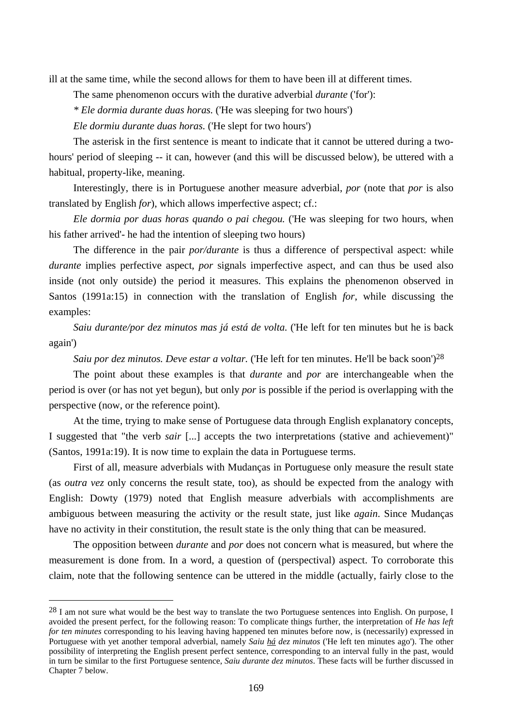ill at the same time, while the second allows for them to have been ill at different times.

The same phenomenon occurs with the durative adverbial *durante* ('for'):

*\* Ele dormia durante duas horas.* ('He was sleeping for two hours')

*Ele dormiu durante duas horas.* ('He slept for two hours')

The asterisk in the first sentence is meant to indicate that it cannot be uttered during a twohours' period of sleeping -- it can, however (and this will be discussed below), be uttered with a habitual, property-like, meaning.

Interestingly, there is in Portuguese another measure adverbial, *por* (note that *por* is also translated by English *for*), which allows imperfective aspect; cf.:

*Ele dormia por duas horas quando o pai chegou.* ('He was sleeping for two hours, when his father arrived'- he had the intention of sleeping two hours)

The difference in the pair *por/durante* is thus a difference of perspectival aspect: while *durante* implies perfective aspect, *por* signals imperfective aspect, and can thus be used also inside (not only outside) the period it measures. This explains the phenomenon observed in Santos (1991a:15) in connection with the translation of English *for*, while discussing the examples:

*Saiu durante/por dez minutos mas já está de volta.* ('He left for ten minutes but he is back again')

*Saiu por dez minutos. Deve estar a voltar.* ('He left for ten minutes. He'll be back soon')28

The point about these examples is that *durante* and *por* are interchangeable when the period is over (or has not yet begun), but only *por* is possible if the period is overlapping with the perspective (now, or the reference point).

At the time, trying to make sense of Portuguese data through English explanatory concepts, I suggested that "the verb *sair* [...] accepts the two interpretations (stative and achievement)" (Santos, 1991a:19). It is now time to explain the data in Portuguese terms.

First of all, measure adverbials with Mudanças in Portuguese only measure the result state (as *outra vez* only concerns the result state, too), as should be expected from the analogy with English: Dowty (1979) noted that English measure adverbials with accomplishments are ambiguous between measuring the activity or the result state, just like *again*. Since Mudanças have no activity in their constitution, the result state is the only thing that can be measured.

The opposition between *durante* and *por* does not concern what is measured, but where the measurement is done from. In a word, a question of (perspectival) aspect. To corroborate this claim, note that the following sentence can be uttered in the middle (actually, fairly close to the

 $\overline{a}$ 

 $28$  I am not sure what would be the best way to translate the two Portuguese sentences into English. On purpose, I avoided the present perfect, for the following reason: To complicate things further, the interpretation of *He has left for ten minutes* corresponding to his leaving having happened ten minutes before now, is (necessarily) expressed in Portuguese with yet another temporal adverbial, namely *Saiu há dez minutos* ('He left ten minutes ago'). The other possibility of interpreting the English present perfect sentence, corresponding to an interval fully in the past, would in turn be similar to the first Portuguese sentence, *Saiu durante dez minutos*. These facts will be further discussed in Chapter 7 below.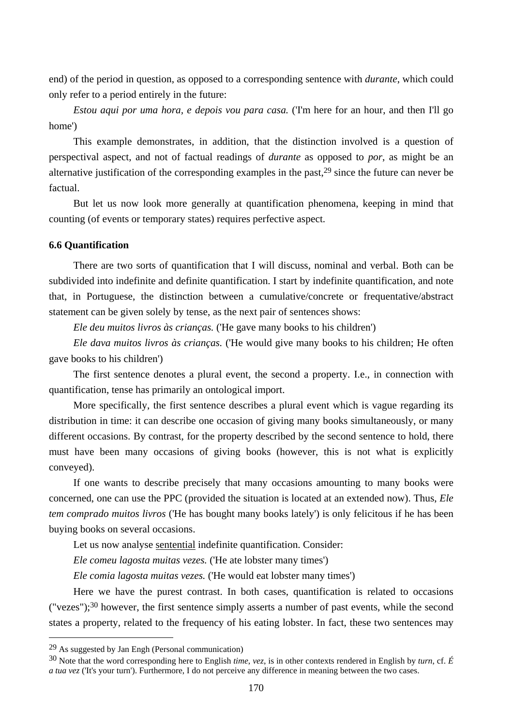end) of the period in question, as opposed to a corresponding sentence with *durante*, which could only refer to a period entirely in the future:

*Estou aqui por uma hora, e depois vou para casa.* ('I'm here for an hour, and then I'll go home')

This example demonstrates, in addition, that the distinction involved is a question of perspectival aspect, and not of factual readings of *durante* as opposed to *por*, as might be an alternative justification of the corresponding examples in the past,29 since the future can never be factual.

But let us now look more generally at quantification phenomena, keeping in mind that counting (of events or temporary states) requires perfective aspect.

# **6.6 Quantification**

There are two sorts of quantification that I will discuss, nominal and verbal. Both can be subdivided into indefinite and definite quantification. I start by indefinite quantification, and note that, in Portuguese, the distinction between a cumulative/concrete or frequentative/abstract statement can be given solely by tense, as the next pair of sentences shows:

*Ele deu muitos livros às crianças.* ('He gave many books to his children')

*Ele dava muitos livros às crianças.* ('He would give many books to his children; He often gave books to his children')

The first sentence denotes a plural event, the second a property. I.e., in connection with quantification, tense has primarily an ontological import.

More specifically, the first sentence describes a plural event which is vague regarding its distribution in time: it can describe one occasion of giving many books simultaneously, or many different occasions. By contrast, for the property described by the second sentence to hold, there must have been many occasions of giving books (however, this is not what is explicitly conveyed).

If one wants to describe precisely that many occasions amounting to many books were concerned, one can use the PPC (provided the situation is located at an extended now). Thus, *Ele tem comprado muitos livros* ('He has bought many books lately') is only felicitous if he has been buying books on several occasions.

Let us now analyse sentential indefinite quantification. Consider:

*Ele comeu lagosta muitas vezes.* ('He ate lobster many times')

*Ele comia lagosta muitas vezes.* ('He would eat lobster many times')

Here we have the purest contrast. In both cases, quantification is related to occasions ("vezes");30 however, the first sentence simply asserts a number of past events, while the second states a property, related to the frequency of his eating lobster. In fact, these two sentences may

 $\overline{a}$ 

<sup>29</sup> As suggested by Jan Engh (Personal communication)

<sup>30</sup> Note that the word corresponding here to English *time*, *vez*, is in other contexts rendered in English by *turn*, cf. *É a tua vez* ('It's your turn'). Furthermore, I do not perceive any difference in meaning between the two cases.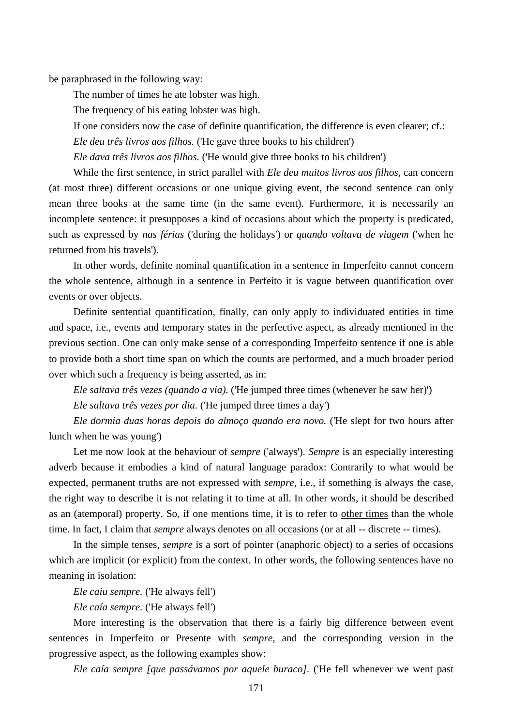be paraphrased in the following way:

The number of times he ate lobster was high.

The frequency of his eating lobster was high.

If one considers now the case of definite quantification, the difference is even clearer; cf.:

*Ele deu três livros aos filhos.* ('He gave three books to his children')

*Ele dava três livros aos filhos.* ('He would give three books to his children')

While the first sentence, in strict parallel with *Ele deu muitos livros aos filhos*, can concern (at most three) different occasions or one unique giving event, the second sentence can only mean three books at the same time (in the same event). Furthermore, it is necessarily an incomplete sentence: it presupposes a kind of occasions about which the property is predicated, such as expressed by *nas férias* ('during the holidays') or *quando voltava de viagem* ('when he returned from his travels').

In other words, definite nominal quantification in a sentence in Imperfeito cannot concern the whole sentence, although in a sentence in Perfeito it is vague between quantification over events or over objects.

Definite sentential quantification, finally, can only apply to individuated entities in time and space, i.e., events and temporary states in the perfective aspect, as already mentioned in the previous section. One can only make sense of a corresponding Imperfeito sentence if one is able to provide both a short time span on which the counts are performed, and a much broader period over which such a frequency is being asserted, as in:

*Ele saltava três vezes (quando a via).* ('He jumped three times (whenever he saw her)') *Ele saltava três vezes por dia.* ('He jumped three times a day')

*Ele dormia duas horas depois do almoço quando era novo.* ('He slept for two hours after lunch when he was young')

Let me now look at the behaviour of *sempre* ('always'). *Sempre* is an especially interesting adverb because it embodies a kind of natural language paradox: Contrarily to what would be expected, permanent truths are not expressed with *sempre*, i.e., if something is always the case, the right way to describe it is not relating it to time at all. In other words, it should be described as an (atemporal) property. So, if one mentions time, it is to refer to other times than the whole time. In fact, I claim that *sempre* always denotes <u>on all occasions</u> (or at all -- discrete -- times).

In the simple tenses, *sempre* is a sort of pointer (anaphoric object) to a series of occasions which are implicit (or explicit) from the context. In other words, the following sentences have no meaning in isolation:

*Ele caiu sempre.* ('He always fell')

*Ele caía sempre.* ('He always fell')

More interesting is the observation that there is a fairly big difference between event sentences in Imperfeito or Presente with *sempre*, and the corresponding version in the progressive aspect, as the following examples show:

*Ele caía sempre [que passávamos por aquele buraco].* ('He fell whenever we went past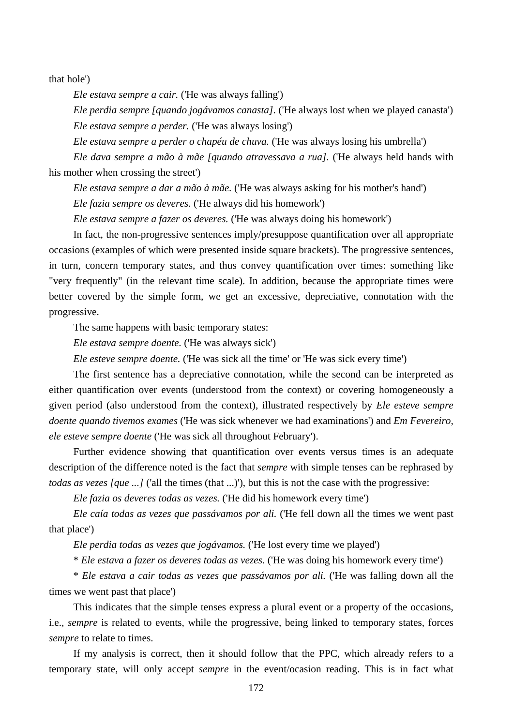that hole')

*Ele estava sempre a cair.* ('He was always falling')

*Ele perdia sempre [quando jogávamos canasta].* ('He always lost when we played canasta') *Ele estava sempre a perder.* ('He was always losing')

*Ele estava sempre a perder o chapéu de chuva.* ('He was always losing his umbrella')

*Ele dava sempre a mão à mãe [quando atravessava a rua].* ('He always held hands with his mother when crossing the street')

*Ele estava sempre a dar a mão à mãe.* ('He was always asking for his mother's hand')

*Ele fazia sempre os deveres.* ('He always did his homework')

*Ele estava sempre a fazer os deveres.* ('He was always doing his homework')

In fact, the non-progressive sentences imply/presuppose quantification over all appropriate occasions (examples of which were presented inside square brackets). The progressive sentences, in turn, concern temporary states, and thus convey quantification over times: something like "very frequently" (in the relevant time scale). In addition, because the appropriate times were better covered by the simple form, we get an excessive, depreciative, connotation with the progressive.

The same happens with basic temporary states:

*Ele estava sempre doente.* ('He was always sick')

*Ele esteve sempre doente.* ('He was sick all the time' or 'He was sick every time')

The first sentence has a depreciative connotation, while the second can be interpreted as either quantification over events (understood from the context) or covering homogeneously a given period (also understood from the context), illustrated respectively by *Ele esteve sempre doente quando tivemos exames* ('He was sick whenever we had examinations') and *Em Fevereiro, ele esteve sempre doente* ('He was sick all throughout February').

Further evidence showing that quantification over events versus times is an adequate description of the difference noted is the fact that *sempre* with simple tenses can be rephrased by *todas as vezes [que ...]* ('all the times (that ...)'), but this is not the case with the progressive:

*Ele fazia os deveres todas as vezes.* ('He did his homework every time')

*Ele caía todas as vezes que passávamos por ali.* ('He fell down all the times we went past that place')

*Ele perdia todas as vezes que jogávamos.* ('He lost every time we played')

\* *Ele estava a fazer os deveres todas as vezes.* ('He was doing his homework every time')

\* *Ele estava a cair todas as vezes que passávamos por ali.* ('He was falling down all the times we went past that place')

This indicates that the simple tenses express a plural event or a property of the occasions, i.e., *sempre* is related to events, while the progressive, being linked to temporary states, forces *sempre* to relate to times.

If my analysis is correct, then it should follow that the PPC, which already refers to a temporary state, will only accept *sempre* in the event/ocasion reading. This is in fact what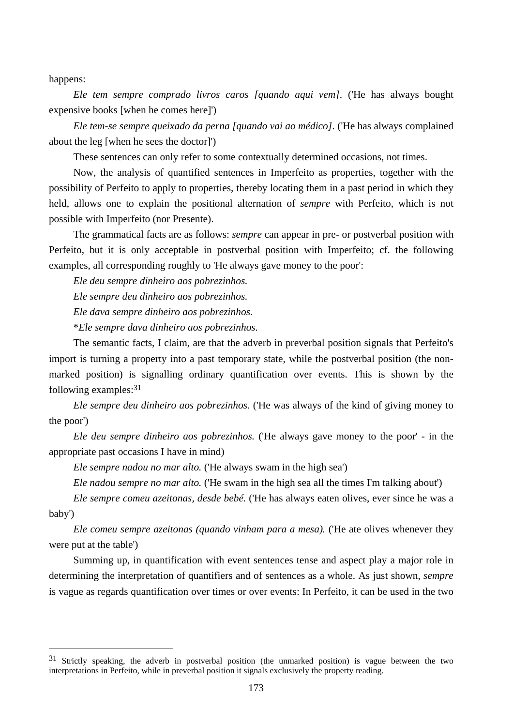happens:

 $\overline{a}$ 

*Ele tem sempre comprado livros caros [quando aqui vem].* ('He has always bought expensive books [when he comes here]')

*Ele tem-se sempre queixado da perna [quando vai ao médico].* ('He has always complained about the leg [when he sees the doctor]')

These sentences can only refer to some contextually determined occasions, not times.

Now, the analysis of quantified sentences in Imperfeito as properties, together with the possibility of Perfeito to apply to properties, thereby locating them in a past period in which they held, allows one to explain the positional alternation of *sempre* with Perfeito, which is not possible with Imperfeito (nor Presente).

The grammatical facts are as follows: *sempre* can appear in pre- or postverbal position with Perfeito, but it is only acceptable in postverbal position with Imperfeito; cf. the following examples, all corresponding roughly to 'He always gave money to the poor':

*Ele deu sempre dinheiro aos pobrezinhos.* 

*Ele sempre deu dinheiro aos pobrezinhos.* 

*Ele dava sempre dinheiro aos pobrezinhos.* 

\**Ele sempre dava dinheiro aos pobrezinhos.*

The semantic facts, I claim, are that the adverb in preverbal position signals that Perfeito's import is turning a property into a past temporary state, while the postverbal position (the nonmarked position) is signalling ordinary quantification over events. This is shown by the following examples:31

*Ele sempre deu dinheiro aos pobrezinhos.* ('He was always of the kind of giving money to the poor')

*Ele deu sempre dinheiro aos pobrezinhos.* ('He always gave money to the poor' - in the appropriate past occasions I have in mind)

*Ele sempre nadou no mar alto.* ('He always swam in the high sea')

*Ele nadou sempre no mar alto.* ('He swam in the high sea all the times I'm talking about')

*Ele sempre comeu azeitonas, desde bebé.* ('He has always eaten olives, ever since he was a baby')

*Ele comeu sempre azeitonas (quando vinham para a mesa).* ('He ate olives whenever they were put at the table')

Summing up, in quantification with event sentences tense and aspect play a major role in determining the interpretation of quantifiers and of sentences as a whole. As just shown, *sempre* is vague as regards quantification over times or over events: In Perfeito, it can be used in the two

<sup>&</sup>lt;sup>31</sup> Strictly speaking, the adverb in postverbal position (the unmarked position) is vague between the two interpretations in Perfeito, while in preverbal position it signals exclusively the property reading.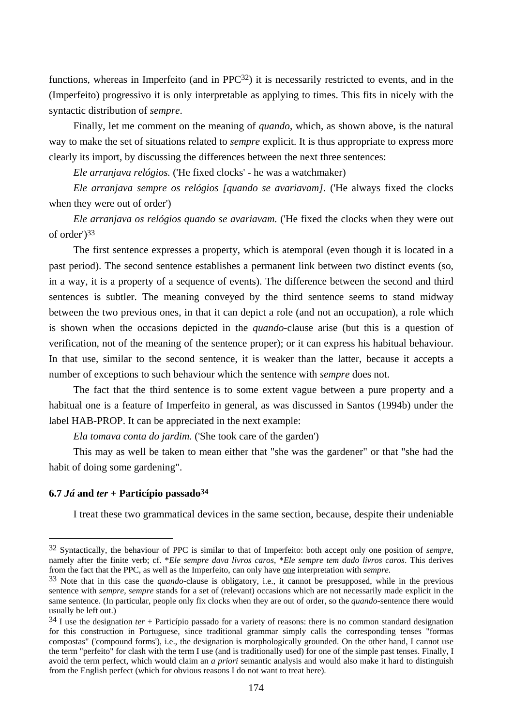functions, whereas in Imperfeito (and in PPC<sup>32</sup>) it is necessarily restricted to events, and in the (Imperfeito) progressivo it is only interpretable as applying to times. This fits in nicely with the syntactic distribution of *sempre*.

Finally, let me comment on the meaning of *quando*, which, as shown above, is the natural way to make the set of situations related to *sempre* explicit. It is thus appropriate to express more clearly its import, by discussing the differences between the next three sentences:

*Ele arranjava relógios.* ('He fixed clocks' - he was a watchmaker)

*Ele arranjava sempre os relógios [quando se avariavam].* ('He always fixed the clocks when they were out of order')

*Ele arranjava os relógios quando se avariavam.* ('He fixed the clocks when they were out of order')33

The first sentence expresses a property, which is atemporal (even though it is located in a past period). The second sentence establishes a permanent link between two distinct events (so, in a way, it is a property of a sequence of events). The difference between the second and third sentences is subtler. The meaning conveyed by the third sentence seems to stand midway between the two previous ones, in that it can depict a role (and not an occupation), a role which is shown when the occasions depicted in the *quando*-clause arise (but this is a question of verification, not of the meaning of the sentence proper); or it can express his habitual behaviour. In that use, similar to the second sentence, it is weaker than the latter, because it accepts a number of exceptions to such behaviour which the sentence with *sempre* does not.

The fact that the third sentence is to some extent vague between a pure property and a habitual one is a feature of Imperfeito in general, as was discussed in Santos (1994b) under the label HAB-PROP. It can be appreciated in the next example:

*Ela tomava conta do jardim.* ('She took care of the garden')

This may as well be taken to mean either that "she was the gardener" or that "she had the habit of doing some gardening".

## **6.7** *Já* **and** *ter* **+ Particípio passado34**

 $\overline{a}$ 

I treat these two grammatical devices in the same section, because, despite their undeniable

<sup>32</sup> Syntactically, the behaviour of PPC is similar to that of Imperfeito: both accept only one position of *sempre*, namely after the finite verb; cf. \**Ele sempre dava livros caros*, \**Ele sempre tem dado livros caros*. This derives from the fact that the PPC, as well as the Imperfeito, can only have one interpretation with *sempre*.

<sup>33</sup> Note that in this case the *quando*-clause is obligatory, i.e., it cannot be presupposed, while in the previous sentence with *sempre*, *sempre* stands for a set of (relevant) occasions which are not necessarily made explicit in the same sentence. (In particular, people only fix clocks when they are out of order, so the *quando*-sentence there would usually be left out.)

<sup>34</sup> I use the designation *ter* + Particípio passado for a variety of reasons: there is no common standard designation for this construction in Portuguese, since traditional grammar simply calls the corresponding tenses "formas compostas" ('compound forms'), i.e., the designation is morphologically grounded. On the other hand, I cannot use the term "perfeito" for clash with the term I use (and is traditionally used) for one of the simple past tenses. Finally, I avoid the term perfect, which would claim an *a priori* semantic analysis and would also make it hard to distinguish from the English perfect (which for obvious reasons I do not want to treat here).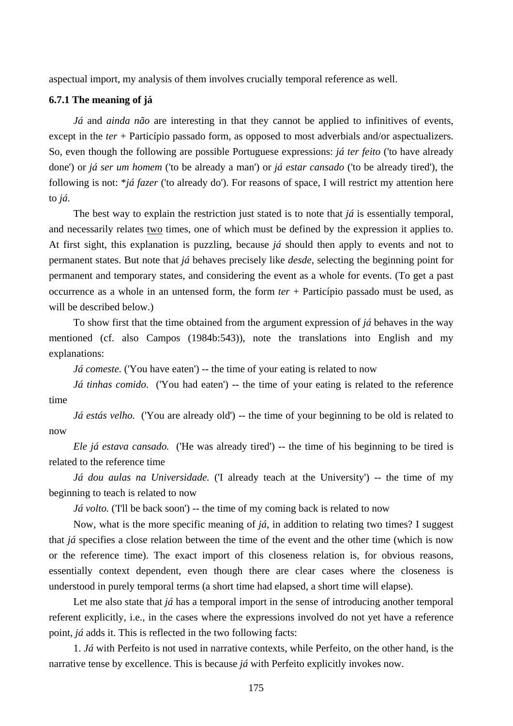aspectual import, my analysis of them involves crucially temporal reference as well.

#### **6.7.1 The meaning of já**

*Já* and *ainda não* are interesting in that they cannot be applied to infinitives of events, except in the *ter* + Particípio passado form, as opposed to most adverbials and/or aspectualizers. So, even though the following are possible Portuguese expressions: *já ter feito* ('to have already done') or *já ser um homem* ('to be already a man') or *já estar cansado* ('to be already tired'), the following is not: \**já fazer* ('to already do'). For reasons of space, I will restrict my attention here to *já*.

The best way to explain the restriction just stated is to note that *já* is essentially temporal, and necessarily relates two times, one of which must be defined by the expression it applies to. At first sight, this explanation is puzzling, because *já* should then apply to events and not to permanent states. But note that *já* behaves precisely like *desde*, selecting the beginning point for permanent and temporary states, and considering the event as a whole for events. (To get a past occurrence as a whole in an untensed form, the form *ter* + Particípio passado must be used, as will be described below.)

To show first that the time obtained from the argument expression of *já* behaves in the way mentioned (cf. also Campos (1984b:543)), note the translations into English and my explanations:

*Já comeste.* ('You have eaten') -- the time of your eating is related to now

*Já tinhas comido.* ('You had eaten') -- the time of your eating is related to the reference time

*Já estás velho.* ('You are already old') -- the time of your beginning to be old is related to now

*Ele já estava cansado.* ('He was already tired') -- the time of his beginning to be tired is related to the reference time

*Já dou aulas na Universidade.* ('I already teach at the University') -- the time of my beginning to teach is related to now

*Já volto.* (Tll be back soon') -- the time of my coming back is related to now

Now, what is the more specific meaning of *já*, in addition to relating two times? I suggest that *já* specifies a close relation between the time of the event and the other time (which is now or the reference time). The exact import of this closeness relation is, for obvious reasons, essentially context dependent, even though there are clear cases where the closeness is understood in purely temporal terms (a short time had elapsed, a short time will elapse).

Let me also state that *já* has a temporal import in the sense of introducing another temporal referent explicitly, i.e., in the cases where the expressions involved do not yet have a reference point, *já* adds it. This is reflected in the two following facts:

1. *Já* with Perfeito is not used in narrative contexts, while Perfeito, on the other hand, is the narrative tense by excellence. This is because *já* with Perfeito explicitly invokes now.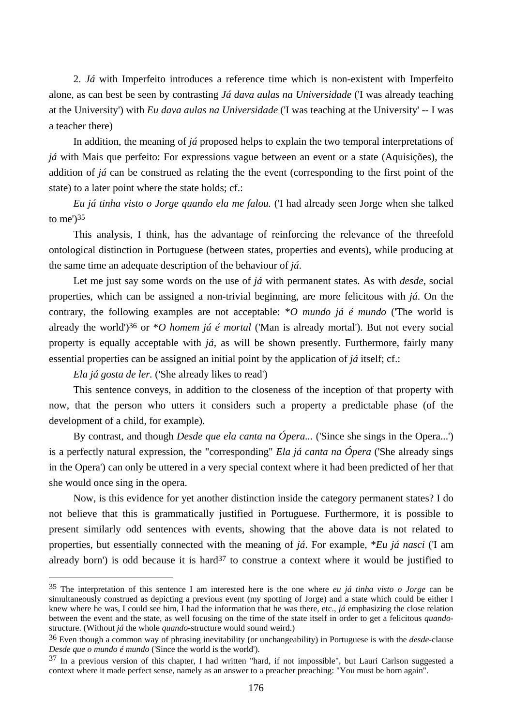2. *Já* with Imperfeito introduces a reference time which is non-existent with Imperfeito alone, as can best be seen by contrasting *Já dava aulas na Universidade* ('I was already teaching at the University') with *Eu dava aulas na Universidade* ('I was teaching at the University' -- I was a teacher there)

In addition, the meaning of *já* proposed helps to explain the two temporal interpretations of *já* with Mais que perfeito: For expressions vague between an event or a state (Aquisições), the addition of *já* can be construed as relating the the event (corresponding to the first point of the state) to a later point where the state holds; cf.:

*Eu já tinha visto o Jorge quando ela me falou.* ('I had already seen Jorge when she talked to me')35

This analysis, I think, has the advantage of reinforcing the relevance of the threefold ontological distinction in Portuguese (between states, properties and events), while producing at the same time an adequate description of the behaviour of *já*.

Let me just say some words on the use of *já* with permanent states. As with *desde*, social properties, which can be assigned a non-trivial beginning, are more felicitous with *já*. On the contrary, the following examples are not acceptable: \**O mundo já é mundo* ('The world is already the world')36 or \**O homem já é mortal* ('Man is already mortal'). But not every social property is equally acceptable with *já*, as will be shown presently. Furthermore, fairly many essential properties can be assigned an initial point by the application of *já* itself; cf.:

*Ela já gosta de ler.* ('She already likes to read')

 $\overline{a}$ 

This sentence conveys, in addition to the closeness of the inception of that property with now, that the person who utters it considers such a property a predictable phase (of the development of a child, for example).

By contrast, and though *Desde que ela canta na Ópera...* ('Since she sings in the Opera...') is a perfectly natural expression, the "corresponding" *Ela já canta na Ópera* ('She already sings in the Opera') can only be uttered in a very special context where it had been predicted of her that she would once sing in the opera.

Now, is this evidence for yet another distinction inside the category permanent states? I do not believe that this is grammatically justified in Portuguese. Furthermore, it is possible to present similarly odd sentences with events, showing that the above data is not related to properties, but essentially connected with the meaning of *já*. For example, \**Eu já nasci* ('I am already born') is odd because it is hard<sup>37</sup> to construe a context where it would be justified to

<sup>35</sup> The interpretation of this sentence I am interested here is the one where *eu já tinha visto o Jorge* can be simultaneously construed as depicting a previous event (my spotting of Jorge) and a state which could be either I knew where he was, I could see him, I had the information that he was there, etc., *já* emphasizing the close relation between the event and the state, as well focusing on the time of the state itself in order to get a felicitous *quando*structure. (Without *já* the whole *quando*-structure would sound weird.)

<sup>36</sup> Even though a common way of phrasing inevitability (or unchangeability) in Portuguese is with the *desde*-clause *Desde que o mundo é mundo* ('Since the world is the world').

<sup>37</sup> In a previous version of this chapter, I had written "hard, if not impossible", but Lauri Carlson suggested a context where it made perfect sense, namely as an answer to a preacher preaching: "You must be born again".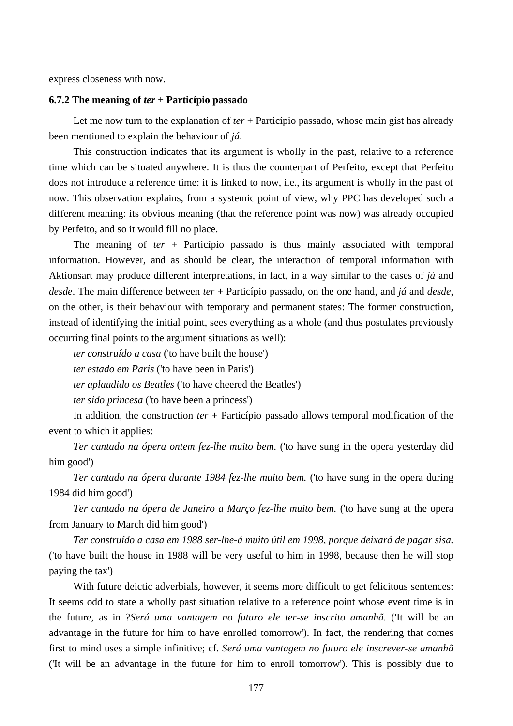express closeness with now.

#### **6.7.2 The meaning of** *ter* **+ Particípio passado**

Let me now turn to the explanation of *ter* + Particípio passado, whose main gist has already been mentioned to explain the behaviour of *já*.

This construction indicates that its argument is wholly in the past, relative to a reference time which can be situated anywhere. It is thus the counterpart of Perfeito, except that Perfeito does not introduce a reference time: it is linked to now, i.e., its argument is wholly in the past of now. This observation explains, from a systemic point of view, why PPC has developed such a different meaning: its obvious meaning (that the reference point was now) was already occupied by Perfeito, and so it would fill no place.

The meaning of *ter* + Particípio passado is thus mainly associated with temporal information. However, and as should be clear, the interaction of temporal information with Aktionsart may produce different interpretations, in fact, in a way similar to the cases of *já* and *desde*. The main difference between *ter* + Particípio passado, on the one hand, and *já* and *desde*, on the other, is their behaviour with temporary and permanent states: The former construction, instead of identifying the initial point, sees everything as a whole (and thus postulates previously occurring final points to the argument situations as well):

*ter construído a casa* ('to have built the house')

*ter estado em Paris* ('to have been in Paris')

*ter aplaudido os Beatles* ('to have cheered the Beatles')

*ter sido princesa* ('to have been a princess')

In addition, the construction *ter* + Particípio passado allows temporal modification of the event to which it applies:

*Ter cantado na ópera ontem fez-lhe muito bem.* ('to have sung in the opera yesterday did him good')

*Ter cantado na ópera durante 1984 fez-lhe muito bem.* ('to have sung in the opera during 1984 did him good')

*Ter cantado na ópera de Janeiro a Março fez-lhe muito bem.* ('to have sung at the opera from January to March did him good')

*Ter construído a casa em 1988 ser-lhe-á muito útil em 1998, porque deixará de pagar sisa.* ('to have built the house in 1988 will be very useful to him in 1998, because then he will stop paying the tax')

With future deictic adverbials, however, it seems more difficult to get felicitous sentences: It seems odd to state a wholly past situation relative to a reference point whose event time is in the future, as in ?*Será uma vantagem no futuro ele ter-se inscrito amanhã.* ('It will be an advantage in the future for him to have enrolled tomorrow'). In fact, the rendering that comes first to mind uses a simple infinitive; cf. *Será uma vantagem no futuro ele inscrever-se amanhã* ('It will be an advantage in the future for him to enroll tomorrow'). This is possibly due to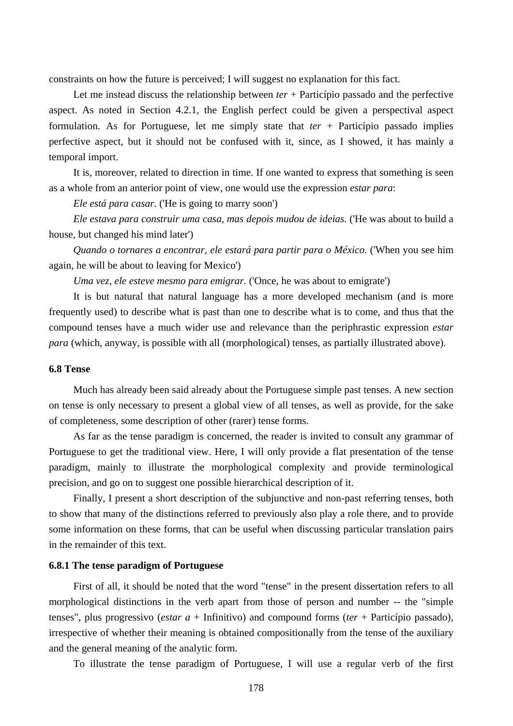constraints on how the future is perceived; I will suggest no explanation for this fact.

Let me instead discuss the relationship between *ter* + Particípio passado and the perfective aspect. As noted in Section 4.2.1, the English perfect could be given a perspectival aspect formulation. As for Portuguese, let me simply state that *ter* + Particípio passado implies perfective aspect, but it should not be confused with it, since, as I showed, it has mainly a temporal import.

It is, moreover, related to direction in time. If one wanted to express that something is seen as a whole from an anterior point of view, one would use the expression *estar para*:

*Ele está para casar.* ('He is going to marry soon')

*Ele estava para construir uma casa, mas depois mudou de ideias.* ('He was about to build a house, but changed his mind later')

*Quando o tornares a encontrar, ele estará para partir para o México.* ('When you see him again, he will be about to leaving for Mexico')

*Uma vez, ele esteve mesmo para emigrar.* ('Once, he was about to emigrate')

It is but natural that natural language has a more developed mechanism (and is more frequently used) to describe what is past than one to describe what is to come, and thus that the compound tenses have a much wider use and relevance than the periphrastic expression *estar para* (which, anyway, is possible with all (morphological) tenses, as partially illustrated above).

#### **6.8 Tense**

Much has already been said already about the Portuguese simple past tenses. A new section on tense is only necessary to present a global view of all tenses, as well as provide, for the sake of completeness, some description of other (rarer) tense forms.

As far as the tense paradigm is concerned, the reader is invited to consult any grammar of Portuguese to get the traditional view. Here, I will only provide a flat presentation of the tense paradigm, mainly to illustrate the morphological complexity and provide terminological precision, and go on to suggest one possible hierarchical description of it.

Finally, I present a short description of the subjunctive and non-past referring tenses, both to show that many of the distinctions referred to previously also play a role there, and to provide some information on these forms, that can be useful when discussing particular translation pairs in the remainder of this text.

#### **6.8.1 The tense paradigm of Portuguese**

First of all, it should be noted that the word "tense" in the present dissertation refers to all morphological distinctions in the verb apart from those of person and number -- the "simple tenses", plus progressivo (*estar a* + Infinitivo) and compound forms (*ter* + Particípio passado), irrespective of whether their meaning is obtained compositionally from the tense of the auxiliary and the general meaning of the analytic form.

To illustrate the tense paradigm of Portuguese, I will use a regular verb of the first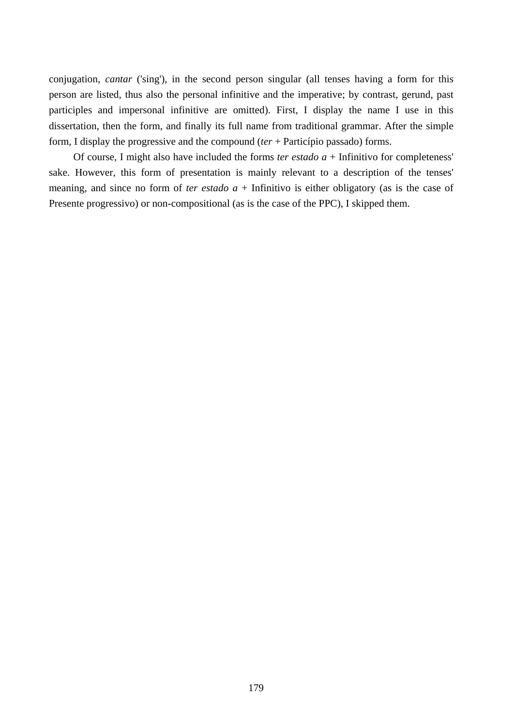conjugation, *cantar* ('sing'), in the second person singular (all tenses having a form for this person are listed, thus also the personal infinitive and the imperative; by contrast, gerund, past participles and impersonal infinitive are omitted). First, I display the name I use in this dissertation, then the form, and finally its full name from traditional grammar. After the simple form, I display the progressive and the compound (*ter* + Particípio passado) forms.

Of course, I might also have included the forms *ter estado*  $a$  + Infinitivo for completeness' sake. However, this form of presentation is mainly relevant to a description of the tenses' meaning, and since no form of *ter estado*  $a +$  Infinitivo is either obligatory (as is the case of Presente progressivo) or non-compositional (as is the case of the PPC), I skipped them.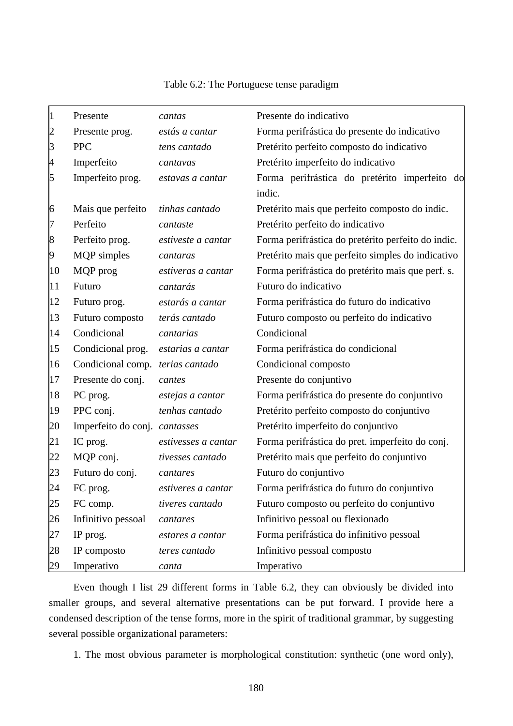| $\vert$ 1      | Presente                         | cantas              | Presente do indicativo                             |
|----------------|----------------------------------|---------------------|----------------------------------------------------|
| $\overline{2}$ | Presente prog.                   | estás a cantar      | Forma perifrástica do presente do indicativo       |
| $\beta$        | <b>PPC</b>                       | tens cantado        | Pretérito perfeito composto do indicativo          |
| $\overline{A}$ | Imperfeito                       | cantavas            | Pretérito imperfeito do indicativo                 |
| $\overline{5}$ | Imperfeito prog.                 | estavas a cantar    | Forma perifrástica do pretérito imperfeito do      |
|                |                                  |                     | indic.                                             |
| 6              | Mais que perfeito                | tinhas cantado      | Pretérito mais que perfeito composto do indic.     |
| 17             | Perfeito                         | cantaste            | Pretérito perfeito do indicativo                   |
| 8              | Perfeito prog.                   | estiveste a cantar  | Forma perifrástica do pretérito perfeito do indic. |
| 9              | <b>MQP</b> simples               | cantaras            | Pretérito mais que perfeito simples do indicativo  |
| 10             | MQP prog                         | estiveras a cantar  | Forma perifrástica do pretérito mais que perf. s.  |
| 11             | Futuro                           | cantarás            | Futuro do indicativo                               |
| 12             | Futuro prog.                     | estarás a cantar    | Forma perifrástica do futuro do indicativo         |
| 13             | Futuro composto                  | terás cantado       | Futuro composto ou perfeito do indicativo          |
| 14             | Condicional                      | cantarias           | Condicional                                        |
| 15             | Condicional prog.                | estarias a cantar   | Forma perifrástica do condicional                  |
| 16             | Condicional comp. terias cantado |                     | Condicional composto                               |
| 17             | Presente do conj.                | cantes              | Presente do conjuntivo                             |
| 18             | PC prog.                         | estejas a cantar    | Forma perifrástica do presente do conjuntivo       |
| 19             | PPC conj.                        | tenhas cantado      | Pretérito perfeito composto do conjuntivo          |
| 20             | Imperfeito do conj. cantasses    |                     | Pretérito imperfeito do conjuntivo                 |
| 21             | IC prog.                         | estivesses a cantar | Forma perifrástica do pret. imperfeito do conj.    |
| 22             | MQP conj.                        | tivesses cantado    | Pretérito mais que perfeito do conjuntivo          |
| 23             | Futuro do conj.                  | cantares            | Futuro do conjuntivo                               |
| 24             | FC prog.                         | estiveres a cantar  | Forma perifrástica do futuro do conjuntivo         |
| 25             | FC comp.                         | tiveres cantado     | Futuro composto ou perfeito do conjuntivo          |
| 26             | Infinitivo pessoal               | cantares            | Infinitivo pessoal ou flexionado                   |
| 27             | IP prog.                         | estares a cantar    | Forma perifrástica do infinitivo pessoal           |
| 28             | IP composto                      | teres cantado       | Infinitivo pessoal composto                        |
| 29             | Imperativo                       | canta               | Imperativo                                         |

# Table 6.2: The Portuguese tense paradigm

Even though I list 29 different forms in Table 6.2, they can obviously be divided into smaller groups, and several alternative presentations can be put forward. I provide here a condensed description of the tense forms, more in the spirit of traditional grammar, by suggesting several possible organizational parameters:

1. The most obvious parameter is morphological constitution: synthetic (one word only),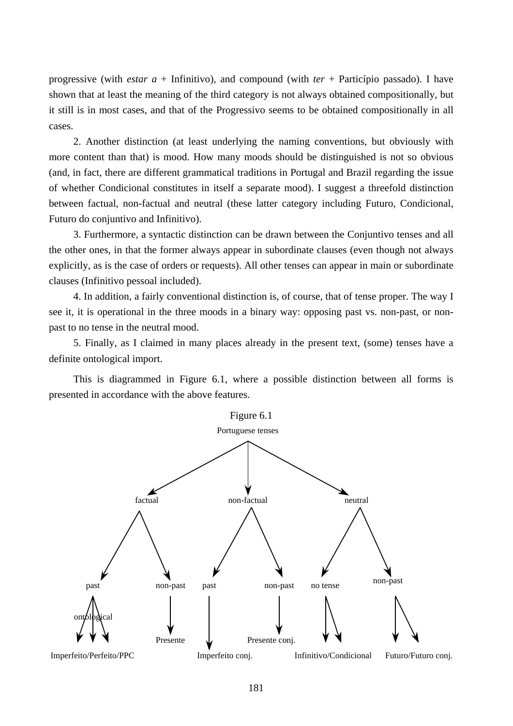progressive (with *estar a* + Infinitivo), and compound (with *ter* + Particípio passado). I have shown that at least the meaning of the third category is not always obtained compositionally, but it still is in most cases, and that of the Progressivo seems to be obtained compositionally in all cases.

2. Another distinction (at least underlying the naming conventions, but obviously with more content than that) is mood. How many moods should be distinguished is not so obvious (and, in fact, there are different grammatical traditions in Portugal and Brazil regarding the issue of whether Condicional constitutes in itself a separate mood). I suggest a threefold distinction between factual, non-factual and neutral (these latter category including Futuro, Condicional, Futuro do conjuntivo and Infinitivo).

3. Furthermore, a syntactic distinction can be drawn between the Conjuntivo tenses and all the other ones, in that the former always appear in subordinate clauses (even though not always explicitly, as is the case of orders or requests). All other tenses can appear in main or subordinate clauses (Infinitivo pessoal included).

4. In addition, a fairly conventional distinction is, of course, that of tense proper. The way I see it, it is operational in the three moods in a binary way: opposing past vs. non-past, or nonpast to no tense in the neutral mood.

5. Finally, as I claimed in many places already in the present text, (some) tenses have a definite ontological import.

This is diagrammed in Figure 6.1, where a possible distinction between all forms is presented in accordance with the above features.

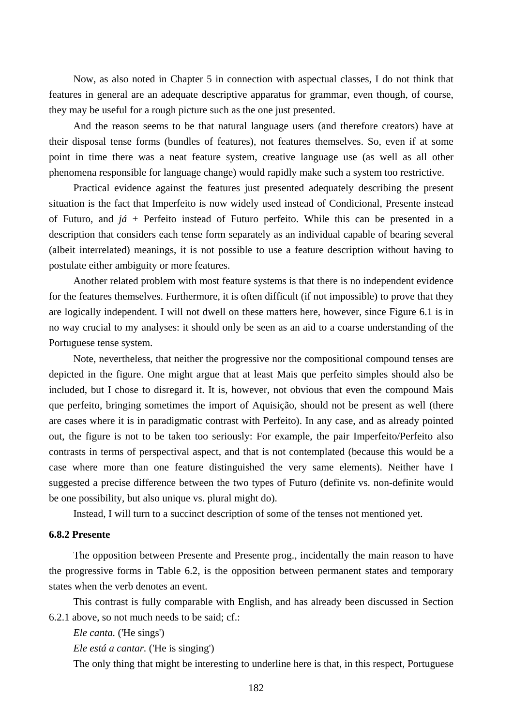Now, as also noted in Chapter 5 in connection with aspectual classes, I do not think that features in general are an adequate descriptive apparatus for grammar, even though, of course, they may be useful for a rough picture such as the one just presented.

And the reason seems to be that natural language users (and therefore creators) have at their disposal tense forms (bundles of features), not features themselves. So, even if at some point in time there was a neat feature system, creative language use (as well as all other phenomena responsible for language change) would rapidly make such a system too restrictive.

Practical evidence against the features just presented adequately describing the present situation is the fact that Imperfeito is now widely used instead of Condicional, Presente instead of Futuro, and *já* + Perfeito instead of Futuro perfeito. While this can be presented in a description that considers each tense form separately as an individual capable of bearing several (albeit interrelated) meanings, it is not possible to use a feature description without having to postulate either ambiguity or more features.

Another related problem with most feature systems is that there is no independent evidence for the features themselves. Furthermore, it is often difficult (if not impossible) to prove that they are logically independent. I will not dwell on these matters here, however, since Figure 6.1 is in no way crucial to my analyses: it should only be seen as an aid to a coarse understanding of the Portuguese tense system.

Note, nevertheless, that neither the progressive nor the compositional compound tenses are depicted in the figure. One might argue that at least Mais que perfeito simples should also be included, but I chose to disregard it. It is, however, not obvious that even the compound Mais que perfeito, bringing sometimes the import of Aquisição, should not be present as well (there are cases where it is in paradigmatic contrast with Perfeito). In any case, and as already pointed out, the figure is not to be taken too seriously: For example, the pair Imperfeito/Perfeito also contrasts in terms of perspectival aspect, and that is not contemplated (because this would be a case where more than one feature distinguished the very same elements). Neither have I suggested a precise difference between the two types of Futuro (definite vs. non-definite would be one possibility, but also unique vs. plural might do).

Instead, I will turn to a succinct description of some of the tenses not mentioned yet.

## **6.8.2 Presente**

The opposition between Presente and Presente prog., incidentally the main reason to have the progressive forms in Table 6.2, is the opposition between permanent states and temporary states when the verb denotes an event.

This contrast is fully comparable with English, and has already been discussed in Section 6.2.1 above, so not much needs to be said; cf.:

*Ele canta.* ('He sings')

*Ele está a cantar.* ('He is singing')

The only thing that might be interesting to underline here is that, in this respect, Portuguese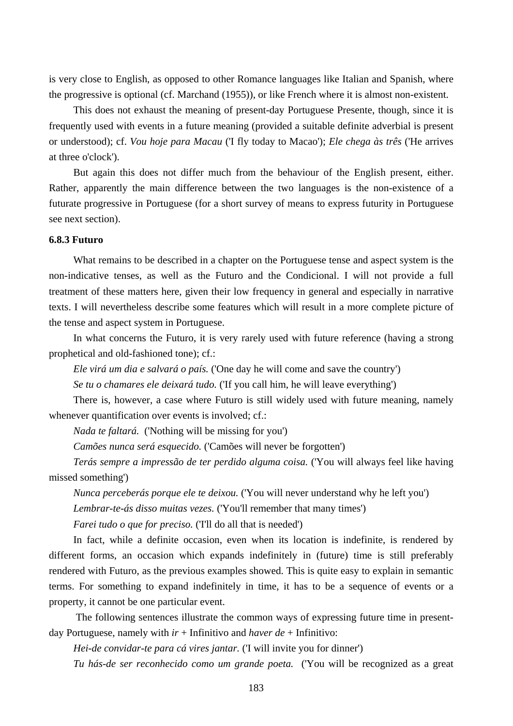is very close to English, as opposed to other Romance languages like Italian and Spanish, where the progressive is optional (cf. Marchand (1955)), or like French where it is almost non-existent.

This does not exhaust the meaning of present-day Portuguese Presente, though, since it is frequently used with events in a future meaning (provided a suitable definite adverbial is present or understood); cf. *Vou hoje para Macau* ('I fly today to Macao'); *Ele chega às três* ('He arrives at three o'clock').

But again this does not differ much from the behaviour of the English present, either. Rather, apparently the main difference between the two languages is the non-existence of a futurate progressive in Portuguese (for a short survey of means to express futurity in Portuguese see next section).

#### **6.8.3 Futuro**

What remains to be described in a chapter on the Portuguese tense and aspect system is the non-indicative tenses, as well as the Futuro and the Condicional. I will not provide a full treatment of these matters here, given their low frequency in general and especially in narrative texts. I will nevertheless describe some features which will result in a more complete picture of the tense and aspect system in Portuguese.

In what concerns the Futuro, it is very rarely used with future reference (having a strong prophetical and old-fashioned tone); cf.:

*Ele virá um dia e salvará o país.* ('One day he will come and save the country')

*Se tu o chamares ele deixará tudo.* ('If you call him, he will leave everything')

There is, however, a case where Futuro is still widely used with future meaning, namely whenever quantification over events is involved; cf.:

*Nada te faltará.* ('Nothing will be missing for you')

*Camões nunca será esquecido.* ('Camões will never be forgotten')

*Terás sempre a impressão de ter perdido alguma coisa.* ('You will always feel like having missed something')

*Nunca perceberás porque ele te deixou.* ('You will never understand why he left you')

*Lembrar-te-ás disso muitas vezes.* ('You'll remember that many times')

*Farei tudo o que for preciso.* (T'll do all that is needed')

In fact, while a definite occasion, even when its location is indefinite, is rendered by different forms, an occasion which expands indefinitely in (future) time is still preferably rendered with Futuro, as the previous examples showed. This is quite easy to explain in semantic terms. For something to expand indefinitely in time, it has to be a sequence of events or a property, it cannot be one particular event.

 The following sentences illustrate the common ways of expressing future time in presentday Portuguese, namely with *ir* + Infinitivo and *haver de* + Infinitivo:

*Hei-de convidar-te para cá vires jantar.* ('I will invite you for dinner')

*Tu hás-de ser reconhecido como um grande poeta.* ('You will be recognized as a great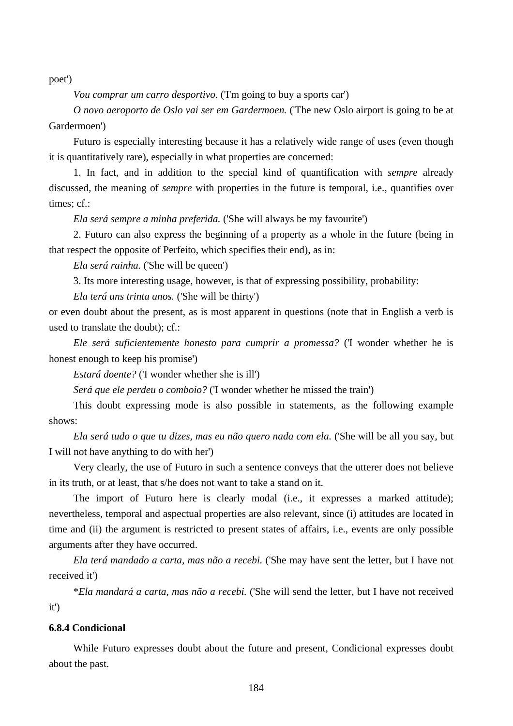poet')

*Vou comprar um carro desportivo.* (T'm going to buy a sports car')

*O novo aeroporto de Oslo vai ser em Gardermoen.* ('The new Oslo airport is going to be at Gardermoen')

Futuro is especially interesting because it has a relatively wide range of uses (even though it is quantitatively rare), especially in what properties are concerned:

1. In fact, and in addition to the special kind of quantification with *sempre* already discussed, the meaning of *sempre* with properties in the future is temporal, i.e., quantifies over times; cf.:

*Ela será sempre a minha preferida.* ('She will always be my favourite')

2. Futuro can also express the beginning of a property as a whole in the future (being in that respect the opposite of Perfeito, which specifies their end), as in:

*Ela será rainha.* ('She will be queen')

3. Its more interesting usage, however, is that of expressing possibility, probability:

*Ela terá uns trinta anos.* ('She will be thirty')

or even doubt about the present, as is most apparent in questions (note that in English a verb is used to translate the doubt); cf.:

*Ele será suficientemente honesto para cumprir a promessa?* ('I wonder whether he is honest enough to keep his promise')

*Estará doente?* ('I wonder whether she is ill')

*Será que ele perdeu o comboio?* ('I wonder whether he missed the train')

This doubt expressing mode is also possible in statements, as the following example shows:

*Ela será tudo o que tu dizes, mas eu não quero nada com ela.* ('She will be all you say, but I will not have anything to do with her')

Very clearly, the use of Futuro in such a sentence conveys that the utterer does not believe in its truth, or at least, that s/he does not want to take a stand on it.

The import of Futuro here is clearly modal (i.e., it expresses a marked attitude); nevertheless, temporal and aspectual properties are also relevant, since (i) attitudes are located in time and (ii) the argument is restricted to present states of affairs, i.e., events are only possible arguments after they have occurred.

*Ela terá mandado a carta, mas não a recebi.* ('She may have sent the letter, but I have not received it')

\**Ela mandará a carta, mas não a recebi.* ('She will send the letter, but I have not received it')

# **6.8.4 Condicional**

While Futuro expresses doubt about the future and present, Condicional expresses doubt about the past.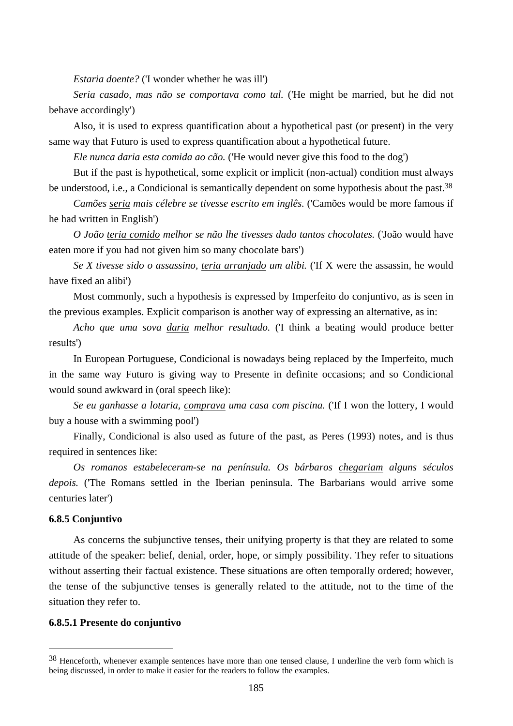*Estaria doente?* ('I wonder whether he was ill')

*Seria casado, mas não se comportava como tal.* ('He might be married, but he did not behave accordingly')

Also, it is used to express quantification about a hypothetical past (or present) in the very same way that Futuro is used to express quantification about a hypothetical future.

*Ele nunca daria esta comida ao cão.* ('He would never give this food to the dog')

But if the past is hypothetical, some explicit or implicit (non-actual) condition must always be understood, i.e., a Condicional is semantically dependent on some hypothesis about the past.<sup>38</sup>

*Camões seria mais célebre se tivesse escrito em inglês.* ('Camões would be more famous if he had written in English')

*O João teria comido melhor se não lhe tivesses dado tantos chocolates.* ('João would have eaten more if you had not given him so many chocolate bars')

*Se X tivesse sido o assassino, teria arranjado um alibi.* ('If X were the assassin, he would have fixed an alibi')

Most commonly, such a hypothesis is expressed by Imperfeito do conjuntivo, as is seen in the previous examples. Explicit comparison is another way of expressing an alternative, as in:

*Acho que uma sova daria melhor resultado.* ('I think a beating would produce better results')

In European Portuguese, Condicional is nowadays being replaced by the Imperfeito, much in the same way Futuro is giving way to Presente in definite occasions; and so Condicional would sound awkward in (oral speech like):

*Se eu ganhasse a lotaria, comprava uma casa com piscina.* ('If I won the lottery, I would buy a house with a swimming pool')

Finally, Condicional is also used as future of the past, as Peres (1993) notes, and is thus required in sentences like:

*Os romanos estabeleceram-se na península. Os bárbaros chegariam alguns séculos depois.* ('The Romans settled in the Iberian peninsula. The Barbarians would arrive some centuries later')

# **6.8.5 Conjuntivo**

 $\overline{a}$ 

As concerns the subjunctive tenses, their unifying property is that they are related to some attitude of the speaker: belief, denial, order, hope, or simply possibility. They refer to situations without asserting their factual existence. These situations are often temporally ordered; however, the tense of the subjunctive tenses is generally related to the attitude, not to the time of the situation they refer to.

## **6.8.5.1 Presente do conjuntivo**

<sup>&</sup>lt;sup>38</sup> Henceforth, whenever example sentences have more than one tensed clause, I underline the verb form which is being discussed, in order to make it easier for the readers to follow the examples.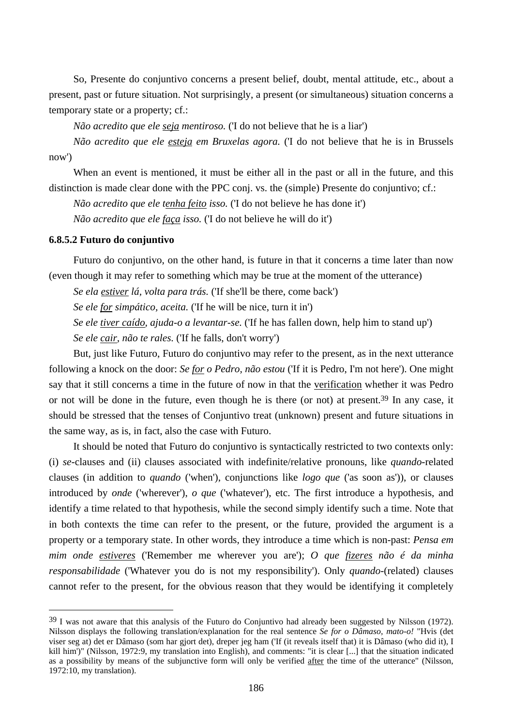So, Presente do conjuntivo concerns a present belief, doubt, mental attitude, etc., about a present, past or future situation. Not surprisingly, a present (or simultaneous) situation concerns a temporary state or a property; cf.:

*Não acredito que ele seja mentiroso.* ('I do not believe that he is a liar')

*Não acredito que ele esteja em Bruxelas agora.* ('I do not believe that he is in Brussels now')

When an event is mentioned, it must be either all in the past or all in the future, and this distinction is made clear done with the PPC conj. vs. the (simple) Presente do conjuntivo; cf.:

*Não acredito que ele tenha feito isso.* ('I do not believe he has done it')

*Não acredito que ele faça isso.* ('I do not believe he will do it')

# **6.8.5.2 Futuro do conjuntivo**

 $\overline{a}$ 

Futuro do conjuntivo, on the other hand, is future in that it concerns a time later than now (even though it may refer to something which may be true at the moment of the utterance)

*Se ela estiver lá, volta para trás.* ('If she'll be there, come back')

*Se ele for simpático, aceita.* ('If he will be nice, turn it in')

*Se ele tiver caído, ajuda-o a levantar-se.* ('If he has fallen down, help him to stand up')

*Se ele cair, não te rales.* ('If he falls, don't worry')

But, just like Futuro, Futuro do conjuntivo may refer to the present, as in the next utterance following a knock on the door: *Se for o Pedro, não estou* ('If it is Pedro, I'm not here'). One might say that it still concerns a time in the future of now in that the verification whether it was Pedro or not will be done in the future, even though he is there (or not) at present.39 In any case, it should be stressed that the tenses of Conjuntivo treat (unknown) present and future situations in the same way, as is, in fact, also the case with Futuro.

It should be noted that Futuro do conjuntivo is syntactically restricted to two contexts only: (i) *se*-clauses and (ii) clauses associated with indefinite/relative pronouns, like *quando*-related clauses (in addition to *quando* ('when'), conjunctions like *logo que* ('as soon as')), or clauses introduced by *onde* ('wherever'), *o que* ('whatever'), etc. The first introduce a hypothesis, and identify a time related to that hypothesis, while the second simply identify such a time. Note that in both contexts the time can refer to the present, or the future, provided the argument is a property or a temporary state. In other words, they introduce a time which is non-past: *Pensa em mim onde estiveres* ('Remember me wherever you are'); *O que fizeres não é da minha responsabilidade* ('Whatever you do is not my responsibility'). Only *quando*-(related) clauses cannot refer to the present, for the obvious reason that they would be identifying it completely

<sup>39</sup> I was not aware that this analysis of the Futuro do Conjuntivo had already been suggested by Nilsson (1972). Nilsson displays the following translation/explanation for the real sentence *Se for o Dâmaso, mato-o!* "Hvis (det viser seg at) det er Dâmaso (som har gjort det), dreper jeg ham ('If (it reveals itself that) it is Dâmaso (who did it), I kill him')" (Nilsson, 1972:9, my translation into English), and comments: "it is clear [...] that the situation indicated as a possibility by means of the subjunctive form will only be verified after the time of the utterance" (Nilsson, 1972:10, my translation).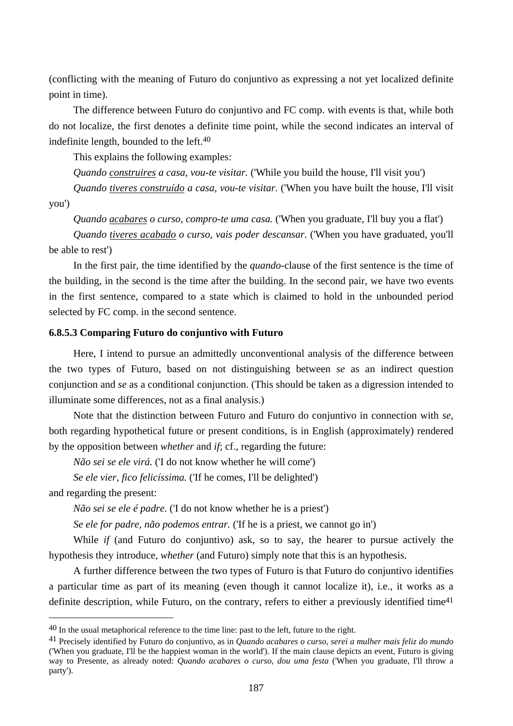(conflicting with the meaning of Futuro do conjuntivo as expressing a not yet localized definite point in time).

The difference between Futuro do conjuntivo and FC comp. with events is that, while both do not localize, the first denotes a definite time point, while the second indicates an interval of indefinite length, bounded to the left.40

This explains the following examples:

*Quando construires a casa, vou-te visitar.* ('While you build the house, I'll visit you')

*Quando tiveres construído a casa, vou-te visitar.* ('When you have built the house, I'll visit you')

*Quando acabares o curso, compro-te uma casa.* ('When you graduate, I'll buy you a flat')

*Quando tiveres acabado o curso, vais poder descansar.* ('When you have graduated, you'll be able to rest')

In the first pair, the time identified by the *quando*-clause of the first sentence is the time of the building, in the second is the time after the building. In the second pair, we have two events in the first sentence, compared to a state which is claimed to hold in the unbounded period selected by FC comp. in the second sentence.

# **6.8.5.3 Comparing Futuro do conjuntivo with Futuro**

Here, I intend to pursue an admittedly unconventional analysis of the difference between the two types of Futuro, based on not distinguishing between *se* as an indirect question conjunction and *se* as a conditional conjunction. (This should be taken as a digression intended to illuminate some differences, not as a final analysis.)

Note that the distinction between Futuro and Futuro do conjuntivo in connection with *se*, both regarding hypothetical future or present conditions, is in English (approximately) rendered by the opposition between *whether* and *if*; cf., regarding the future:

*Não sei se ele virá.* ('I do not know whether he will come')

*Se ele vier, fico felicíssima.* ('If he comes, I'll be delighted')

and regarding the present:

 $\overline{a}$ 

*Não sei se ele é padre.* ('I do not know whether he is a priest')

*Se ele for padre, não podemos entrar.* ('If he is a priest, we cannot go in')

While *if* (and Futuro do conjuntivo) ask, so to say, the hearer to pursue actively the hypothesis they introduce, *whether* (and Futuro) simply note that this is an hypothesis.

A further difference between the two types of Futuro is that Futuro do conjuntivo identifies a particular time as part of its meaning (even though it cannot localize it), i.e., it works as a definite description, while Futuro, on the contrary, refers to either a previously identified time<sup>41</sup>

<sup>40</sup> In the usual metaphorical reference to the time line: past to the left, future to the right.

<sup>41</sup> Precisely identified by Futuro do conjuntivo, as in *Quando acabares o curso, serei a mulher mais feliz do mundo*  ('When you graduate, I'll be the happiest woman in the world'). If the main clause depicts an event, Futuro is giving way to Presente, as already noted: *Quando acabares o curso, dou uma festa* ('When you graduate, I'll throw a party').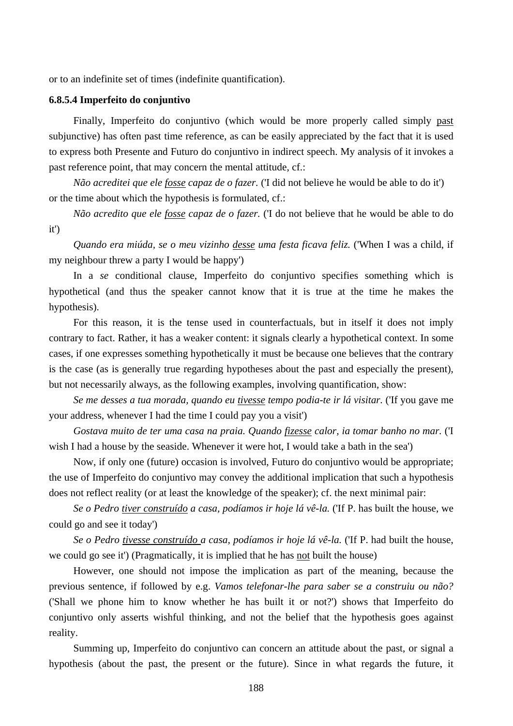or to an indefinite set of times (indefinite quantification).

#### **6.8.5.4 Imperfeito do conjuntivo**

Finally, Imperfeito do conjuntivo (which would be more properly called simply past subjunctive) has often past time reference, as can be easily appreciated by the fact that it is used to express both Presente and Futuro do conjuntivo in indirect speech. My analysis of it invokes a past reference point, that may concern the mental attitude, cf.:

*Não acreditei que ele fosse capaz de o fazer.* ('I did not believe he would be able to do it') or the time about which the hypothesis is formulated, cf.:

*Não acredito que ele fosse capaz de o fazer.* ('I do not believe that he would be able to do it')

*Quando era miúda, se o meu vizinho desse uma festa ficava feliz.* ('When I was a child, if my neighbour threw a party I would be happy')

In a *se* conditional clause, Imperfeito do conjuntivo specifies something which is hypothetical (and thus the speaker cannot know that it is true at the time he makes the hypothesis).

For this reason, it is the tense used in counterfactuals, but in itself it does not imply contrary to fact. Rather, it has a weaker content: it signals clearly a hypothetical context. In some cases, if one expresses something hypothetically it must be because one believes that the contrary is the case (as is generally true regarding hypotheses about the past and especially the present), but not necessarily always, as the following examples, involving quantification, show:

*Se me desses a tua morada, quando eu tivesse tempo podia-te ir lá visitar.* ('If you gave me your address, whenever I had the time I could pay you a visit')

*Gostava muito de ter uma casa na praia. Quando fizesse calor, ia tomar banho no mar.* ('I wish I had a house by the seaside. Whenever it were hot, I would take a bath in the sea')

Now, if only one (future) occasion is involved, Futuro do conjuntivo would be appropriate; the use of Imperfeito do conjuntivo may convey the additional implication that such a hypothesis does not reflect reality (or at least the knowledge of the speaker); cf. the next minimal pair:

*Se o Pedro tiver construído a casa, podíamos ir hoje lá vê-la.* ('If P. has built the house, we could go and see it today')

*Se o Pedro tivesse construído a casa, podíamos ir hoje lá vê-la.* ('If P. had built the house, we could go see it') (Pragmatically, it is implied that he has not built the house)

However, one should not impose the implication as part of the meaning, because the previous sentence, if followed by e.g. *Vamos telefonar-lhe para saber se a construiu ou não?* ('Shall we phone him to know whether he has built it or not?') shows that Imperfeito do conjuntivo only asserts wishful thinking, and not the belief that the hypothesis goes against reality.

Summing up, Imperfeito do conjuntivo can concern an attitude about the past, or signal a hypothesis (about the past, the present or the future). Since in what regards the future, it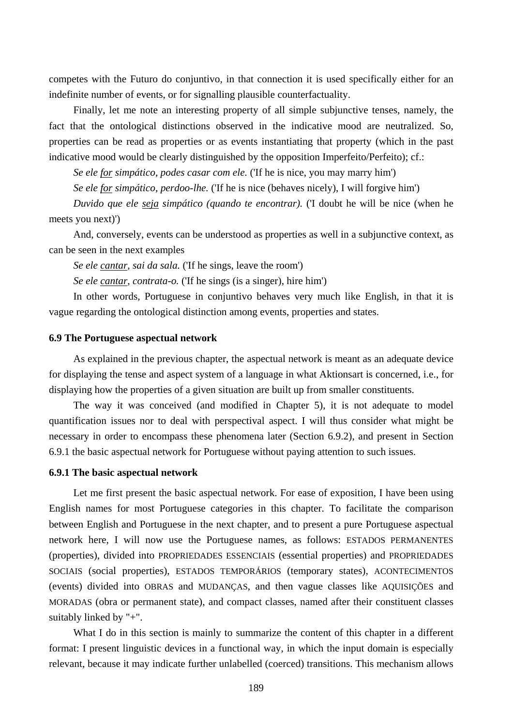competes with the Futuro do conjuntivo, in that connection it is used specifically either for an indefinite number of events, or for signalling plausible counterfactuality.

Finally, let me note an interesting property of all simple subjunctive tenses, namely, the fact that the ontological distinctions observed in the indicative mood are neutralized. So, properties can be read as properties or as events instantiating that property (which in the past indicative mood would be clearly distinguished by the opposition Imperfeito/Perfeito); cf.:

*Se ele for simpático, podes casar com ele.* ('If he is nice, you may marry him')

*Se ele for simpático, perdoo-lhe.* ('If he is nice (behaves nicely), I will forgive him')

*Duvido que ele seja simpático (quando te encontrar).* ('I doubt he will be nice (when he meets you next)')

And, conversely, events can be understood as properties as well in a subjunctive context, as can be seen in the next examples

*Se ele cantar, sai da sala.* ('If he sings, leave the room')

*Se ele cantar, contrata-o.* ('If he sings (is a singer), hire him')

In other words, Portuguese in conjuntivo behaves very much like English, in that it is vague regarding the ontological distinction among events, properties and states.

#### **6.9 The Portuguese aspectual network**

As explained in the previous chapter, the aspectual network is meant as an adequate device for displaying the tense and aspect system of a language in what Aktionsart is concerned, i.e., for displaying how the properties of a given situation are built up from smaller constituents.

The way it was conceived (and modified in Chapter 5), it is not adequate to model quantification issues nor to deal with perspectival aspect. I will thus consider what might be necessary in order to encompass these phenomena later (Section 6.9.2), and present in Section 6.9.1 the basic aspectual network for Portuguese without paying attention to such issues.

### **6.9.1 The basic aspectual network**

Let me first present the basic aspectual network. For ease of exposition, I have been using English names for most Portuguese categories in this chapter. To facilitate the comparison between English and Portuguese in the next chapter, and to present a pure Portuguese aspectual network here, I will now use the Portuguese names, as follows: ESTADOS PERMANENTES (properties), divided into PROPRIEDADES ESSENCIAIS (essential properties) and PROPRIEDADES SOCIAIS (social properties), ESTADOS TEMPORÁRIOS (temporary states), ACONTECIMENTOS (events) divided into OBRAS and MUDANÇAS, and then vague classes like AQUISIÇÕES and MORADAS (obra or permanent state), and compact classes, named after their constituent classes suitably linked by "+".

What I do in this section is mainly to summarize the content of this chapter in a different format: I present linguistic devices in a functional way, in which the input domain is especially relevant, because it may indicate further unlabelled (coerced) transitions. This mechanism allows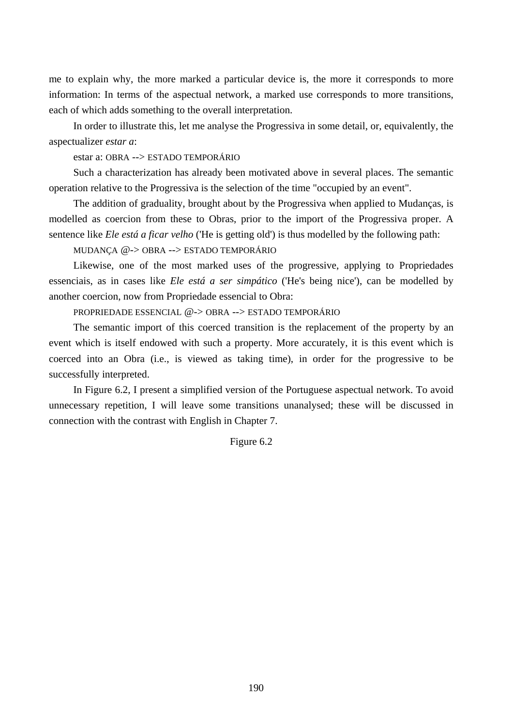me to explain why, the more marked a particular device is, the more it corresponds to more information: In terms of the aspectual network, a marked use corresponds to more transitions, each of which adds something to the overall interpretation.

In order to illustrate this, let me analyse the Progressiva in some detail, or, equivalently, the aspectualizer *estar a*:

estar a: OBRA --> ESTADO TEMPORÁRIO

Such a characterization has already been motivated above in several places. The semantic operation relative to the Progressiva is the selection of the time "occupied by an event".

The addition of graduality, brought about by the Progressiva when applied to Mudanças, is modelled as coercion from these to Obras, prior to the import of the Progressiva proper. A sentence like *Ele está a ficar velho* ('He is getting old') is thus modelled by the following path:

MUDANÇA @-> OBRA --> ESTADO TEMPORÁRIO

Likewise, one of the most marked uses of the progressive, applying to Propriedades essenciais, as in cases like *Ele está a ser simpático* ('He's being nice'), can be modelled by another coercion, now from Propriedade essencial to Obra:

PROPRIEDADE ESSENCIAL @-> OBRA --> ESTADO TEMPORÁRIO

The semantic import of this coerced transition is the replacement of the property by an event which is itself endowed with such a property. More accurately, it is this event which is coerced into an Obra (i.e., is viewed as taking time), in order for the progressive to be successfully interpreted.

In Figure 6.2, I present a simplified version of the Portuguese aspectual network. To avoid unnecessary repetition, I will leave some transitions unanalysed; these will be discussed in connection with the contrast with English in Chapter 7.

Figure 6.2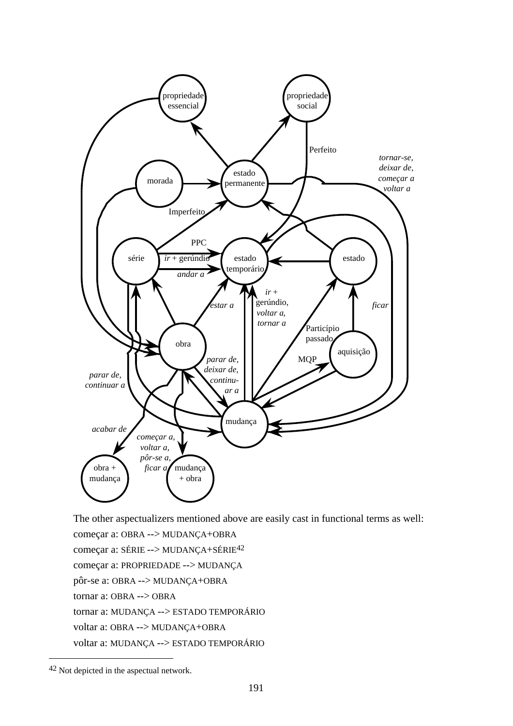

The other aspectualizers mentioned above are easily cast in functional terms as well: começar a: OBRA --> MUDANÇA+OBRA começar a: SÉRIE --> MUDANÇA+SÉRIE42 começar a: PROPRIEDADE --> MUDANÇA pôr-se a: OBRA --> MUDANÇA+OBRA tornar a: OBRA --> OBRA tornar a: MUDANÇA --> ESTADO TEMPORÁRIO voltar a: OBRA --> MUDANÇA+OBRA voltar a: MUDANÇA --> ESTADO TEMPORÁRIO

 $\overline{a}$ 

<sup>42</sup> Not depicted in the aspectual network.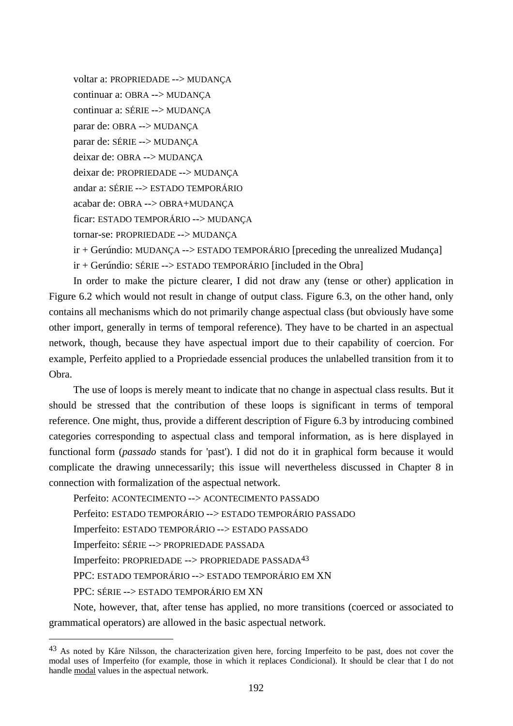voltar a: PROPRIEDADE --> MUDANÇA continuar a: OBRA --> MUDANÇA continuar a: SÉRIE --> MUDANÇA parar de: OBRA --> MUDANÇA parar de: SÉRIE --> MUDANÇA deixar de: OBRA --> MUDANÇA deixar de: PROPRIEDADE --> MUDANÇA andar a: SÉRIE --> ESTADO TEMPORÁRIO acabar de: OBRA --> OBRA+MUDANÇA ficar: ESTADO TEMPORÁRIO --> MUDANÇA tornar-se: PROPRIEDADE --> MUDANÇA ir + Gerúndio: MUDANÇA --> ESTADO TEMPORÁRIO [preceding the unrealized Mudança]

ir + Gerúndio: SÉRIE --> ESTADO TEMPORÁRIO [included in the Obra]

In order to make the picture clearer, I did not draw any (tense or other) application in Figure 6.2 which would not result in change of output class. Figure 6.3, on the other hand, only contains all mechanisms which do not primarily change aspectual class (but obviously have some other import, generally in terms of temporal reference). They have to be charted in an aspectual network, though, because they have aspectual import due to their capability of coercion. For example, Perfeito applied to a Propriedade essencial produces the unlabelled transition from it to Obra.

The use of loops is merely meant to indicate that no change in aspectual class results. But it should be stressed that the contribution of these loops is significant in terms of temporal reference. One might, thus, provide a different description of Figure 6.3 by introducing combined categories corresponding to aspectual class and temporal information, as is here displayed in functional form (*passado* stands for 'past'). I did not do it in graphical form because it would complicate the drawing unnecessarily; this issue will nevertheless discussed in Chapter 8 in connection with formalization of the aspectual network.

Perfeito: ACONTECIMENTO --> ACONTECIMENTO PASSADO Perfeito: ESTADO TEMPORÁRIO --> ESTADO TEMPORÁRIO PASSADO Imperfeito: ESTADO TEMPORÁRIO --> ESTADO PASSADO Imperfeito: SÉRIE --> PROPRIEDADE PASSADA Imperfeito: PROPRIEDADE --> PROPRIEDADE PASSADA43 PPC: ESTADO TEMPORÁRIO --> ESTADO TEMPORÁRIO EM XN PPC: SÉRIE --> ESTADO TEMPORÁRIO EM XN

 $\overline{a}$ 

Note, however, that, after tense has applied, no more transitions (coerced or associated to grammatical operators) are allowed in the basic aspectual network.

<sup>43</sup> As noted by Kåre Nilsson, the characterization given here, forcing Imperfeito to be past, does not cover the modal uses of Imperfeito (for example, those in which it replaces Condicional). It should be clear that I do not handle modal values in the aspectual network.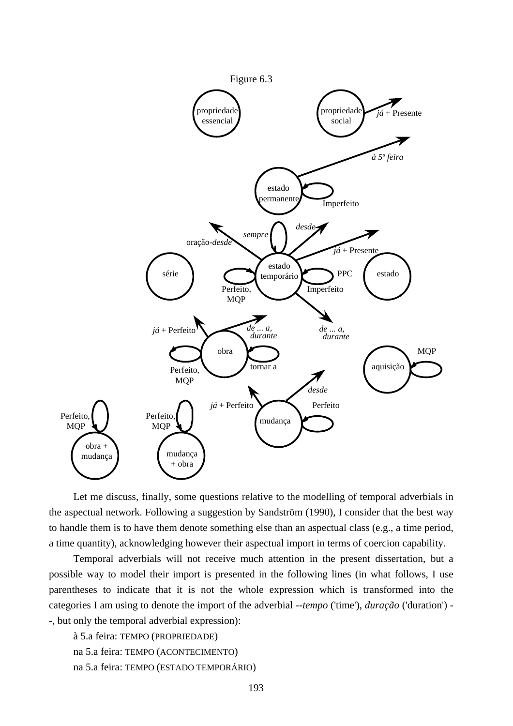

Let me discuss, finally, some questions relative to the modelling of temporal adverbials in the aspectual network. Following a suggestion by Sandström (1990), I consider that the best way to handle them is to have them denote something else than an aspectual class (e.g., a time period, a time quantity), acknowledging however their aspectual import in terms of coercion capability.

Temporal adverbials will not receive much attention in the present dissertation, but a possible way to model their import is presented in the following lines (in what follows, I use parentheses to indicate that it is not the whole expression which is transformed into the categories I am using to denote the import of the adverbial --*tempo* ('time'), *duração* ('duration') - -, but only the temporal adverbial expression):

```
à 5.a feira: TEMPO (PROPRIEDADE)
na 5.a feira: TEMPO (ACONTECIMENTO)
na 5.a feira: TEMPO (ESTADO TEMPORÁRIO)
```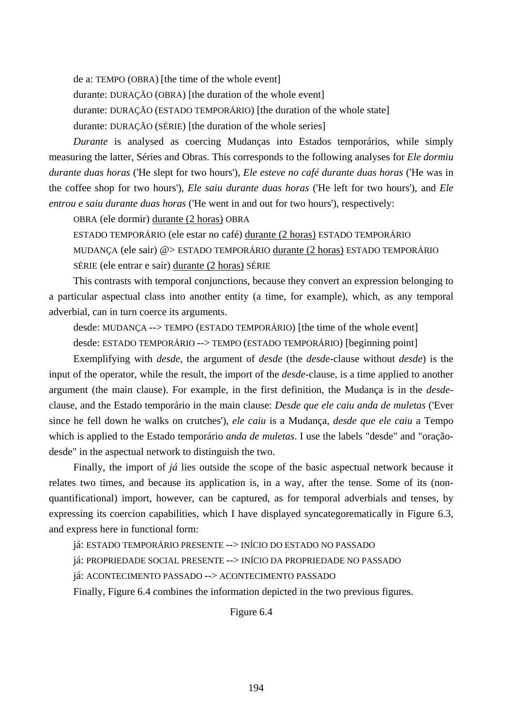de a: TEMPO (OBRA) [the time of the whole event]

durante: DURAÇÃO (OBRA) [the duration of the whole event]

durante: DURAÇÃO (ESTADO TEMPORÁRIO) [the duration of the whole state]

durante: DURAÇÃO (SÉRIE) [the duration of the whole series]

*Durante* is analysed as coercing Mudanças into Estados temporários, while simply measuring the latter, Séries and Obras. This corresponds to the following analyses for *Ele dormiu durante duas horas* ('He slept for two hours'), *Ele esteve no café durante duas horas* ('He was in the coffee shop for two hours'), *Ele saiu durante duas horas* ('He left for two hours'), and *Ele entrou e saiu durante duas horas* ('He went in and out for two hours'), respectively:

OBRA (ele dormir) durante (2 horas) OBRA

ESTADO TEMPORÁRIO (ele estar no café) durante (2 horas) ESTADO TEMPORÁRIO MUDANÇA (ele sair) @> ESTADO TEMPORÁRIO durante (2 horas) ESTADO TEMPORÁRIO SÉRIE (ele entrar e sair) durante (2 horas) SÉRIE

This contrasts with temporal conjunctions, because they convert an expression belonging to a particular aspectual class into another entity (a time, for example), which, as any temporal adverbial, can in turn coerce its arguments.

desde: MUDANÇA --> TEMPO (ESTADO TEMPORÁRIO) [the time of the whole event]

desde: ESTADO TEMPORÁRIO --> TEMPO (ESTADO TEMPORÁRIO) [beginning point]

Exemplifying with *desde*, the argument of *desde* (the *desde*-clause without *desde*) is the input of the operator, while the result, the import of the *desde*-clause, is a time applied to another argument (the main clause). For example, in the first definition, the Mudança is in the *desde*clause, and the Estado temporário in the main clause: *Desde que ele caiu anda de muletas* ('Ever since he fell down he walks on crutches'), *ele caiu* is a Mudança, *desde que ele caiu* a Tempo which is applied to the Estado temporário *anda de muletas*. I use the labels "desde" and "oraçãodesde" in the aspectual network to distinguish the two.

Finally, the import of *já* lies outside the scope of the basic aspectual network because it relates two times, and because its application is, in a way, after the tense. Some of its (nonquantificational) import, however, can be captured, as for temporal adverbials and tenses, by expressing its coercion capabilities, which I have displayed syncategorematically in Figure 6.3, and express here in functional form:

já: ESTADO TEMPORÁRIO PRESENTE --> INÍCIO DO ESTADO NO PASSADO

já: PROPRIEDADE SOCIAL PRESENTE --> INÍCIO DA PROPRIEDADE NO PASSADO

já: ACONTECIMENTO PASSADO --> ACONTECIMENTO PASSADO

Finally, Figure 6.4 combines the information depicted in the two previous figures.

Figure 6.4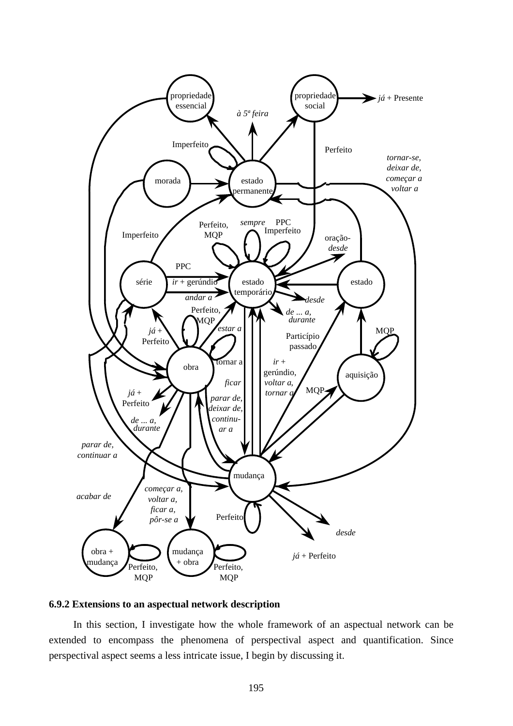

## **6.9.2 Extensions to an aspectual network description**

In this section, I investigate how the whole framework of an aspectual network can be extended to encompass the phenomena of perspectival aspect and quantification. Since perspectival aspect seems a less intricate issue, I begin by discussing it.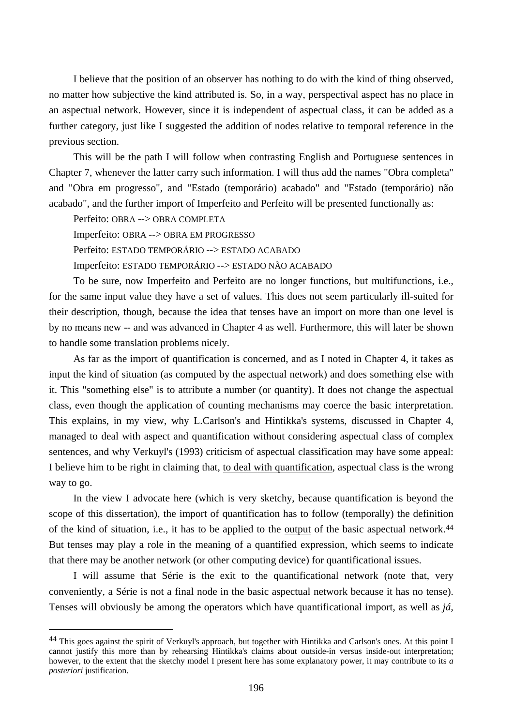I believe that the position of an observer has nothing to do with the kind of thing observed, no matter how subjective the kind attributed is. So, in a way, perspectival aspect has no place in an aspectual network. However, since it is independent of aspectual class, it can be added as a further category, just like I suggested the addition of nodes relative to temporal reference in the previous section.

This will be the path I will follow when contrasting English and Portuguese sentences in Chapter 7, whenever the latter carry such information. I will thus add the names "Obra completa" and "Obra em progresso", and "Estado (temporário) acabado" and "Estado (temporário) não acabado", and the further import of Imperfeito and Perfeito will be presented functionally as:

Perfeito: OBRA --> OBRA COMPLETA

 $\overline{a}$ 

Imperfeito: OBRA --> OBRA EM PROGRESSO

Perfeito: ESTADO TEMPORÁRIO --> ESTADO ACABADO

Imperfeito: ESTADO TEMPORÁRIO --> ESTADO NÃO ACABADO

To be sure, now Imperfeito and Perfeito are no longer functions, but multifunctions, i.e., for the same input value they have a set of values. This does not seem particularly ill-suited for their description, though, because the idea that tenses have an import on more than one level is by no means new -- and was advanced in Chapter 4 as well. Furthermore, this will later be shown to handle some translation problems nicely.

As far as the import of quantification is concerned, and as I noted in Chapter 4, it takes as input the kind of situation (as computed by the aspectual network) and does something else with it. This "something else" is to attribute a number (or quantity). It does not change the aspectual class, even though the application of counting mechanisms may coerce the basic interpretation. This explains, in my view, why L.Carlson's and Hintikka's systems, discussed in Chapter 4, managed to deal with aspect and quantification without considering aspectual class of complex sentences, and why Verkuyl's (1993) criticism of aspectual classification may have some appeal: I believe him to be right in claiming that, to deal with quantification, aspectual class is the wrong way to go.

In the view I advocate here (which is very sketchy, because quantification is beyond the scope of this dissertation), the import of quantification has to follow (temporally) the definition of the kind of situation, i.e., it has to be applied to the output of the basic aspectual network.44 But tenses may play a role in the meaning of a quantified expression, which seems to indicate that there may be another network (or other computing device) for quantificational issues.

I will assume that Série is the exit to the quantificational network (note that, very conveniently, a Série is not a final node in the basic aspectual network because it has no tense). Tenses will obviously be among the operators which have quantificational import, as well as *já*,

<sup>44</sup> This goes against the spirit of Verkuyl's approach, but together with Hintikka and Carlson's ones. At this point I cannot justify this more than by rehearsing Hintikka's claims about outside-in versus inside-out interpretation; however, to the extent that the sketchy model I present here has some explanatory power, it may contribute to its *a posteriori* justification.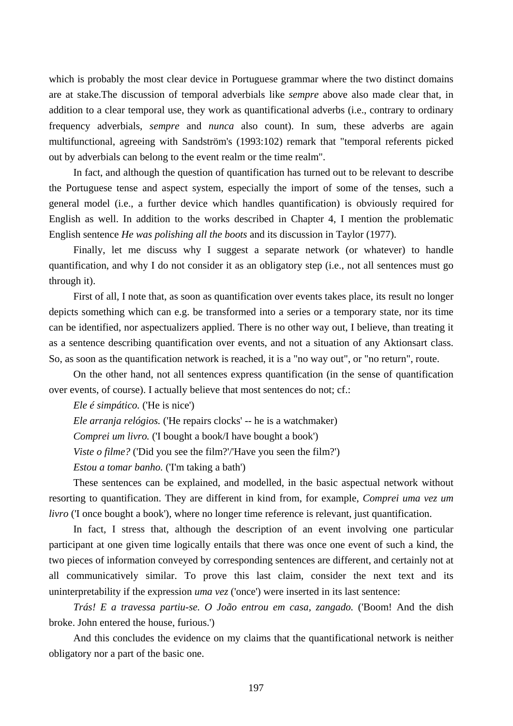which is probably the most clear device in Portuguese grammar where the two distinct domains are at stake.The discussion of temporal adverbials like *sempre* above also made clear that, in addition to a clear temporal use, they work as quantificational adverbs (i.e., contrary to ordinary frequency adverbials, *sempre* and *nunca* also count). In sum, these adverbs are again multifunctional, agreeing with Sandström's (1993:102) remark that "temporal referents picked out by adverbials can belong to the event realm or the time realm".

In fact, and although the question of quantification has turned out to be relevant to describe the Portuguese tense and aspect system, especially the import of some of the tenses, such a general model (i.e., a further device which handles quantification) is obviously required for English as well. In addition to the works described in Chapter 4, I mention the problematic English sentence *He was polishing all the boots* and its discussion in Taylor (1977).

Finally, let me discuss why I suggest a separate network (or whatever) to handle quantification, and why I do not consider it as an obligatory step (i.e., not all sentences must go through it).

First of all, I note that, as soon as quantification over events takes place, its result no longer depicts something which can e.g. be transformed into a series or a temporary state, nor its time can be identified, nor aspectualizers applied. There is no other way out, I believe, than treating it as a sentence describing quantification over events, and not a situation of any Aktionsart class. So, as soon as the quantification network is reached, it is a "no way out", or "no return", route.

On the other hand, not all sentences express quantification (in the sense of quantification over events, of course). I actually believe that most sentences do not; cf.:

*Ele é simpático.* ('He is nice')

*Ele arranja relógios.* ('He repairs clocks' -- he is a watchmaker)

*Comprei um livro.* ('I bought a book/I have bought a book')

*Viste o filme?* ('Did you see the film?'/'Have you seen the film?')

*Estou a tomar banho.* ('I'm taking a bath')

These sentences can be explained, and modelled, in the basic aspectual network without resorting to quantification. They are different in kind from, for example, *Comprei uma vez um livro* (T once bought a book'), where no longer time reference is relevant, just quantification.

In fact, I stress that, although the description of an event involving one particular participant at one given time logically entails that there was once one event of such a kind, the two pieces of information conveyed by corresponding sentences are different, and certainly not at all communicatively similar. To prove this last claim, consider the next text and its uninterpretability if the expression *uma vez* ('once') were inserted in its last sentence:

*Trás! E a travessa partiu-se. O João entrou em casa, zangado.* ('Boom! And the dish broke. John entered the house, furious.')

And this concludes the evidence on my claims that the quantificational network is neither obligatory nor a part of the basic one.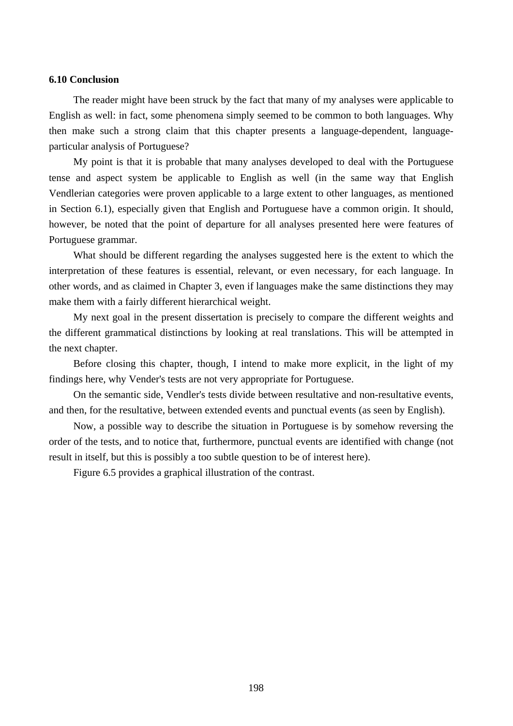## **6.10 Conclusion**

The reader might have been struck by the fact that many of my analyses were applicable to English as well: in fact, some phenomena simply seemed to be common to both languages. Why then make such a strong claim that this chapter presents a language-dependent, languageparticular analysis of Portuguese?

My point is that it is probable that many analyses developed to deal with the Portuguese tense and aspect system be applicable to English as well (in the same way that English Vendlerian categories were proven applicable to a large extent to other languages, as mentioned in Section 6.1), especially given that English and Portuguese have a common origin. It should, however, be noted that the point of departure for all analyses presented here were features of Portuguese grammar.

What should be different regarding the analyses suggested here is the extent to which the interpretation of these features is essential, relevant, or even necessary, for each language. In other words, and as claimed in Chapter 3, even if languages make the same distinctions they may make them with a fairly different hierarchical weight.

My next goal in the present dissertation is precisely to compare the different weights and the different grammatical distinctions by looking at real translations. This will be attempted in the next chapter.

Before closing this chapter, though, I intend to make more explicit, in the light of my findings here, why Vender's tests are not very appropriate for Portuguese.

On the semantic side, Vendler's tests divide between resultative and non-resultative events, and then, for the resultative, between extended events and punctual events (as seen by English).

Now, a possible way to describe the situation in Portuguese is by somehow reversing the order of the tests, and to notice that, furthermore, punctual events are identified with change (not result in itself, but this is possibly a too subtle question to be of interest here).

Figure 6.5 provides a graphical illustration of the contrast.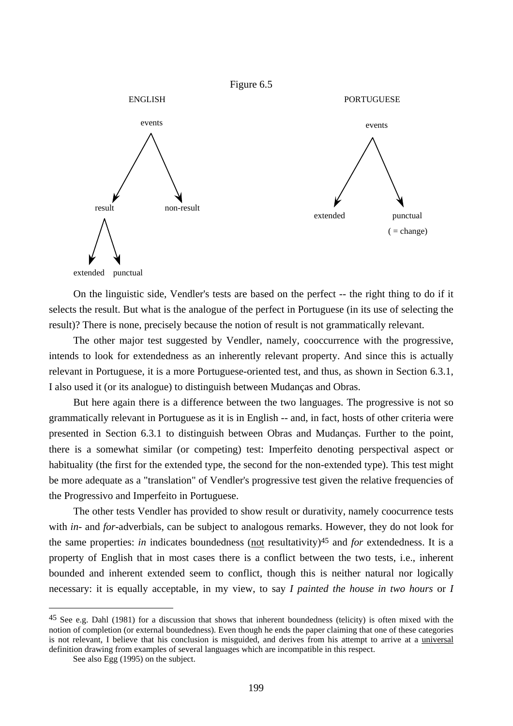

On the linguistic side, Vendler's tests are based on the perfect -- the right thing to do if it selects the result. But what is the analogue of the perfect in Portuguese (in its use of selecting the result)? There is none, precisely because the notion of result is not grammatically relevant.

The other major test suggested by Vendler, namely, cooccurrence with the progressive, intends to look for extendedness as an inherently relevant property. And since this is actually relevant in Portuguese, it is a more Portuguese-oriented test, and thus, as shown in Section 6.3.1, I also used it (or its analogue) to distinguish between Mudanças and Obras.

But here again there is a difference between the two languages. The progressive is not so grammatically relevant in Portuguese as it is in English -- and, in fact, hosts of other criteria were presented in Section 6.3.1 to distinguish between Obras and Mudanças. Further to the point, there is a somewhat similar (or competing) test: Imperfeito denoting perspectival aspect or habituality (the first for the extended type, the second for the non-extended type). This test might be more adequate as a "translation" of Vendler's progressive test given the relative frequencies of the Progressivo and Imperfeito in Portuguese.

The other tests Vendler has provided to show result or durativity, namely coocurrence tests with *in*- and *for*-adverbials, can be subject to analogous remarks. However, they do not look for the same properties: *in* indicates boundedness (not resultativity)45 and *for* extendedness. It is a property of English that in most cases there is a conflict between the two tests, i.e., inherent bounded and inherent extended seem to conflict, though this is neither natural nor logically necessary: it is equally acceptable, in my view, to say *I painted the house in two hours* or *I* 

 $\overline{a}$ 

<sup>&</sup>lt;sup>45</sup> See e.g. Dahl (1981) for a discussion that shows that inherent boundedness (telicity) is often mixed with the notion of completion (or external boundedness). Even though he ends the paper claiming that one of these categories is not relevant, I believe that his conclusion is misguided, and derives from his attempt to arrive at a universal definition drawing from examples of several languages which are incompatible in this respect.

See also Egg (1995) on the subject.